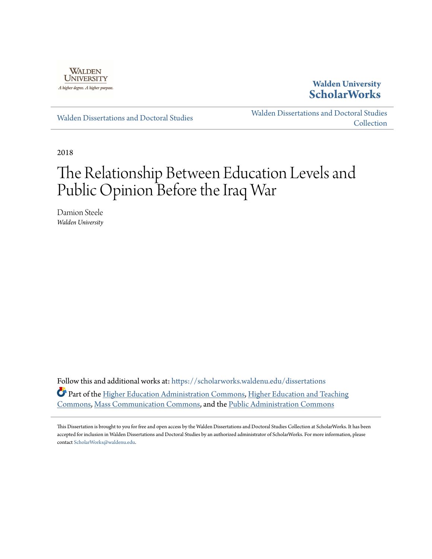

# **Walden University [ScholarWorks](https://scholarworks.waldenu.edu?utm_source=scholarworks.waldenu.edu%2Fdissertations%2F5787&utm_medium=PDF&utm_campaign=PDFCoverPages)**

[Walden Dissertations and Doctoral Studies](https://scholarworks.waldenu.edu/dissertations?utm_source=scholarworks.waldenu.edu%2Fdissertations%2F5787&utm_medium=PDF&utm_campaign=PDFCoverPages)

[Walden Dissertations and Doctoral Studies](https://scholarworks.waldenu.edu/dissanddoc?utm_source=scholarworks.waldenu.edu%2Fdissertations%2F5787&utm_medium=PDF&utm_campaign=PDFCoverPages) **[Collection](https://scholarworks.waldenu.edu/dissanddoc?utm_source=scholarworks.waldenu.edu%2Fdissertations%2F5787&utm_medium=PDF&utm_campaign=PDFCoverPages)** 

2018

# The Relationship Between Education Levels and Public Opinion Before the Iraq War

Damion Steele *Walden University*

Follow this and additional works at: [https://scholarworks.waldenu.edu/dissertations](https://scholarworks.waldenu.edu/dissertations?utm_source=scholarworks.waldenu.edu%2Fdissertations%2F5787&utm_medium=PDF&utm_campaign=PDFCoverPages) Part of the [Higher Education Administration Commons](http://network.bepress.com/hgg/discipline/791?utm_source=scholarworks.waldenu.edu%2Fdissertations%2F5787&utm_medium=PDF&utm_campaign=PDFCoverPages), [Higher Education and Teaching](http://network.bepress.com/hgg/discipline/806?utm_source=scholarworks.waldenu.edu%2Fdissertations%2F5787&utm_medium=PDF&utm_campaign=PDFCoverPages) [Commons,](http://network.bepress.com/hgg/discipline/806?utm_source=scholarworks.waldenu.edu%2Fdissertations%2F5787&utm_medium=PDF&utm_campaign=PDFCoverPages) [Mass Communication Commons,](http://network.bepress.com/hgg/discipline/334?utm_source=scholarworks.waldenu.edu%2Fdissertations%2F5787&utm_medium=PDF&utm_campaign=PDFCoverPages) and the [Public Administration Commons](http://network.bepress.com/hgg/discipline/398?utm_source=scholarworks.waldenu.edu%2Fdissertations%2F5787&utm_medium=PDF&utm_campaign=PDFCoverPages)

This Dissertation is brought to you for free and open access by the Walden Dissertations and Doctoral Studies Collection at ScholarWorks. It has been accepted for inclusion in Walden Dissertations and Doctoral Studies by an authorized administrator of ScholarWorks. For more information, please contact [ScholarWorks@waldenu.edu](mailto:ScholarWorks@waldenu.edu).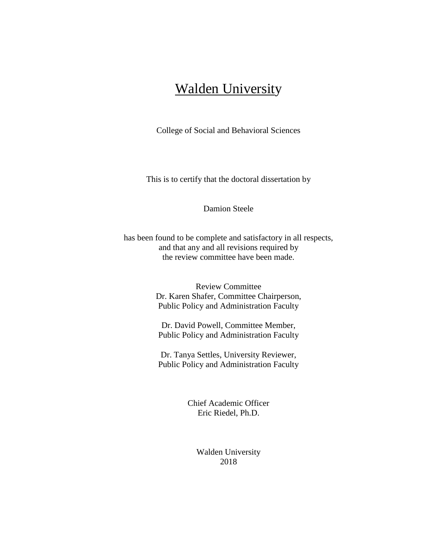# Walden University

College of Social and Behavioral Sciences

This is to certify that the doctoral dissertation by

Damion Steele

has been found to be complete and satisfactory in all respects, and that any and all revisions required by the review committee have been made.

> Review Committee Dr. Karen Shafer, Committee Chairperson, Public Policy and Administration Faculty

Dr. David Powell, Committee Member, Public Policy and Administration Faculty

Dr. Tanya Settles, University Reviewer, Public Policy and Administration Faculty

> Chief Academic Officer Eric Riedel, Ph.D.

> > Walden University 2018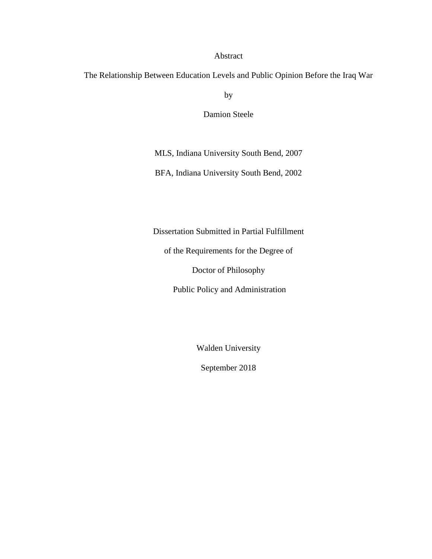#### Abstract

The Relationship Between Education Levels and Public Opinion Before the Iraq War

by

Damion Steele

MLS, Indiana University South Bend, 2007

BFA, Indiana University South Bend, 2002

Dissertation Submitted in Partial Fulfillment

of the Requirements for the Degree of

Doctor of Philosophy

Public Policy and Administration

Walden University

September 2018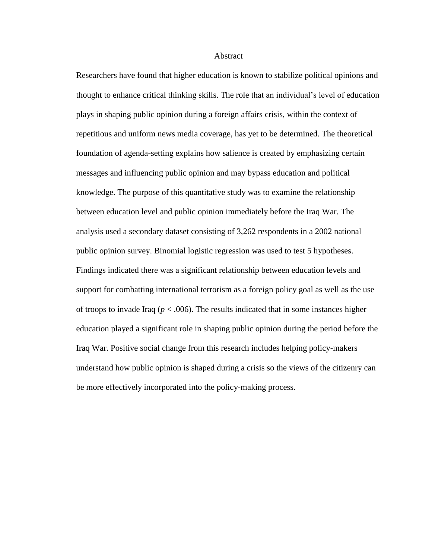#### **Abstract**

Researchers have found that higher education is known to stabilize political opinions and thought to enhance critical thinking skills. The role that an individual's level of education plays in shaping public opinion during a foreign affairs crisis, within the context of repetitious and uniform news media coverage, has yet to be determined. The theoretical foundation of agenda-setting explains how salience is created by emphasizing certain messages and influencing public opinion and may bypass education and political knowledge. The purpose of this quantitative study was to examine the relationship between education level and public opinion immediately before the Iraq War. The analysis used a secondary dataset consisting of 3,262 respondents in a 2002 national public opinion survey. Binomial logistic regression was used to test 5 hypotheses. Findings indicated there was a significant relationship between education levels and support for combatting international terrorism as a foreign policy goal as well as the use of troops to invade Iraq  $(p < .006)$ . The results indicated that in some instances higher education played a significant role in shaping public opinion during the period before the Iraq War. Positive social change from this research includes helping policy-makers understand how public opinion is shaped during a crisis so the views of the citizenry can be more effectively incorporated into the policy-making process.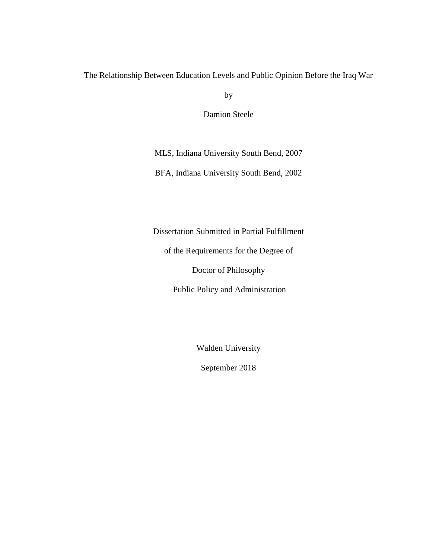The Relationship Between Education Levels and Public Opinion Before the Iraq War

by

Damion Steele

MLS, Indiana University South Bend, 2007

BFA, Indiana University South Bend, 2002

Dissertation Submitted in Partial Fulfillment

of the Requirements for the Degree of

Doctor of Philosophy

Public Policy and Administration

Walden University

September 2018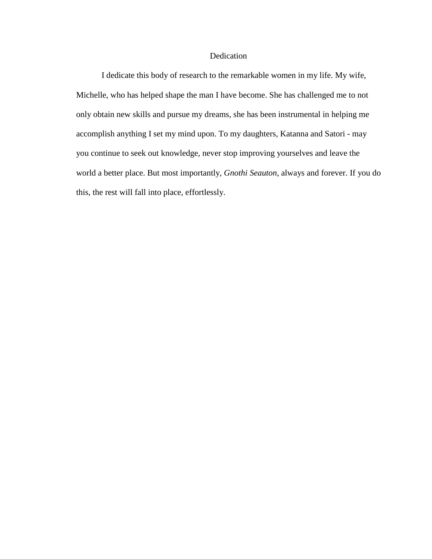### Dedication

I dedicate this body of research to the remarkable women in my life. My wife, Michelle, who has helped shape the man I have become. She has challenged me to not only obtain new skills and pursue my dreams, she has been instrumental in helping me accomplish anything I set my mind upon. To my daughters, Katanna and Satori - may you continue to seek out knowledge, never stop improving yourselves and leave the world a better place. But most importantly, *Gnothi Seauton*, always and forever. If you do this, the rest will fall into place, effortlessly.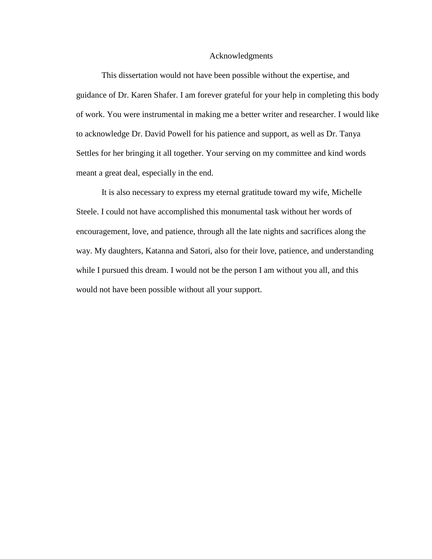#### Acknowledgments

This dissertation would not have been possible without the expertise, and guidance of Dr. Karen Shafer. I am forever grateful for your help in completing this body of work. You were instrumental in making me a better writer and researcher. I would like to acknowledge Dr. David Powell for his patience and support, as well as Dr. Tanya Settles for her bringing it all together. Your serving on my committee and kind words meant a great deal, especially in the end.

It is also necessary to express my eternal gratitude toward my wife, Michelle Steele. I could not have accomplished this monumental task without her words of encouragement, love, and patience, through all the late nights and sacrifices along the way. My daughters, Katanna and Satori, also for their love, patience, and understanding while I pursued this dream. I would not be the person I am without you all, and this would not have been possible without all your support.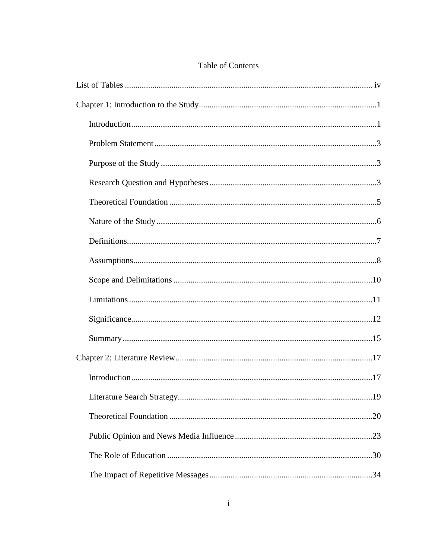## Table of Contents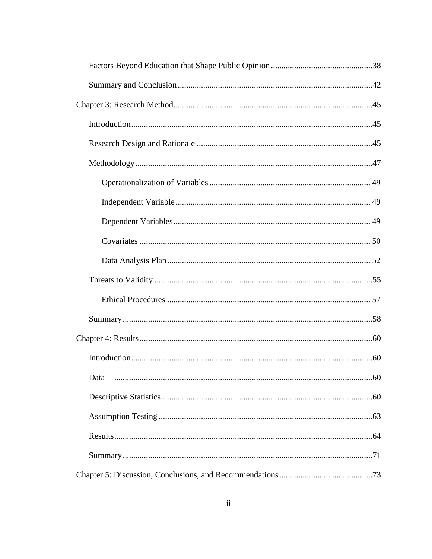| Data |  |
|------|--|
|      |  |
|      |  |
|      |  |
|      |  |
|      |  |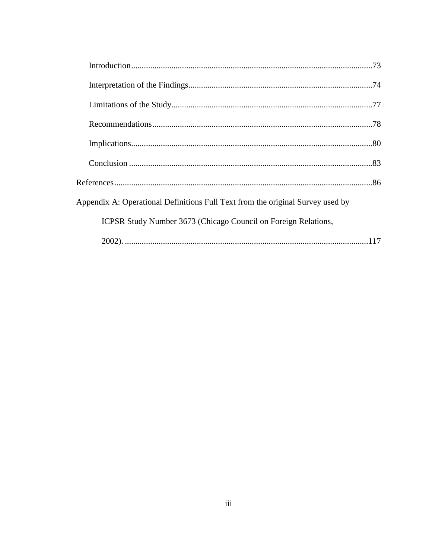| Appendix A: Operational Definitions Full Text from the original Survey used by |  |
|--------------------------------------------------------------------------------|--|
| ICPSR Study Number 3673 (Chicago Council on Foreign Relations,                 |  |
|                                                                                |  |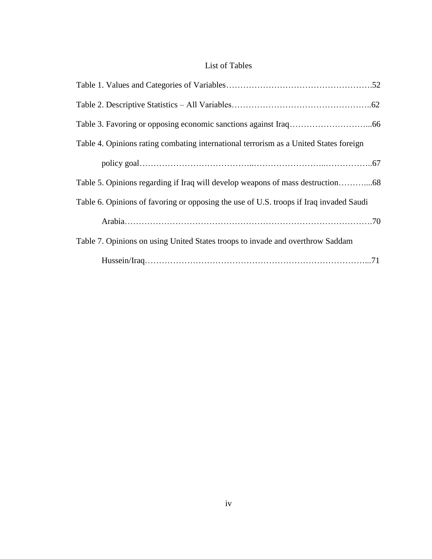# List of Tables

<span id="page-10-0"></span>

| Table 4. Opinions rating combating international terrorism as a United States foreign  |  |
|----------------------------------------------------------------------------------------|--|
|                                                                                        |  |
|                                                                                        |  |
| Table 6. Opinions of favoring or opposing the use of U.S. troops if Iraq invaded Saudi |  |
|                                                                                        |  |
| Table 7. Opinions on using United States troops to invade and overthrow Saddam         |  |
|                                                                                        |  |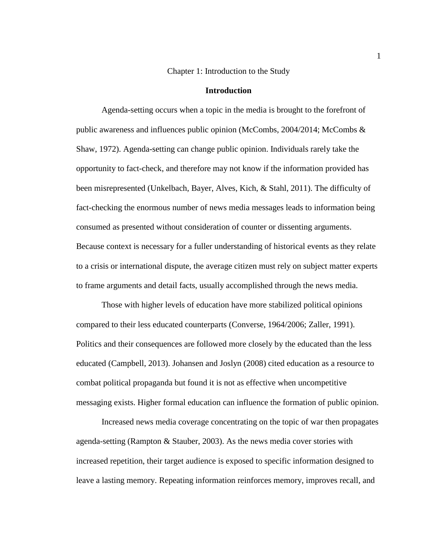#### Chapter 1: Introduction to the Study

#### **Introduction**

<span id="page-11-1"></span><span id="page-11-0"></span>Agenda-setting occurs when a topic in the media is brought to the forefront of public awareness and influences public opinion (McCombs, 2004/2014; McCombs & Shaw, 1972). Agenda-setting can change public opinion. Individuals rarely take the opportunity to fact-check, and therefore may not know if the information provided has been misrepresented (Unkelbach, Bayer, Alves, Kich, & Stahl, 2011). The difficulty of fact-checking the enormous number of news media messages leads to information being consumed as presented without consideration of counter or dissenting arguments. Because context is necessary for a fuller understanding of historical events as they relate to a crisis or international dispute, the average citizen must rely on subject matter experts to frame arguments and detail facts, usually accomplished through the news media.

Those with higher levels of education have more stabilized political opinions compared to their less educated counterparts (Converse, 1964/2006; Zaller, 1991). Politics and their consequences are followed more closely by the educated than the less educated (Campbell, 2013). Johansen and Joslyn (2008) cited education as a resource to combat political propaganda but found it is not as effective when uncompetitive messaging exists. Higher formal education can influence the formation of public opinion.

Increased news media coverage concentrating on the topic of war then propagates agenda-setting (Rampton & Stauber, 2003). As the news media cover stories with increased repetition, their target audience is exposed to specific information designed to leave a lasting memory. Repeating information reinforces memory, improves recall, and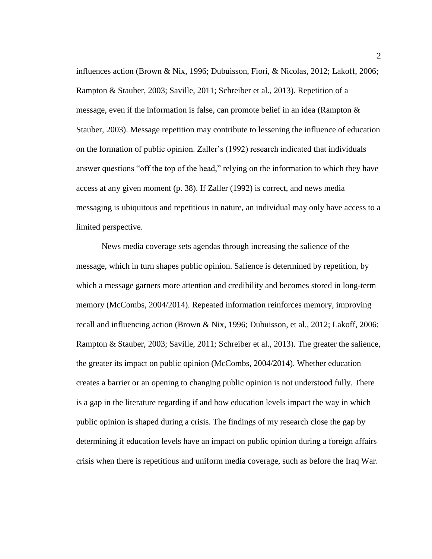influences action (Brown & Nix, 1996; Dubuisson, Fiori, & Nicolas, 2012; Lakoff, 2006; Rampton & Stauber, 2003; Saville, 2011; Schreiber et al., 2013). Repetition of a message, even if the information is false, can promote belief in an idea (Rampton & Stauber, 2003). Message repetition may contribute to lessening the influence of education on the formation of public opinion. Zaller's (1992) research indicated that individuals answer questions "off the top of the head," relying on the information to which they have access at any given moment (p. 38). If Zaller (1992) is correct, and news media messaging is ubiquitous and repetitious in nature, an individual may only have access to a limited perspective.

News media coverage sets agendas through increasing the salience of the message, which in turn shapes public opinion. Salience is determined by repetition, by which a message garners more attention and credibility and becomes stored in long-term memory (McCombs, 2004/2014). Repeated information reinforces memory, improving recall and influencing action (Brown & Nix, 1996; Dubuisson, et al., 2012; Lakoff, 2006; Rampton & Stauber, 2003; Saville, 2011; Schreiber et al., 2013). The greater the salience, the greater its impact on public opinion (McCombs, 2004/2014). Whether education creates a barrier or an opening to changing public opinion is not understood fully. There is a gap in the literature regarding if and how education levels impact the way in which public opinion is shaped during a crisis. The findings of my research close the gap by determining if education levels have an impact on public opinion during a foreign affairs crisis when there is repetitious and uniform media coverage, such as before the Iraq War.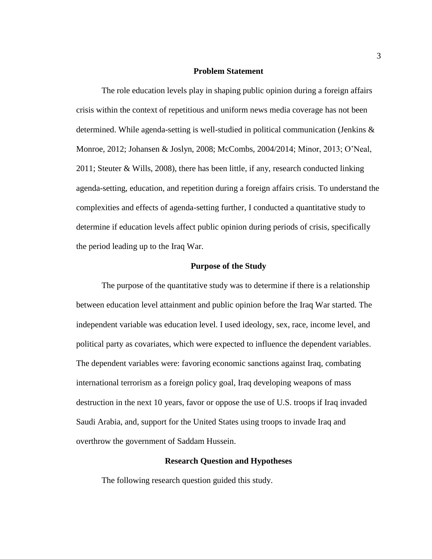#### **Problem Statement**

<span id="page-13-0"></span>The role education levels play in shaping public opinion during a foreign affairs crisis within the context of repetitious and uniform news media coverage has not been determined. While agenda-setting is well-studied in political communication (Jenkins & Monroe, 2012; Johansen & Joslyn, 2008; McCombs, 2004/2014; Minor, 2013; O'Neal, 2011; Steuter & Wills, 2008), there has been little, if any, research conducted linking agenda-setting, education, and repetition during a foreign affairs crisis. To understand the complexities and effects of agenda-setting further, I conducted a quantitative study to determine if education levels affect public opinion during periods of crisis, specifically the period leading up to the Iraq War.

#### **Purpose of the Study**

<span id="page-13-1"></span>The purpose of the quantitative study was to determine if there is a relationship between education level attainment and public opinion before the Iraq War started. The independent variable was education level. I used ideology, sex, race, income level, and political party as covariates, which were expected to influence the dependent variables. The dependent variables were: favoring economic sanctions against Iraq, combating international terrorism as a foreign policy goal, Iraq developing weapons of mass destruction in the next 10 years, favor or oppose the use of U.S. troops if Iraq invaded Saudi Arabia, and, support for the United States using troops to invade Iraq and overthrow the government of Saddam Hussein.

#### **Research Question and Hypotheses**

<span id="page-13-2"></span>The following research question guided this study.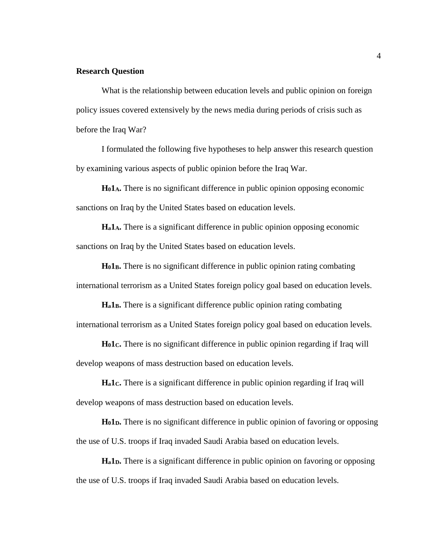#### **Research Question**

What is the relationship between education levels and public opinion on foreign policy issues covered extensively by the news media during periods of crisis such as before the Iraq War?

I formulated the following five hypotheses to help answer this research question by examining various aspects of public opinion before the Iraq War.

**H01A.** There is no significant difference in public opinion opposing economic sanctions on Iraq by the United States based on education levels.

**Ha1A.** There is a significant difference in public opinion opposing economic sanctions on Iraq by the United States based on education levels.

**H01B.** There is no significant difference in public opinion rating combating international terrorism as a United States foreign policy goal based on education levels.

**Ha1B.** There is a significant difference public opinion rating combating international terrorism as a United States foreign policy goal based on education levels.

**H01C.** There is no significant difference in public opinion regarding if Iraq will develop weapons of mass destruction based on education levels.

**Ha1C.** There is a significant difference in public opinion regarding if Iraq will develop weapons of mass destruction based on education levels.

**H01D.** There is no significant difference in public opinion of favoring or opposing the use of U.S. troops if Iraq invaded Saudi Arabia based on education levels.

**Ha1D.** There is a significant difference in public opinion on favoring or opposing the use of U.S. troops if Iraq invaded Saudi Arabia based on education levels.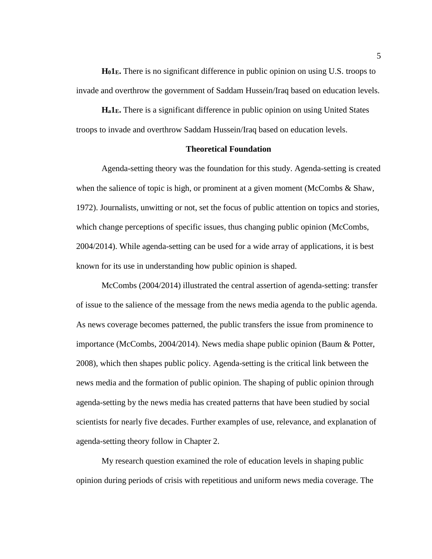**H01E.** There is no significant difference in public opinion on using U.S. troops to invade and overthrow the government of Saddam Hussein/Iraq based on education levels.

**Ha1E.** There is a significant difference in public opinion on using United States troops to invade and overthrow Saddam Hussein/Iraq based on education levels.

#### **Theoretical Foundation**

<span id="page-15-0"></span>Agenda-setting theory was the foundation for this study. Agenda-setting is created when the salience of topic is high, or prominent at a given moment (McCombs & Shaw, 1972). Journalists, unwitting or not, set the focus of public attention on topics and stories, which change perceptions of specific issues, thus changing public opinion (McCombs, 2004/2014). While agenda-setting can be used for a wide array of applications, it is best known for its use in understanding how public opinion is shaped.

McCombs (2004/2014) illustrated the central assertion of agenda-setting: transfer of issue to the salience of the message from the news media agenda to the public agenda. As news coverage becomes patterned, the public transfers the issue from prominence to importance (McCombs, 2004/2014). News media shape public opinion (Baum & Potter, 2008), which then shapes public policy. Agenda-setting is the critical link between the news media and the formation of public opinion. The shaping of public opinion through agenda-setting by the news media has created patterns that have been studied by social scientists for nearly five decades. Further examples of use, relevance, and explanation of agenda-setting theory follow in Chapter 2.

My research question examined the role of education levels in shaping public opinion during periods of crisis with repetitious and uniform news media coverage. The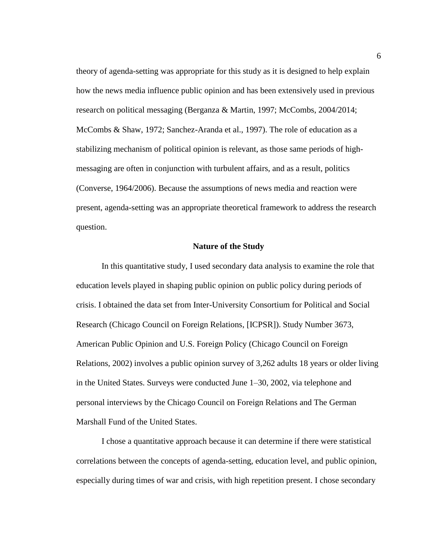theory of agenda-setting was appropriate for this study as it is designed to help explain how the news media influence public opinion and has been extensively used in previous research on political messaging (Berganza & Martin, 1997; McCombs, 2004/2014; McCombs & Shaw, 1972; Sanchez-Aranda et al., 1997). The role of education as a stabilizing mechanism of political opinion is relevant, as those same periods of highmessaging are often in conjunction with turbulent affairs, and as a result, politics (Converse, 1964/2006). Because the assumptions of news media and reaction were present, agenda-setting was an appropriate theoretical framework to address the research question.

#### **Nature of the Study**

<span id="page-16-0"></span>In this quantitative study, I used secondary data analysis to examine the role that education levels played in shaping public opinion on public policy during periods of crisis. I obtained the data set from Inter-University Consortium for Political and Social Research (Chicago Council on Foreign Relations, [ICPSR]). Study Number 3673, American Public Opinion and U.S. Foreign Policy (Chicago Council on Foreign Relations, 2002) involves a public opinion survey of 3,262 adults 18 years or older living in the United States. Surveys were conducted June 1–30, 2002, via telephone and personal interviews by the Chicago Council on Foreign Relations and The German Marshall Fund of the United States.

I chose a quantitative approach because it can determine if there were statistical correlations between the concepts of agenda-setting, education level, and public opinion, especially during times of war and crisis, with high repetition present. I chose secondary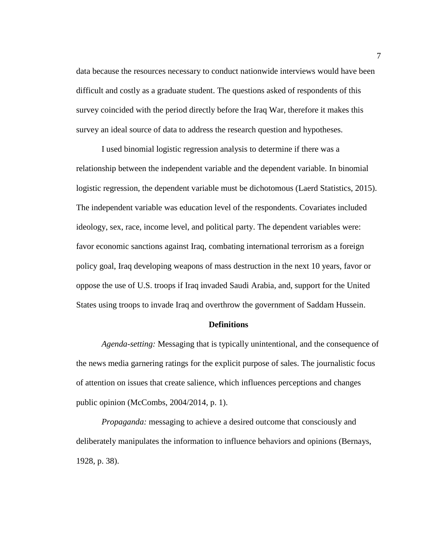data because the resources necessary to conduct nationwide interviews would have been difficult and costly as a graduate student. The questions asked of respondents of this survey coincided with the period directly before the Iraq War, therefore it makes this survey an ideal source of data to address the research question and hypotheses.

I used binomial logistic regression analysis to determine if there was a relationship between the independent variable and the dependent variable. In binomial logistic regression, the dependent variable must be dichotomous (Laerd Statistics, 2015). The independent variable was education level of the respondents. Covariates included ideology, sex, race, income level, and political party. The dependent variables were: favor economic sanctions against Iraq, combating international terrorism as a foreign policy goal, Iraq developing weapons of mass destruction in the next 10 years, favor or oppose the use of U.S. troops if Iraq invaded Saudi Arabia, and, support for the United States using troops to invade Iraq and overthrow the government of Saddam Hussein.

#### **Definitions**

<span id="page-17-0"></span>*Agenda-setting:* Messaging that is typically unintentional, and the consequence of the news media garnering ratings for the explicit purpose of sales. The journalistic focus of attention on issues that create salience, which influences perceptions and changes public opinion (McCombs, 2004/2014, p. 1).

*Propaganda:* messaging to achieve a desired outcome that consciously and deliberately manipulates the information to influence behaviors and opinions (Bernays, 1928, p. 38).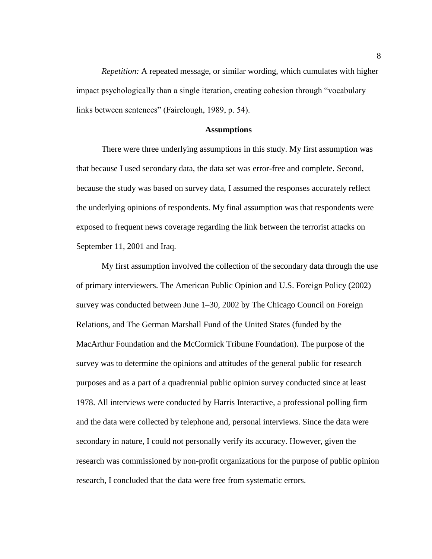*Repetition:* A repeated message, or similar wording, which cumulates with higher impact psychologically than a single iteration, creating cohesion through "vocabulary links between sentences" (Fairclough, 1989, p. 54).

#### **Assumptions**

<span id="page-18-0"></span>There were three underlying assumptions in this study. My first assumption was that because I used secondary data, the data set was error-free and complete. Second, because the study was based on survey data, I assumed the responses accurately reflect the underlying opinions of respondents. My final assumption was that respondents were exposed to frequent news coverage regarding the link between the terrorist attacks on September 11, 2001 and Iraq.

My first assumption involved the collection of the secondary data through the use of primary interviewers. The American Public Opinion and U.S. Foreign Policy (2002) survey was conducted between June 1–30, 2002 by The Chicago Council on Foreign Relations, and The German Marshall Fund of the United States (funded by the MacArthur Foundation and the McCormick Tribune Foundation). The purpose of the survey was to determine the opinions and attitudes of the general public for research purposes and as a part of a quadrennial public opinion survey conducted since at least 1978. All interviews were conducted by Harris Interactive, a professional polling firm and the data were collected by telephone and, personal interviews. Since the data were secondary in nature, I could not personally verify its accuracy. However, given the research was commissioned by non-profit organizations for the purpose of public opinion research, I concluded that the data were free from systematic errors.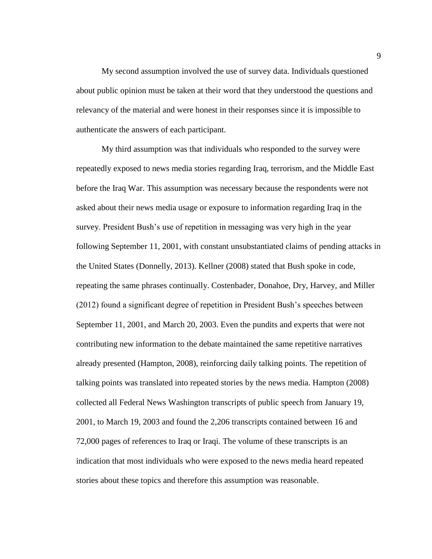My second assumption involved the use of survey data. Individuals questioned about public opinion must be taken at their word that they understood the questions and relevancy of the material and were honest in their responses since it is impossible to authenticate the answers of each participant.

My third assumption was that individuals who responded to the survey were repeatedly exposed to news media stories regarding Iraq, terrorism, and the Middle East before the Iraq War. This assumption was necessary because the respondents were not asked about their news media usage or exposure to information regarding Iraq in the survey. President Bush's use of repetition in messaging was very high in the year following September 11, 2001, with constant unsubstantiated claims of pending attacks in the United States (Donnelly, 2013). Kellner (2008) stated that Bush spoke in code, repeating the same phrases continually. Costenbader, Donahoe, Dry, Harvey, and Miller (2012) found a significant degree of repetition in President Bush's speeches between September 11, 2001, and March 20, 2003. Even the pundits and experts that were not contributing new information to the debate maintained the same repetitive narratives already presented (Hampton, 2008), reinforcing daily talking points. The repetition of talking points was translated into repeated stories by the news media. Hampton (2008) collected all Federal News Washington transcripts of public speech from January 19, 2001, to March 19, 2003 and found the 2,206 transcripts contained between 16 and 72,000 pages of references to Iraq or Iraqi. The volume of these transcripts is an indication that most individuals who were exposed to the news media heard repeated stories about these topics and therefore this assumption was reasonable.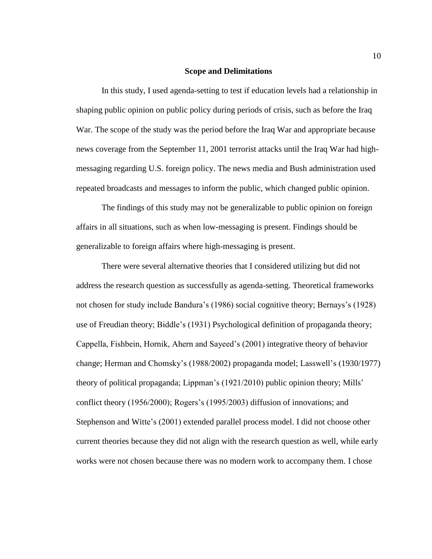#### **Scope and Delimitations**

<span id="page-20-0"></span>In this study, I used agenda-setting to test if education levels had a relationship in shaping public opinion on public policy during periods of crisis, such as before the Iraq War. The scope of the study was the period before the Iraq War and appropriate because news coverage from the September 11, 2001 terrorist attacks until the Iraq War had highmessaging regarding U.S. foreign policy. The news media and Bush administration used repeated broadcasts and messages to inform the public, which changed public opinion.

The findings of this study may not be generalizable to public opinion on foreign affairs in all situations, such as when low-messaging is present. Findings should be generalizable to foreign affairs where high-messaging is present.

There were several alternative theories that I considered utilizing but did not address the research question as successfully as agenda-setting. Theoretical frameworks not chosen for study include Bandura's (1986) social cognitive theory; Bernays's (1928) use of Freudian theory; Biddle's (1931) Psychological definition of propaganda theory; Cappella, Fishbein, Hornik, Ahern and Sayeed's (2001) integrative theory of behavior change; Herman and Chomsky's (1988/2002) propaganda model; Lasswell's (1930/1977) theory of political propaganda; Lippman's (1921/2010) public opinion theory; Mills' conflict theory (1956/2000); Rogers's (1995/2003) diffusion of innovations; and Stephenson and Witte's (2001) extended parallel process model. I did not choose other current theories because they did not align with the research question as well, while early works were not chosen because there was no modern work to accompany them. I chose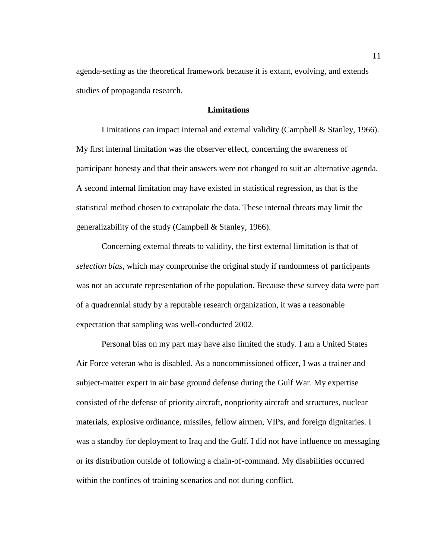agenda-setting as the theoretical framework because it is extant, evolving, and extends studies of propaganda research.

#### **Limitations**

<span id="page-21-0"></span>Limitations can impact internal and external validity (Campbell & Stanley, 1966). My first internal limitation was the observer effect, concerning the awareness of participant honesty and that their answers were not changed to suit an alternative agenda. A second internal limitation may have existed in statistical regression, as that is the statistical method chosen to extrapolate the data. These internal threats may limit the generalizability of the study (Campbell & Stanley, 1966).

Concerning external threats to validity, the first external limitation is that of *selection bias*, which may compromise the original study if randomness of participants was not an accurate representation of the population. Because these survey data were part of a quadrennial study by a reputable research organization, it was a reasonable expectation that sampling was well-conducted 2002.

Personal bias on my part may have also limited the study. I am a United States Air Force veteran who is disabled. As a noncommissioned officer, I was a trainer and subject-matter expert in air base ground defense during the Gulf War. My expertise consisted of the defense of priority aircraft, nonpriority aircraft and structures, nuclear materials, explosive ordinance, missiles, fellow airmen, VIPs, and foreign dignitaries. I was a standby for deployment to Iraq and the Gulf. I did not have influence on messaging or its distribution outside of following a chain-of-command. My disabilities occurred within the confines of training scenarios and not during conflict.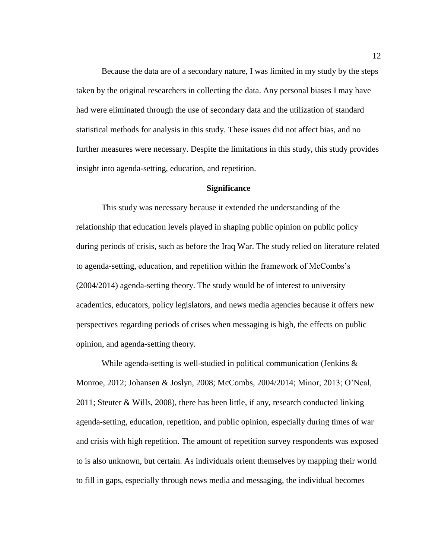Because the data are of a secondary nature, I was limited in my study by the steps taken by the original researchers in collecting the data. Any personal biases I may have had were eliminated through the use of secondary data and the utilization of standard statistical methods for analysis in this study. These issues did not affect bias, and no further measures were necessary. Despite the limitations in this study, this study provides insight into agenda-setting, education, and repetition.

#### **Significance**

<span id="page-22-0"></span>This study was necessary because it extended the understanding of the relationship that education levels played in shaping public opinion on public policy during periods of crisis, such as before the Iraq War. The study relied on literature related to agenda-setting, education, and repetition within the framework of McCombs's (2004/2014) agenda-setting theory. The study would be of interest to university academics, educators, policy legislators, and news media agencies because it offers new perspectives regarding periods of crises when messaging is high, the effects on public opinion, and agenda-setting theory.

While agenda-setting is well-studied in political communication (Jenkins & Monroe, 2012; Johansen & Joslyn, 2008; McCombs, 2004/2014; Minor, 2013; O'Neal, 2011; Steuter & Wills, 2008), there has been little, if any, research conducted linking agenda-setting, education, repetition, and public opinion, especially during times of war and crisis with high repetition. The amount of repetition survey respondents was exposed to is also unknown, but certain. As individuals orient themselves by mapping their world to fill in gaps, especially through news media and messaging, the individual becomes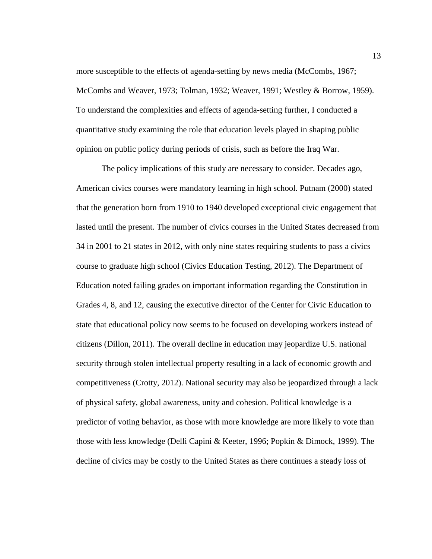more susceptible to the effects of agenda-setting by news media (McCombs, 1967; McCombs and Weaver, 1973; Tolman, 1932; Weaver, 1991; Westley & Borrow, 1959). To understand the complexities and effects of agenda-setting further, I conducted a quantitative study examining the role that education levels played in shaping public opinion on public policy during periods of crisis, such as before the Iraq War.

The policy implications of this study are necessary to consider. Decades ago, American civics courses were mandatory learning in high school. Putnam (2000) stated that the generation born from 1910 to 1940 developed exceptional civic engagement that lasted until the present. The number of civics courses in the United States decreased from 34 in 2001 to 21 states in 2012, with only nine states requiring students to pass a civics course to graduate high school (Civics Education Testing, 2012). The Department of Education noted failing grades on important information regarding the Constitution in Grades 4, 8, and 12, causing the executive director of the Center for Civic Education to state that educational policy now seems to be focused on developing workers instead of citizens (Dillon, 2011). The overall decline in education may jeopardize U.S. national security through stolen intellectual property resulting in a lack of economic growth and competitiveness (Crotty, 2012). National security may also be jeopardized through a lack of physical safety, global awareness, unity and cohesion. Political knowledge is a predictor of voting behavior, as those with more knowledge are more likely to vote than those with less knowledge (Delli Capini & Keeter, 1996; Popkin & Dimock, 1999). The decline of civics may be costly to the United States as there continues a steady loss of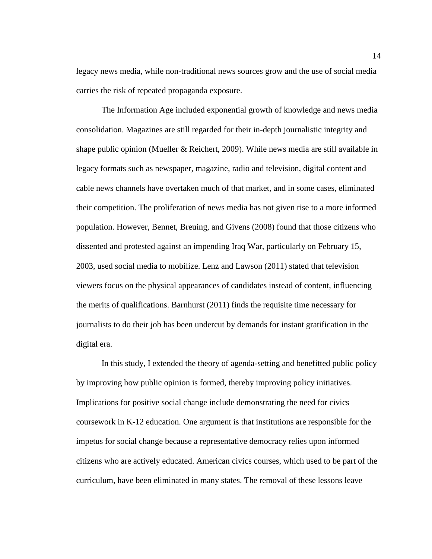legacy news media, while non-traditional news sources grow and the use of social media carries the risk of repeated propaganda exposure.

The Information Age included exponential growth of knowledge and news media consolidation. Magazines are still regarded for their in-depth journalistic integrity and shape public opinion (Mueller & Reichert, 2009). While news media are still available in legacy formats such as newspaper, magazine, radio and television, digital content and cable news channels have overtaken much of that market, and in some cases, eliminated their competition. The proliferation of news media has not given rise to a more informed population. However, Bennet, Breuing, and Givens (2008) found that those citizens who dissented and protested against an impending Iraq War, particularly on February 15, 2003, used social media to mobilize. Lenz and Lawson (2011) stated that television viewers focus on the physical appearances of candidates instead of content, influencing the merits of qualifications. Barnhurst (2011) finds the requisite time necessary for journalists to do their job has been undercut by demands for instant gratification in the digital era.

In this study, I extended the theory of agenda-setting and benefitted public policy by improving how public opinion is formed, thereby improving policy initiatives. Implications for positive social change include demonstrating the need for civics coursework in K-12 education. One argument is that institutions are responsible for the impetus for social change because a representative democracy relies upon informed citizens who are actively educated. American civics courses, which used to be part of the curriculum, have been eliminated in many states. The removal of these lessons leave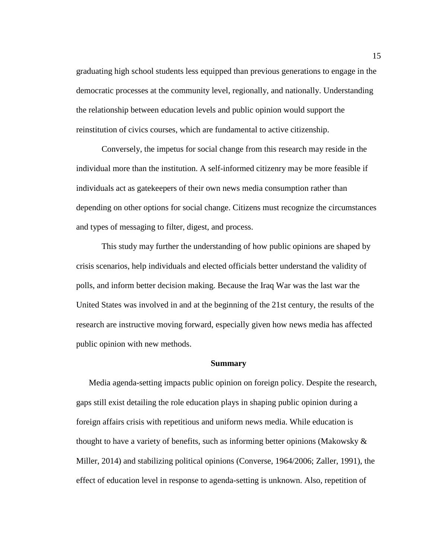graduating high school students less equipped than previous generations to engage in the democratic processes at the community level, regionally, and nationally. Understanding the relationship between education levels and public opinion would support the reinstitution of civics courses, which are fundamental to active citizenship.

Conversely, the impetus for social change from this research may reside in the individual more than the institution. A self-informed citizenry may be more feasible if individuals act as gatekeepers of their own news media consumption rather than depending on other options for social change. Citizens must recognize the circumstances and types of messaging to filter, digest, and process.

This study may further the understanding of how public opinions are shaped by crisis scenarios, help individuals and elected officials better understand the validity of polls, and inform better decision making. Because the Iraq War was the last war the United States was involved in and at the beginning of the 21st century, the results of the research are instructive moving forward, especially given how news media has affected public opinion with new methods.

#### **Summary**

<span id="page-25-0"></span>Media agenda-setting impacts public opinion on foreign policy. Despite the research, gaps still exist detailing the role education plays in shaping public opinion during a foreign affairs crisis with repetitious and uniform news media. While education is thought to have a variety of benefits, such as informing better opinions (Makowsky  $\&$ Miller, 2014) and stabilizing political opinions (Converse, 1964/2006; Zaller, 1991), the effect of education level in response to agenda-setting is unknown. Also, repetition of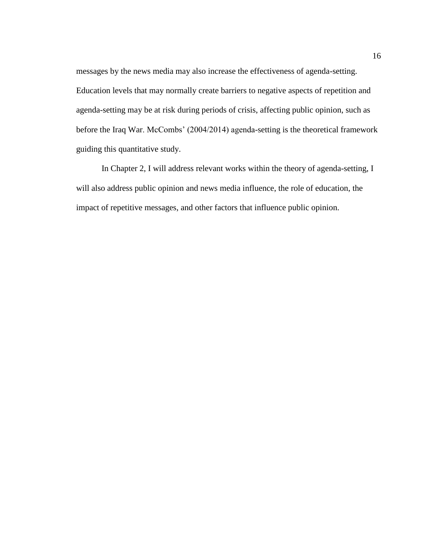messages by the news media may also increase the effectiveness of agenda-setting. Education levels that may normally create barriers to negative aspects of repetition and agenda-setting may be at risk during periods of crisis, affecting public opinion, such as before the Iraq War. McCombs' (2004/2014) agenda-setting is the theoretical framework guiding this quantitative study.

In Chapter 2, I will address relevant works within the theory of agenda-setting, I will also address public opinion and news media influence, the role of education, the impact of repetitive messages, and other factors that influence public opinion.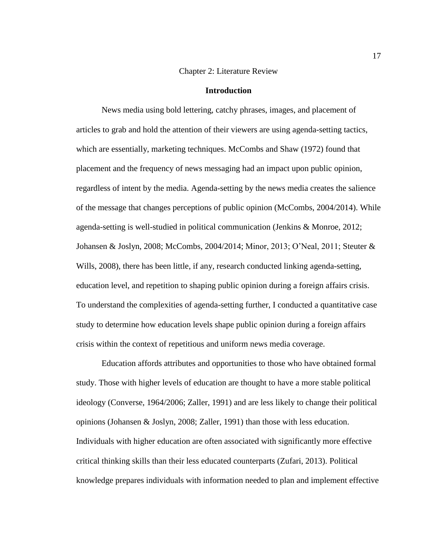#### Chapter 2: Literature Review

#### **Introduction**

<span id="page-27-1"></span><span id="page-27-0"></span>News media using bold lettering, catchy phrases, images, and placement of articles to grab and hold the attention of their viewers are using agenda-setting tactics, which are essentially, marketing techniques. McCombs and Shaw (1972) found that placement and the frequency of news messaging had an impact upon public opinion, regardless of intent by the media. Agenda-setting by the news media creates the salience of the message that changes perceptions of public opinion (McCombs, 2004/2014). While agenda-setting is well-studied in political communication (Jenkins & Monroe, 2012; Johansen & Joslyn, 2008; McCombs, 2004/2014; Minor, 2013; O'Neal, 2011; Steuter & Wills, 2008), there has been little, if any, research conducted linking agenda-setting, education level, and repetition to shaping public opinion during a foreign affairs crisis. To understand the complexities of agenda-setting further, I conducted a quantitative case study to determine how education levels shape public opinion during a foreign affairs crisis within the context of repetitious and uniform news media coverage.

Education affords attributes and opportunities to those who have obtained formal study. Those with higher levels of education are thought to have a more stable political ideology (Converse, 1964/2006; Zaller, 1991) and are less likely to change their political opinions (Johansen & Joslyn, 2008; Zaller, 1991) than those with less education. Individuals with higher education are often associated with significantly more effective critical thinking skills than their less educated counterparts (Zufari, 2013). Political knowledge prepares individuals with information needed to plan and implement effective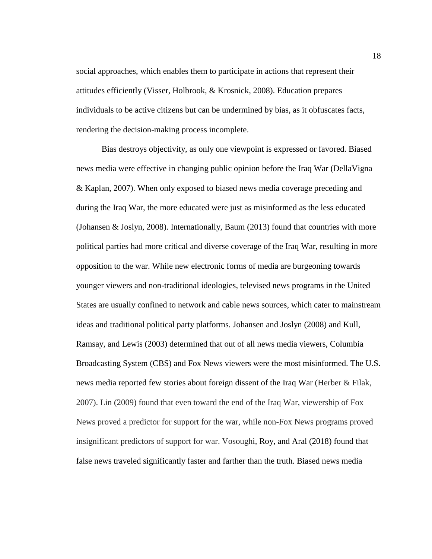social approaches, which enables them to participate in actions that represent their attitudes efficiently (Visser, Holbrook, & Krosnick, 2008). Education prepares individuals to be active citizens but can be undermined by bias, as it obfuscates facts, rendering the decision-making process incomplete.

Bias destroys objectivity, as only one viewpoint is expressed or favored. Biased news media were effective in changing public opinion before the Iraq War (DellaVigna & Kaplan, 2007). When only exposed to biased news media coverage preceding and during the Iraq War, the more educated were just as misinformed as the less educated (Johansen & Joslyn, 2008). Internationally, Baum (2013) found that countries with more political parties had more critical and diverse coverage of the Iraq War, resulting in more opposition to the war. While new electronic forms of media are burgeoning towards younger viewers and non-traditional ideologies, televised news programs in the United States are usually confined to network and cable news sources, which cater to mainstream ideas and traditional political party platforms. Johansen and Joslyn (2008) and Kull, Ramsay, and Lewis (2003) determined that out of all news media viewers, Columbia Broadcasting System (CBS) and Fox News viewers were the most misinformed. The U.S. news media reported few stories about foreign dissent of the Iraq War (Herber & Filak, 2007). Lin (2009) found that even toward the end of the Iraq War, viewership of Fox News proved a predictor for support for the war, while non-Fox News programs proved insignificant predictors of support for war. Vosoughi, Roy, and Aral (2018) found that false news traveled significantly faster and farther than the truth. Biased news media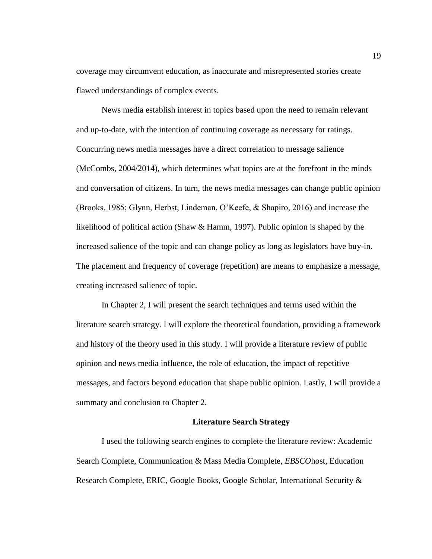coverage may circumvent education, as inaccurate and misrepresented stories create flawed understandings of complex events.

News media establish interest in topics based upon the need to remain relevant and up-to-date, with the intention of continuing coverage as necessary for ratings. Concurring news media messages have a direct correlation to message salience (McCombs, 2004/2014), which determines what topics are at the forefront in the minds and conversation of citizens. In turn, the news media messages can change public opinion (Brooks, 1985; Glynn, Herbst, Lindeman, O'Keefe, & Shapiro, 2016) and increase the likelihood of political action (Shaw & Hamm, 1997). Public opinion is shaped by the increased salience of the topic and can change policy as long as legislators have buy-in. The placement and frequency of coverage (repetition) are means to emphasize a message, creating increased salience of topic.

In Chapter 2, I will present the search techniques and terms used within the literature search strategy. I will explore the theoretical foundation, providing a framework and history of the theory used in this study. I will provide a literature review of public opinion and news media influence, the role of education, the impact of repetitive messages, and factors beyond education that shape public opinion. Lastly, I will provide a summary and conclusion to Chapter 2.

#### **Literature Search Strategy**

<span id="page-29-0"></span>I used the following search engines to complete the literature review: Academic Search Complete, Communication & Mass Media Complete, *EBSCO*host, Education Research Complete, ERIC, Google Books, Google Scholar, International Security &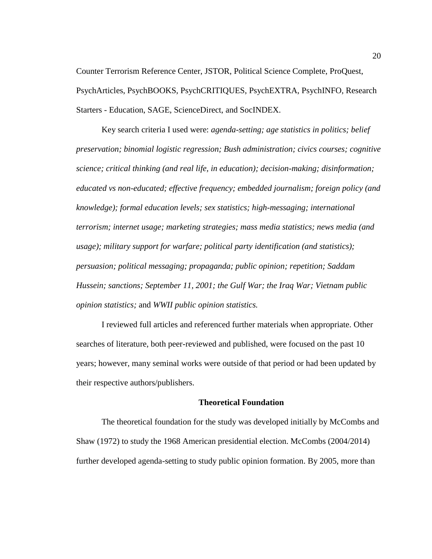Counter Terrorism Reference Center, JSTOR, Political Science Complete, ProQuest, PsychArticles, PsychBOOKS, PsychCRITIQUES, PsychEXTRA, PsychINFO, Research Starters - Education, SAGE, ScienceDirect, and SocINDEX.

Key search criteria I used were: *agenda-setting; age statistics in politics; belief preservation; binomial logistic regression; Bush administration; civics courses; cognitive science; critical thinking (and real life, in education); decision-making; disinformation; educated vs non-educated; effective frequency; embedded journalism; foreign policy (and knowledge); formal education levels; sex statistics; high-messaging; international terrorism; internet usage; marketing strategies; mass media statistics; news media (and usage); military support for warfare; political party identification (and statistics); persuasion; political messaging; propaganda; public opinion; repetition; Saddam Hussein; sanctions; September 11, 2001; the Gulf War; the Iraq War; Vietnam public opinion statistics;* and *WWII public opinion statistics.*

I reviewed full articles and referenced further materials when appropriate. Other searches of literature, both peer-reviewed and published, were focused on the past 10 years; however, many seminal works were outside of that period or had been updated by their respective authors/publishers.

#### **Theoretical Foundation**

<span id="page-30-0"></span>The theoretical foundation for the study was developed initially by McCombs and Shaw (1972) to study the 1968 American presidential election. McCombs (2004/2014) further developed agenda-setting to study public opinion formation. By 2005, more than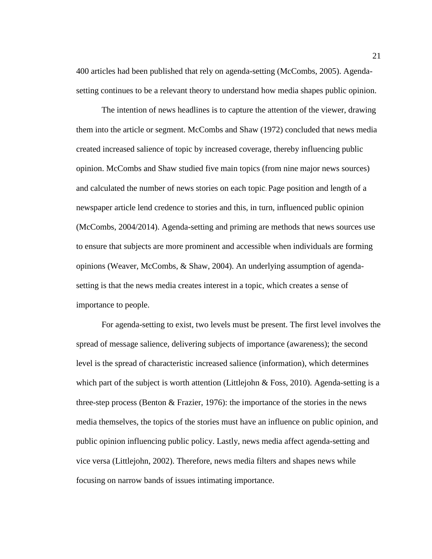400 articles had been published that rely on agenda-setting (McCombs, 2005). Agendasetting continues to be a relevant theory to understand how media shapes public opinion.

The intention of news headlines is to capture the attention of the viewer, drawing them into the article or segment. McCombs and Shaw (1972) concluded that news media created increased salience of topic by increased coverage, thereby influencing public opinion. McCombs and Shaw studied five main topics (from nine major news sources) and calculated the number of news stories on each topic. Page position and length of a newspaper article lend credence to stories and this, in turn, influenced public opinion (McCombs, 2004/2014). Agenda-setting and priming are methods that news sources use to ensure that subjects are more prominent and accessible when individuals are forming opinions (Weaver, McCombs, & Shaw, 2004). An underlying assumption of agendasetting is that the news media creates interest in a topic, which creates a sense of importance to people.

For agenda-setting to exist, two levels must be present. The first level involves the spread of message salience, delivering subjects of importance (awareness); the second level is the spread of characteristic increased salience (information), which determines which part of the subject is worth attention (Littlejohn  $\&$  Foss, 2010). Agenda-setting is a three-step process (Benton & Frazier, 1976): the importance of the stories in the news media themselves, the topics of the stories must have an influence on public opinion, and public opinion influencing public policy. Lastly, news media affect agenda-setting and vice versa (Littlejohn, 2002). Therefore, news media filters and shapes news while focusing on narrow bands of issues intimating importance.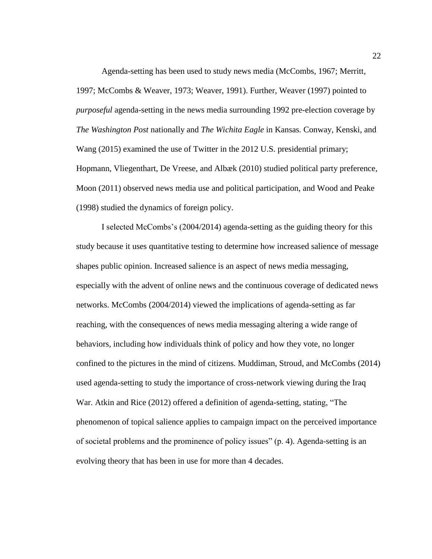Agenda-setting has been used to study news media (McCombs, 1967; Merritt, 1997; McCombs & Weaver, 1973; Weaver, 1991). Further, Weaver (1997) pointed to *purposeful* agenda-setting in the news media surrounding 1992 pre-election coverage by *The Washington Post* nationally and *The Wichita Eagle* in Kansas*.* Conway, Kenski, and Wang (2015) examined the use of Twitter in the 2012 U.S. presidential primary; Hopmann, Vliegenthart, De Vreese, and Albæk (2010) studied political party preference, Moon (2011) observed news media use and political participation, and Wood and Peake (1998) studied the dynamics of foreign policy.

I selected McCombs's (2004/2014) agenda-setting as the guiding theory for this study because it uses quantitative testing to determine how increased salience of message shapes public opinion. Increased salience is an aspect of news media messaging, especially with the advent of online news and the continuous coverage of dedicated news networks. McCombs (2004/2014) viewed the implications of agenda-setting as far reaching, with the consequences of news media messaging altering a wide range of behaviors, including how individuals think of policy and how they vote, no longer confined to the pictures in the mind of citizens. Muddiman, Stroud, and McCombs (2014) used agenda-setting to study the importance of cross-network viewing during the Iraq War. Atkin and Rice (2012) offered a definition of agenda-setting, stating, "The phenomenon of topical salience applies to campaign impact on the perceived importance of societal problems and the prominence of policy issues" (p. 4). Agenda-setting is an evolving theory that has been in use for more than 4 decades.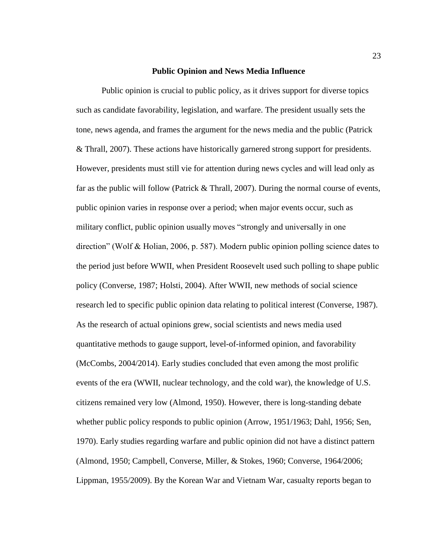#### **Public Opinion and News Media Influence**

<span id="page-33-0"></span>Public opinion is crucial to public policy, as it drives support for diverse topics such as candidate favorability, legislation, and warfare. The president usually sets the tone, news agenda, and frames the argument for the news media and the public (Patrick & Thrall, 2007). These actions have historically garnered strong support for presidents. However, presidents must still vie for attention during news cycles and will lead only as far as the public will follow (Patrick & Thrall, 2007). During the normal course of events, public opinion varies in response over a period; when major events occur, such as military conflict, public opinion usually moves "strongly and universally in one direction" (Wolf & Holian, 2006, p. 587). Modern public opinion polling science dates to the period just before WWII, when President Roosevelt used such polling to shape public policy (Converse, 1987; Holsti, 2004). After WWII, new methods of social science research led to specific public opinion data relating to political interest (Converse, 1987). As the research of actual opinions grew, social scientists and news media used quantitative methods to gauge support, level-of-informed opinion, and favorability (McCombs, 2004/2014). Early studies concluded that even among the most prolific events of the era (WWII, nuclear technology, and the cold war), the knowledge of U.S. citizens remained very low (Almond, 1950). However, there is long-standing debate whether public policy responds to public opinion (Arrow, 1951/1963; Dahl, 1956; Sen, 1970). Early studies regarding warfare and public opinion did not have a distinct pattern (Almond, 1950; Campbell, Converse, Miller, & Stokes, 1960; Converse, 1964/2006; Lippman, 1955/2009). By the Korean War and Vietnam War, casualty reports began to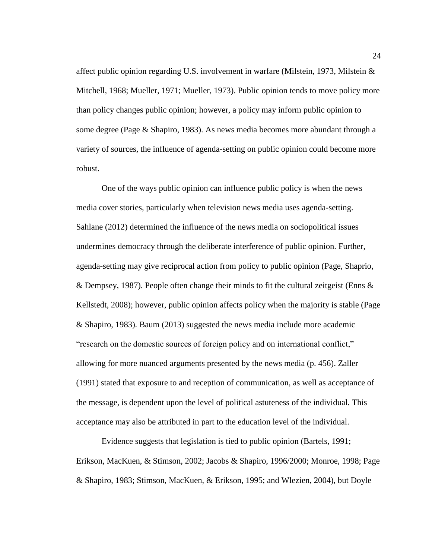affect public opinion regarding U.S. involvement in warfare (Milstein, 1973, Milstein & Mitchell, 1968; Mueller, 1971; Mueller, 1973). Public opinion tends to move policy more than policy changes public opinion; however, a policy may inform public opinion to some degree (Page & Shapiro, 1983). As news media becomes more abundant through a variety of sources, the influence of agenda-setting on public opinion could become more robust.

One of the ways public opinion can influence public policy is when the news media cover stories, particularly when television news media uses agenda-setting. Sahlane (2012) determined the influence of the news media on sociopolitical issues undermines democracy through the deliberate interference of public opinion. Further, agenda-setting may give reciprocal action from policy to public opinion (Page, Shaprio, & Dempsey, 1987). People often change their minds to fit the cultural zeitgeist (Enns  $\&$ Kellstedt, 2008); however, public opinion affects policy when the majority is stable (Page & Shapiro, 1983). Baum (2013) suggested the news media include more academic "research on the domestic sources of foreign policy and on international conflict," allowing for more nuanced arguments presented by the news media (p. 456). Zaller (1991) stated that exposure to and reception of communication, as well as acceptance of the message, is dependent upon the level of political astuteness of the individual. This acceptance may also be attributed in part to the education level of the individual.

Evidence suggests that legislation is tied to public opinion (Bartels, 1991; Erikson, MacKuen, & Stimson, 2002; Jacobs & Shapiro, 1996/2000; Monroe, 1998; Page & Shapiro, 1983; Stimson, MacKuen, & Erikson, 1995; and Wlezien, 2004), but Doyle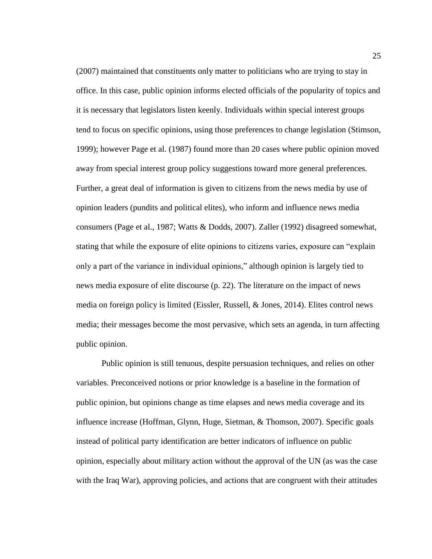(2007) maintained that constituents only matter to politicians who are trying to stay in office. In this case, public opinion informs elected officials of the popularity of topics and it is necessary that legislators listen keenly. Individuals within special interest groups tend to focus on specific opinions, using those preferences to change legislation (Stimson, 1999); however Page et al. (1987) found more than 20 cases where public opinion moved away from special interest group policy suggestions toward more general preferences. Further, a great deal of information is given to citizens from the news media by use of opinion leaders (pundits and political elites), who inform and influence news media consumers (Page et al., 1987; Watts & Dodds, 2007). Zaller (1992) disagreed somewhat, stating that while the exposure of elite opinions to citizens varies, exposure can "explain only a part of the variance in individual opinions," although opinion is largely tied to news media exposure of elite discourse (p. 22). The literature on the impact of news media on foreign policy is limited (Eissler, Russell, & Jones, 2014). Elites control news media; their messages become the most pervasive, which sets an agenda, in turn affecting public opinion.

Public opinion is still tenuous, despite persuasion techniques, and relies on other variables. Preconceived notions or prior knowledge is a baseline in the formation of public opinion, but opinions change as time elapses and news media coverage and its influence increase (Hoffman, Glynn, Huge, Sietman, & Thomson, 2007). Specific goals instead of political party identification are better indicators of influence on public opinion, especially about military action without the approval of the UN (as was the case with the Iraq War), approving policies, and actions that are congruent with their attitudes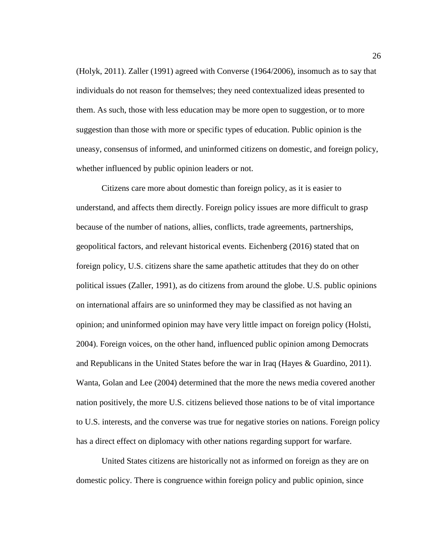(Holyk, 2011). Zaller (1991) agreed with Converse (1964/2006), insomuch as to say that individuals do not reason for themselves; they need contextualized ideas presented to them. As such, those with less education may be more open to suggestion, or to more suggestion than those with more or specific types of education. Public opinion is the uneasy, consensus of informed, and uninformed citizens on domestic, and foreign policy, whether influenced by public opinion leaders or not.

Citizens care more about domestic than foreign policy, as it is easier to understand, and affects them directly. Foreign policy issues are more difficult to grasp because of the number of nations, allies, conflicts, trade agreements, partnerships, geopolitical factors, and relevant historical events. Eichenberg (2016) stated that on foreign policy, U.S. citizens share the same apathetic attitudes that they do on other political issues (Zaller, 1991), as do citizens from around the globe. U.S. public opinions on international affairs are so uninformed they may be classified as not having an opinion; and uninformed opinion may have very little impact on foreign policy (Holsti, 2004). Foreign voices, on the other hand, influenced public opinion among Democrats and Republicans in the United States before the war in Iraq (Hayes & Guardino, 2011). Wanta, Golan and Lee (2004) determined that the more the news media covered another nation positively, the more U.S. citizens believed those nations to be of vital importance to U.S. interests, and the converse was true for negative stories on nations. Foreign policy has a direct effect on diplomacy with other nations regarding support for warfare.

United States citizens are historically not as informed on foreign as they are on domestic policy. There is congruence within foreign policy and public opinion, since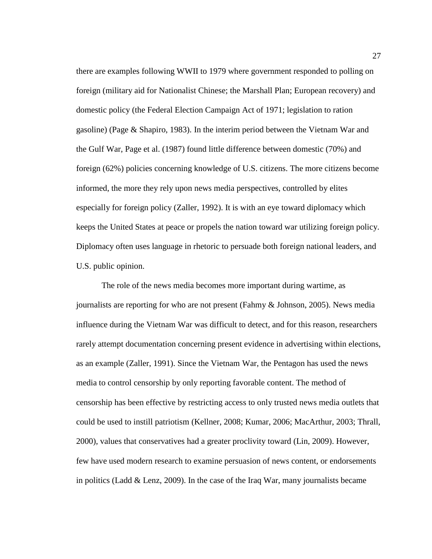there are examples following WWII to 1979 where government responded to polling on foreign (military aid for Nationalist Chinese; the Marshall Plan; European recovery) and domestic policy (the Federal Election Campaign Act of 1971; legislation to ration gasoline) (Page & Shapiro, 1983). In the interim period between the Vietnam War and the Gulf War, Page et al. (1987) found little difference between domestic (70%) and foreign (62%) policies concerning knowledge of U.S. citizens. The more citizens become informed, the more they rely upon news media perspectives, controlled by elites especially for foreign policy (Zaller, 1992). It is with an eye toward diplomacy which keeps the United States at peace or propels the nation toward war utilizing foreign policy. Diplomacy often uses language in rhetoric to persuade both foreign national leaders, and U.S. public opinion.

The role of the news media becomes more important during wartime, as journalists are reporting for who are not present (Fahmy & Johnson, 2005). News media influence during the Vietnam War was difficult to detect, and for this reason, researchers rarely attempt documentation concerning present evidence in advertising within elections, as an example (Zaller, 1991). Since the Vietnam War, the Pentagon has used the news media to control censorship by only reporting favorable content. The method of censorship has been effective by restricting access to only trusted news media outlets that could be used to instill patriotism (Kellner, 2008; Kumar, 2006; MacArthur, 2003; Thrall, 2000), values that conservatives had a greater proclivity toward (Lin, 2009). However, few have used modern research to examine persuasion of news content, or endorsements in politics (Ladd  $&$  Lenz, 2009). In the case of the Iraq War, many journalists became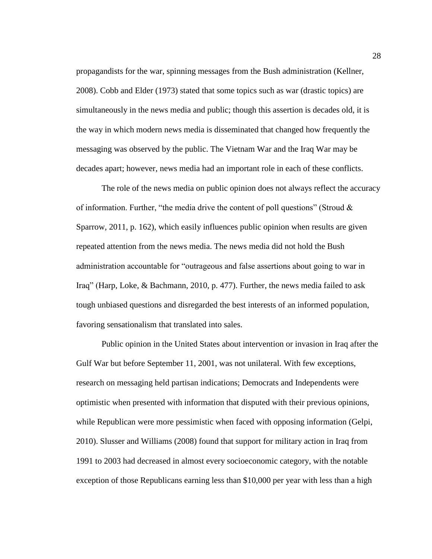propagandists for the war, spinning messages from the Bush administration (Kellner, 2008). Cobb and Elder (1973) stated that some topics such as war (drastic topics) are simultaneously in the news media and public; though this assertion is decades old, it is the way in which modern news media is disseminated that changed how frequently the messaging was observed by the public. The Vietnam War and the Iraq War may be decades apart; however, news media had an important role in each of these conflicts.

The role of the news media on public opinion does not always reflect the accuracy of information. Further, "the media drive the content of poll questions" (Stroud  $\&$ Sparrow, 2011, p. 162), which easily influences public opinion when results are given repeated attention from the news media. The news media did not hold the Bush administration accountable for "outrageous and false assertions about going to war in Iraq" (Harp, Loke, & Bachmann, 2010, p. 477). Further, the news media failed to ask tough unbiased questions and disregarded the best interests of an informed population, favoring sensationalism that translated into sales.

Public opinion in the United States about intervention or invasion in Iraq after the Gulf War but before September 11, 2001, was not unilateral. With few exceptions, research on messaging held partisan indications; Democrats and Independents were optimistic when presented with information that disputed with their previous opinions, while Republican were more pessimistic when faced with opposing information (Gelpi, 2010). Slusser and Williams (2008) found that support for military action in Iraq from 1991 to 2003 had decreased in almost every socioeconomic category, with the notable exception of those Republicans earning less than \$10,000 per year with less than a high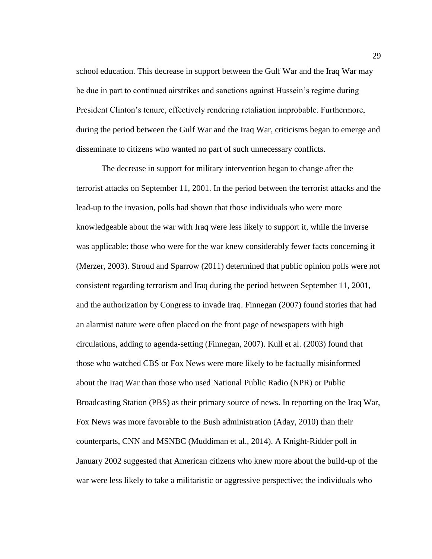school education. This decrease in support between the Gulf War and the Iraq War may be due in part to continued airstrikes and sanctions against Hussein's regime during President Clinton's tenure, effectively rendering retaliation improbable. Furthermore, during the period between the Gulf War and the Iraq War, criticisms began to emerge and disseminate to citizens who wanted no part of such unnecessary conflicts.

The decrease in support for military intervention began to change after the terrorist attacks on September 11, 2001. In the period between the terrorist attacks and the lead-up to the invasion, polls had shown that those individuals who were more knowledgeable about the war with Iraq were less likely to support it, while the inverse was applicable: those who were for the war knew considerably fewer facts concerning it (Merzer, 2003). Stroud and Sparrow (2011) determined that public opinion polls were not consistent regarding terrorism and Iraq during the period between September 11, 2001, and the authorization by Congress to invade Iraq. Finnegan (2007) found stories that had an alarmist nature were often placed on the front page of newspapers with high circulations, adding to agenda-setting (Finnegan, 2007). Kull et al. (2003) found that those who watched CBS or Fox News were more likely to be factually misinformed about the Iraq War than those who used National Public Radio (NPR) or Public Broadcasting Station (PBS) as their primary source of news. In reporting on the Iraq War, Fox News was more favorable to the Bush administration (Aday, 2010) than their counterparts, CNN and MSNBC (Muddiman et al., 2014). A Knight-Ridder poll in January 2002 suggested that American citizens who knew more about the build-up of the war were less likely to take a militaristic or aggressive perspective; the individuals who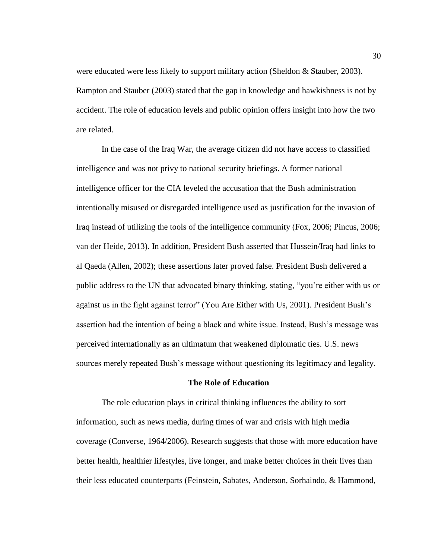were educated were less likely to support military action (Sheldon & Stauber, 2003). Rampton and Stauber (2003) stated that the gap in knowledge and hawkishness is not by accident. The role of education levels and public opinion offers insight into how the two are related.

In the case of the Iraq War, the average citizen did not have access to classified intelligence and was not privy to national security briefings. A former national intelligence officer for the CIA leveled the accusation that the Bush administration intentionally misused or disregarded intelligence used as justification for the invasion of Iraq instead of utilizing the tools of the intelligence community (Fox, 2006; Pincus, 2006; van der Heide, 2013). In addition, President Bush asserted that Hussein/Iraq had links to al Qaeda (Allen, 2002); these assertions later proved false. President Bush delivered a public address to the UN that advocated binary thinking, stating, "you're either with us or against us in the fight against terror" (You Are Either with Us, 2001). President Bush's assertion had the intention of being a black and white issue. Instead, Bush's message was perceived internationally as an ultimatum that weakened diplomatic ties. U.S. news sources merely repeated Bush's message without questioning its legitimacy and legality.

### **The Role of Education**

The role education plays in critical thinking influences the ability to sort information, such as news media, during times of war and crisis with high media coverage (Converse, 1964/2006). Research suggests that those with more education have better health, healthier lifestyles, live longer, and make better choices in their lives than their less educated counterparts (Feinstein, Sabates, Anderson, Sorhaindo, & Hammond,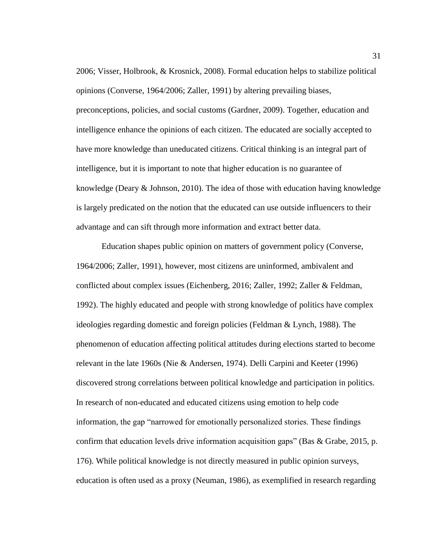2006; Visser, Holbrook, & Krosnick, 2008). Formal education helps to stabilize political opinions (Converse, 1964/2006; Zaller, 1991) by altering prevailing biases, preconceptions, policies, and social customs (Gardner, 2009). Together, education and intelligence enhance the opinions of each citizen. The educated are socially accepted to have more knowledge than uneducated citizens. Critical thinking is an integral part of intelligence, but it is important to note that higher education is no guarantee of knowledge (Deary & Johnson, 2010). The idea of those with education having knowledge is largely predicated on the notion that the educated can use outside influencers to their advantage and can sift through more information and extract better data.

Education shapes public opinion on matters of government policy (Converse, 1964/2006; Zaller, 1991), however, most citizens are uninformed, ambivalent and conflicted about complex issues (Eichenberg, 2016; Zaller, 1992; Zaller & Feldman, 1992). The highly educated and people with strong knowledge of politics have complex ideologies regarding domestic and foreign policies (Feldman & Lynch, 1988). The phenomenon of education affecting political attitudes during elections started to become relevant in the late 1960s (Nie & Andersen, 1974). Delli Carpini and Keeter (1996) discovered strong correlations between political knowledge and participation in politics. In research of non-educated and educated citizens using emotion to help code information, the gap "narrowed for emotionally personalized stories. These findings confirm that education levels drive information acquisition gaps" (Bas & Grabe, 2015, p. 176). While political knowledge is not directly measured in public opinion surveys, education is often used as a proxy (Neuman, 1986), as exemplified in research regarding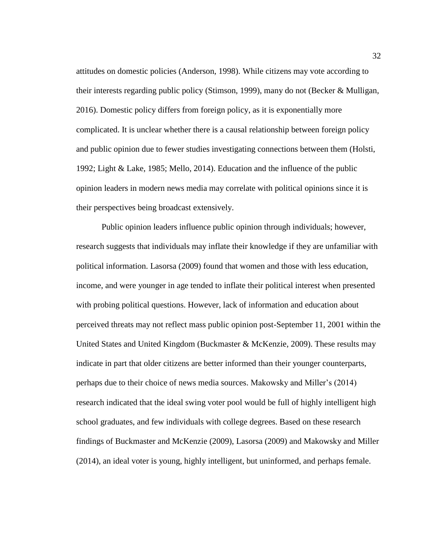attitudes on domestic policies (Anderson, 1998). While citizens may vote according to their interests regarding public policy (Stimson, 1999), many do not (Becker & Mulligan, 2016). Domestic policy differs from foreign policy, as it is exponentially more complicated. It is unclear whether there is a causal relationship between foreign policy and public opinion due to fewer studies investigating connections between them (Holsti, 1992; Light & Lake, 1985; Mello, 2014). Education and the influence of the public opinion leaders in modern news media may correlate with political opinions since it is their perspectives being broadcast extensively.

Public opinion leaders influence public opinion through individuals; however, research suggests that individuals may inflate their knowledge if they are unfamiliar with political information. Lasorsa (2009) found that women and those with less education, income, and were younger in age tended to inflate their political interest when presented with probing political questions. However, lack of information and education about perceived threats may not reflect mass public opinion post-September 11, 2001 within the United States and United Kingdom (Buckmaster & McKenzie, 2009). These results may indicate in part that older citizens are better informed than their younger counterparts, perhaps due to their choice of news media sources. Makowsky and Miller's (2014) research indicated that the ideal swing voter pool would be full of highly intelligent high school graduates, and few individuals with college degrees. Based on these research findings of Buckmaster and McKenzie (2009), Lasorsa (2009) and Makowsky and Miller (2014), an ideal voter is young, highly intelligent, but uninformed, and perhaps female.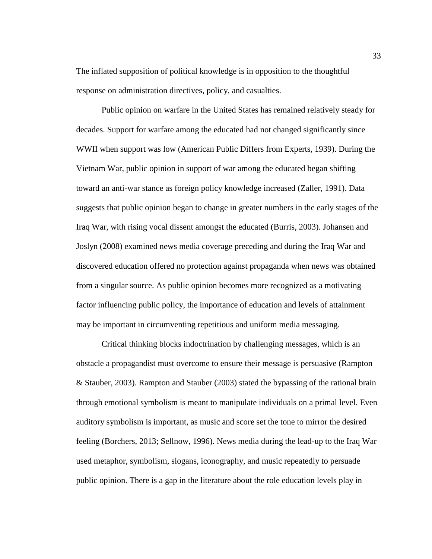The inflated supposition of political knowledge is in opposition to the thoughtful response on administration directives, policy, and casualties.

Public opinion on warfare in the United States has remained relatively steady for decades. Support for warfare among the educated had not changed significantly since WWII when support was low (American Public Differs from Experts, 1939). During the Vietnam War, public opinion in support of war among the educated began shifting toward an anti-war stance as foreign policy knowledge increased (Zaller, 1991). Data suggests that public opinion began to change in greater numbers in the early stages of the Iraq War, with rising vocal dissent amongst the educated (Burris, 2003). Johansen and Joslyn (2008) examined news media coverage preceding and during the Iraq War and discovered education offered no protection against propaganda when news was obtained from a singular source. As public opinion becomes more recognized as a motivating factor influencing public policy, the importance of education and levels of attainment may be important in circumventing repetitious and uniform media messaging.

Critical thinking blocks indoctrination by challenging messages, which is an obstacle a propagandist must overcome to ensure their message is persuasive (Rampton & Stauber, 2003). Rampton and Stauber (2003) stated the bypassing of the rational brain through emotional symbolism is meant to manipulate individuals on a primal level. Even auditory symbolism is important, as music and score set the tone to mirror the desired feeling (Borchers, 2013; Sellnow, 1996). News media during the lead-up to the Iraq War used metaphor, symbolism, slogans, iconography, and music repeatedly to persuade public opinion. There is a gap in the literature about the role education levels play in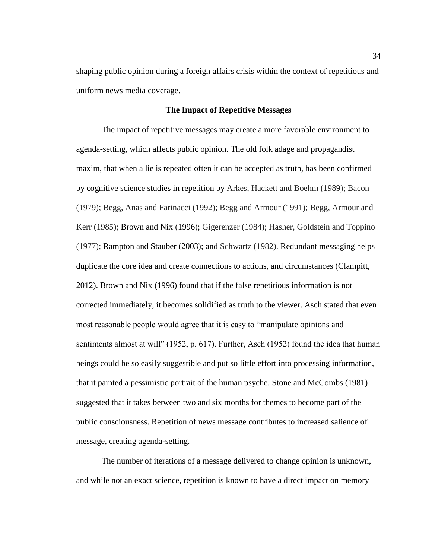shaping public opinion during a foreign affairs crisis within the context of repetitious and uniform news media coverage.

# **The Impact of Repetitive Messages**

The impact of repetitive messages may create a more favorable environment to agenda-setting, which affects public opinion. The old folk adage and propagandist maxim, that when a lie is repeated often it can be accepted as truth, has been confirmed by cognitive science studies in repetition by Arkes, Hackett and Boehm (1989); Bacon (1979); Begg, Anas and Farinacci (1992); Begg and Armour (1991); Begg, Armour and Kerr (1985); Brown and Nix (1996); Gigerenzer (1984); Hasher, Goldstein and Toppino (1977); Rampton and Stauber (2003); and Schwartz (1982). Redundant messaging helps duplicate the core idea and create connections to actions, and circumstances (Clampitt, 2012). Brown and Nix (1996) found that if the false repetitious information is not corrected immediately, it becomes solidified as truth to the viewer. Asch stated that even most reasonable people would agree that it is easy to "manipulate opinions and sentiments almost at will" (1952, p. 617). Further, Asch (1952) found the idea that human beings could be so easily suggestible and put so little effort into processing information, that it painted a pessimistic portrait of the human psyche. Stone and McCombs (1981) suggested that it takes between two and six months for themes to become part of the public consciousness. Repetition of news message contributes to increased salience of message, creating agenda-setting.

The number of iterations of a message delivered to change opinion is unknown, and while not an exact science, repetition is known to have a direct impact on memory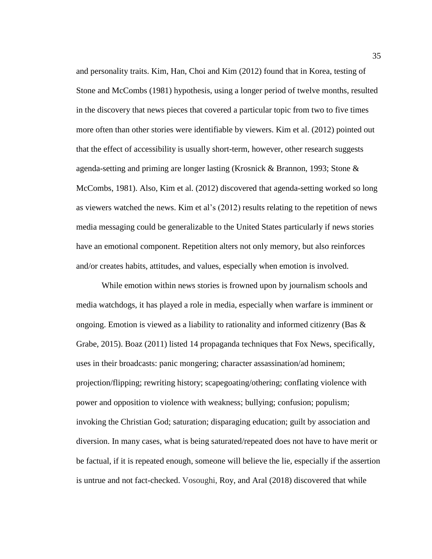and personality traits. Kim, Han, Choi and Kim (2012) found that in Korea, testing of Stone and McCombs (1981) hypothesis, using a longer period of twelve months, resulted in the discovery that news pieces that covered a particular topic from two to five times more often than other stories were identifiable by viewers. Kim et al. (2012) pointed out that the effect of accessibility is usually short-term, however, other research suggests agenda-setting and priming are longer lasting (Krosnick & Brannon, 1993; Stone & McCombs, 1981). Also, Kim et al. (2012) discovered that agenda-setting worked so long as viewers watched the news. Kim et al's (2012) results relating to the repetition of news media messaging could be generalizable to the United States particularly if news stories have an emotional component. Repetition alters not only memory, but also reinforces and/or creates habits, attitudes, and values, especially when emotion is involved.

While emotion within news stories is frowned upon by journalism schools and media watchdogs, it has played a role in media, especially when warfare is imminent or ongoing. Emotion is viewed as a liability to rationality and informed citizenry (Bas  $\&$ Grabe, 2015). Boaz (2011) listed 14 propaganda techniques that Fox News, specifically, uses in their broadcasts: panic mongering; character assassination/ad hominem; projection/flipping; rewriting history; scapegoating/othering; conflating violence with power and opposition to violence with weakness; bullying; confusion; populism; invoking the Christian God; saturation; disparaging education; guilt by association and diversion. In many cases, what is being saturated/repeated does not have to have merit or be factual, if it is repeated enough, someone will believe the lie, especially if the assertion is untrue and not fact-checked. Vosoughi, Roy, and Aral (2018) discovered that while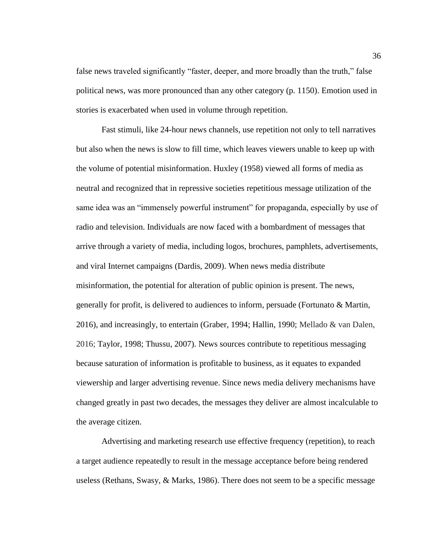false news traveled significantly "faster, deeper, and more broadly than the truth," false political news, was more pronounced than any other category (p. 1150). Emotion used in stories is exacerbated when used in volume through repetition.

Fast stimuli, like 24-hour news channels, use repetition not only to tell narratives but also when the news is slow to fill time, which leaves viewers unable to keep up with the volume of potential misinformation. Huxley (1958) viewed all forms of media as neutral and recognized that in repressive societies repetitious message utilization of the same idea was an "immensely powerful instrument" for propaganda, especially by use of radio and television. Individuals are now faced with a bombardment of messages that arrive through a variety of media, including logos, brochures, pamphlets, advertisements, and viral Internet campaigns (Dardis, 2009). When news media distribute misinformation, the potential for alteration of public opinion is present. The news, generally for profit, is delivered to audiences to inform, persuade (Fortunato & Martin, 2016), and increasingly, to entertain (Graber, 1994; Hallin, 1990; Mellado & van Dalen, 2016; Taylor, 1998; Thussu, 2007). News sources contribute to repetitious messaging because saturation of information is profitable to business, as it equates to expanded viewership and larger advertising revenue. Since news media delivery mechanisms have changed greatly in past two decades, the messages they deliver are almost incalculable to the average citizen.

Advertising and marketing research use effective frequency (repetition), to reach a target audience repeatedly to result in the message acceptance before being rendered useless (Rethans, Swasy, & Marks, 1986). There does not seem to be a specific message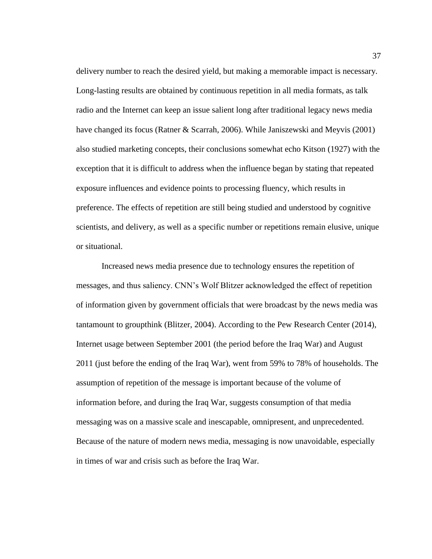delivery number to reach the desired yield, but making a memorable impact is necessary. Long-lasting results are obtained by continuous repetition in all media formats, as talk radio and the Internet can keep an issue salient long after traditional legacy news media have changed its focus (Ratner & Scarrah, 2006). While Janiszewski and Meyvis (2001) also studied marketing concepts, their conclusions somewhat echo Kitson (1927) with the exception that it is difficult to address when the influence began by stating that repeated exposure influences and evidence points to processing fluency, which results in preference. The effects of repetition are still being studied and understood by cognitive scientists, and delivery, as well as a specific number or repetitions remain elusive, unique or situational.

Increased news media presence due to technology ensures the repetition of messages, and thus saliency. CNN's Wolf Blitzer acknowledged the effect of repetition of information given by government officials that were broadcast by the news media was tantamount to groupthink (Blitzer, 2004). According to the Pew Research Center (2014), Internet usage between September 2001 (the period before the Iraq War) and August 2011 (just before the ending of the Iraq War), went from 59% to 78% of households. The assumption of repetition of the message is important because of the volume of information before, and during the Iraq War, suggests consumption of that media messaging was on a massive scale and inescapable, omnipresent, and unprecedented. Because of the nature of modern news media, messaging is now unavoidable, especially in times of war and crisis such as before the Iraq War.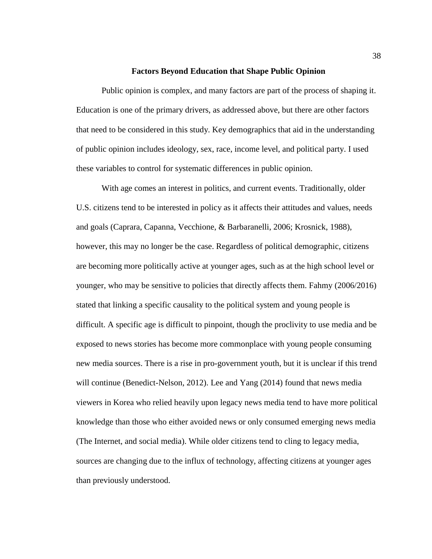### **Factors Beyond Education that Shape Public Opinion**

Public opinion is complex, and many factors are part of the process of shaping it. Education is one of the primary drivers, as addressed above, but there are other factors that need to be considered in this study. Key demographics that aid in the understanding of public opinion includes ideology, sex, race, income level, and political party. I used these variables to control for systematic differences in public opinion.

With age comes an interest in politics, and current events. Traditionally, older U.S. citizens tend to be interested in policy as it affects their attitudes and values, needs and goals (Caprara, Capanna, Vecchione, & Barbaranelli, 2006; Krosnick, 1988), however, this may no longer be the case. Regardless of political demographic, citizens are becoming more politically active at younger ages, such as at the high school level or younger, who may be sensitive to policies that directly affects them. Fahmy (2006/2016) stated that linking a specific causality to the political system and young people is difficult. A specific age is difficult to pinpoint, though the proclivity to use media and be exposed to news stories has become more commonplace with young people consuming new media sources. There is a rise in pro-government youth, but it is unclear if this trend will continue (Benedict-Nelson, 2012). Lee and Yang (2014) found that news media viewers in Korea who relied heavily upon legacy news media tend to have more political knowledge than those who either avoided news or only consumed emerging news media (The Internet, and social media). While older citizens tend to cling to legacy media, sources are changing due to the influx of technology, affecting citizens at younger ages than previously understood.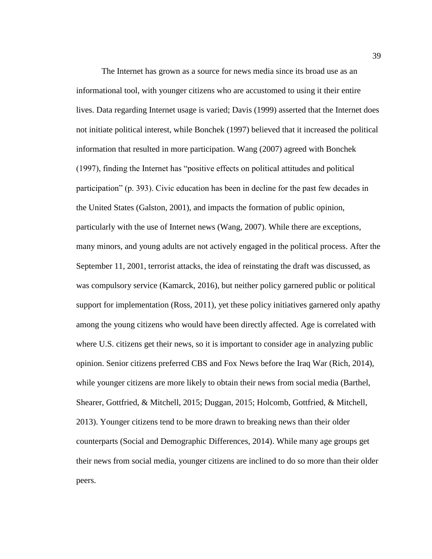The Internet has grown as a source for news media since its broad use as an informational tool, with younger citizens who are accustomed to using it their entire lives. Data regarding Internet usage is varied; Davis (1999) asserted that the Internet does not initiate political interest, while Bonchek (1997) believed that it increased the political information that resulted in more participation. Wang (2007) agreed with Bonchek (1997), finding the Internet has "positive effects on political attitudes and political participation" (p. 393). Civic education has been in decline for the past few decades in the United States (Galston, 2001), and impacts the formation of public opinion, particularly with the use of Internet news (Wang, 2007). While there are exceptions, many minors, and young adults are not actively engaged in the political process. After the September 11, 2001, terrorist attacks, the idea of reinstating the draft was discussed, as was compulsory service (Kamarck, 2016), but neither policy garnered public or political support for implementation (Ross, 2011), yet these policy initiatives garnered only apathy among the young citizens who would have been directly affected. Age is correlated with where U.S. citizens get their news, so it is important to consider age in analyzing public opinion. Senior citizens preferred CBS and Fox News before the Iraq War (Rich, 2014), while younger citizens are more likely to obtain their news from social media (Barthel, Shearer, Gottfried, & Mitchell, 2015; Duggan, 2015; Holcomb, Gottfried, & Mitchell, 2013). Younger citizens tend to be more drawn to breaking news than their older counterparts (Social and Demographic Differences, 2014). While many age groups get their news from social media, younger citizens are inclined to do so more than their older peers.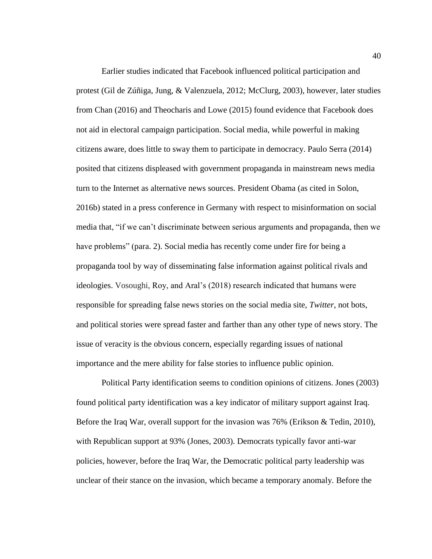Earlier studies indicated that Facebook influenced political participation and protest (Gil de Zúñiga, Jung, & Valenzuela, 2012; McClurg, 2003), however, later studies from Chan (2016) and Theocharis and Lowe (2015) found evidence that Facebook does not aid in electoral campaign participation. Social media, while powerful in making citizens aware, does little to sway them to participate in democracy. Paulo Serra (2014) posited that citizens displeased with government propaganda in mainstream news media turn to the Internet as alternative news sources. President Obama (as cited in Solon, 2016b) stated in a press conference in Germany with respect to misinformation on social media that, "if we can't discriminate between serious arguments and propaganda, then we have problems" (para. 2). Social media has recently come under fire for being a propaganda tool by way of disseminating false information against political rivals and ideologies. Vosoughi, Roy, and Aral's (2018) research indicated that humans were responsible for spreading false news stories on the social media site, *Twitter*, not bots, and political stories were spread faster and farther than any other type of news story. The issue of veracity is the obvious concern, especially regarding issues of national importance and the mere ability for false stories to influence public opinion.

Political Party identification seems to condition opinions of citizens. Jones (2003) found political party identification was a key indicator of military support against Iraq. Before the Iraq War, overall support for the invasion was 76% (Erikson & Tedin, 2010), with Republican support at 93% (Jones, 2003). Democrats typically favor anti-war policies, however, before the Iraq War, the Democratic political party leadership was unclear of their stance on the invasion, which became a temporary anomaly. Before the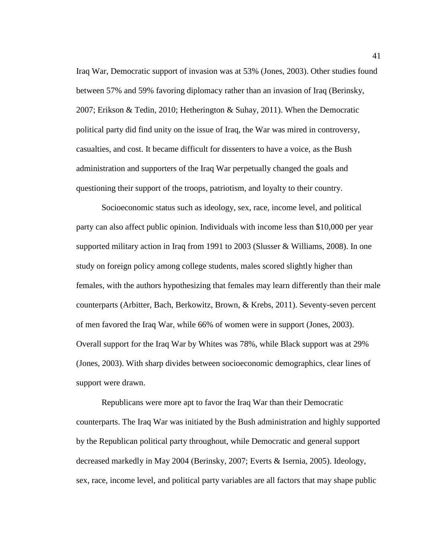Iraq War, Democratic support of invasion was at 53% (Jones, 2003). Other studies found between 57% and 59% favoring diplomacy rather than an invasion of Iraq (Berinsky, 2007; Erikson & Tedin, 2010; Hetherington & Suhay, 2011). When the Democratic political party did find unity on the issue of Iraq, the War was mired in controversy, casualties, and cost. It became difficult for dissenters to have a voice, as the Bush administration and supporters of the Iraq War perpetually changed the goals and questioning their support of the troops, patriotism, and loyalty to their country.

Socioeconomic status such as ideology, sex, race, income level, and political party can also affect public opinion. Individuals with income less than \$10,000 per year supported military action in Iraq from 1991 to 2003 (Slusser & Williams, 2008). In one study on foreign policy among college students, males scored slightly higher than females, with the authors hypothesizing that females may learn differently than their male counterparts (Arbitter, Bach, Berkowitz, Brown, & Krebs, 2011). Seventy-seven percent of men favored the Iraq War, while 66% of women were in support (Jones, 2003). Overall support for the Iraq War by Whites was 78%, while Black support was at 29% (Jones, 2003). With sharp divides between socioeconomic demographics, clear lines of support were drawn.

Republicans were more apt to favor the Iraq War than their Democratic counterparts. The Iraq War was initiated by the Bush administration and highly supported by the Republican political party throughout, while Democratic and general support decreased markedly in May 2004 (Berinsky, 2007; Everts & Isernia, 2005). Ideology, sex, race, income level, and political party variables are all factors that may shape public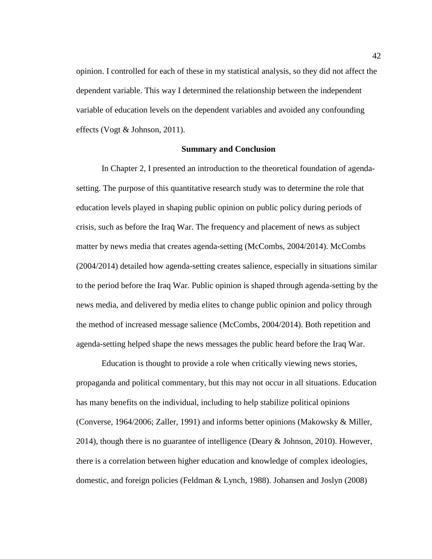opinion. I controlled for each of these in my statistical analysis, so they did not affect the dependent variable. This way I determined the relationship between the independent variable of education levels on the dependent variables and avoided any confounding effects (Vogt & Johnson, 2011).

### **Summary and Conclusion**

In Chapter 2, I presented an introduction to the theoretical foundation of agendasetting. The purpose of this quantitative research study was to determine the role that education levels played in shaping public opinion on public policy during periods of crisis, such as before the Iraq War. The frequency and placement of news as subject matter by news media that creates agenda-setting (McCombs, 2004/2014). McCombs (2004/2014) detailed how agenda-setting creates salience, especially in situations similar to the period before the Iraq War. Public opinion is shaped through agenda-setting by the news media, and delivered by media elites to change public opinion and policy through the method of increased message salience (McCombs, 2004/2014). Both repetition and agenda-setting helped shape the news messages the public heard before the Iraq War.

Education is thought to provide a role when critically viewing news stories, propaganda and political commentary, but this may not occur in all situations. Education has many benefits on the individual, including to help stabilize political opinions (Converse, 1964/2006; Zaller, 1991) and informs better opinions (Makowsky & Miller, 2014), though there is no guarantee of intelligence (Deary  $\&$  Johnson, 2010). However, there is a correlation between higher education and knowledge of complex ideologies, domestic, and foreign policies (Feldman & Lynch, 1988). Johansen and Joslyn (2008)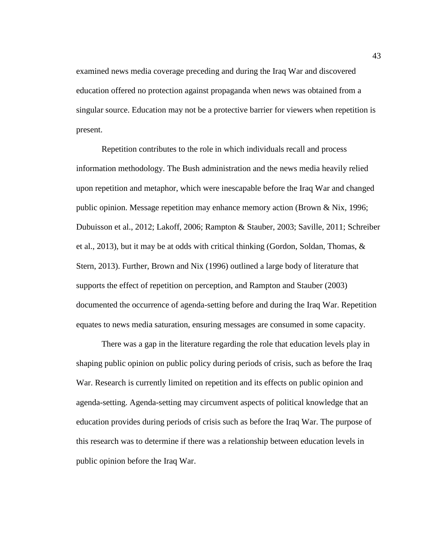examined news media coverage preceding and during the Iraq War and discovered education offered no protection against propaganda when news was obtained from a singular source. Education may not be a protective barrier for viewers when repetition is present.

Repetition contributes to the role in which individuals recall and process information methodology. The Bush administration and the news media heavily relied upon repetition and metaphor, which were inescapable before the Iraq War and changed public opinion. Message repetition may enhance memory action (Brown & Nix, 1996; Dubuisson et al., 2012; Lakoff, 2006; Rampton & Stauber, 2003; Saville, 2011; Schreiber et al., 2013), but it may be at odds with critical thinking (Gordon, Soldan, Thomas, & Stern, 2013). Further, Brown and Nix (1996) outlined a large body of literature that supports the effect of repetition on perception, and Rampton and Stauber (2003) documented the occurrence of agenda-setting before and during the Iraq War. Repetition equates to news media saturation, ensuring messages are consumed in some capacity.

There was a gap in the literature regarding the role that education levels play in shaping public opinion on public policy during periods of crisis, such as before the Iraq War. Research is currently limited on repetition and its effects on public opinion and agenda-setting. Agenda-setting may circumvent aspects of political knowledge that an education provides during periods of crisis such as before the Iraq War. The purpose of this research was to determine if there was a relationship between education levels in public opinion before the Iraq War.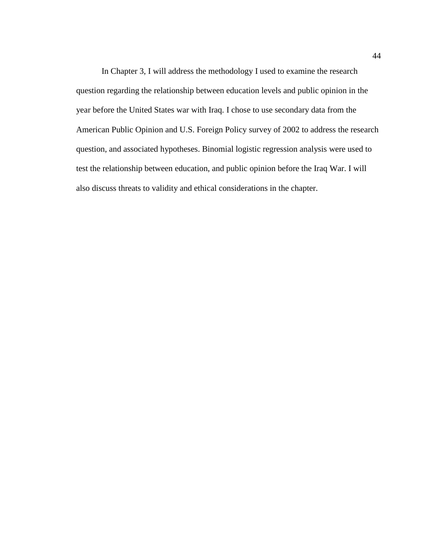In Chapter 3, I will address the methodology I used to examine the research question regarding the relationship between education levels and public opinion in the year before the United States war with Iraq. I chose to use secondary data from the American Public Opinion and U.S. Foreign Policy survey of 2002 to address the research question, and associated hypotheses. Binomial logistic regression analysis were used to test the relationship between education, and public opinion before the Iraq War. I will also discuss threats to validity and ethical considerations in the chapter.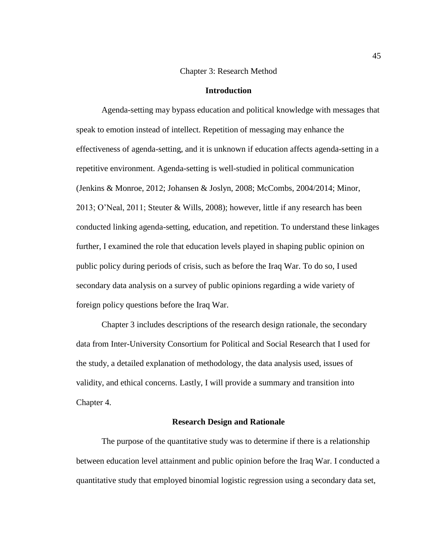### Chapter 3: Research Method

### **Introduction**

Agenda-setting may bypass education and political knowledge with messages that speak to emotion instead of intellect. Repetition of messaging may enhance the effectiveness of agenda-setting, and it is unknown if education affects agenda-setting in a repetitive environment. Agenda-setting is well-studied in political communication (Jenkins & Monroe, 2012; Johansen & Joslyn, 2008; McCombs, 2004/2014; Minor, 2013; O'Neal, 2011; Steuter & Wills, 2008); however, little if any research has been conducted linking agenda-setting, education, and repetition. To understand these linkages further, I examined the role that education levels played in shaping public opinion on public policy during periods of crisis, such as before the Iraq War. To do so, I used secondary data analysis on a survey of public opinions regarding a wide variety of foreign policy questions before the Iraq War.

Chapter 3 includes descriptions of the research design rationale, the secondary data from Inter-University Consortium for Political and Social Research that I used for the study, a detailed explanation of methodology, the data analysis used, issues of validity, and ethical concerns. Lastly, I will provide a summary and transition into Chapter 4.

### **Research Design and Rationale**

The purpose of the quantitative study was to determine if there is a relationship between education level attainment and public opinion before the Iraq War. I conducted a quantitative study that employed binomial logistic regression using a secondary data set,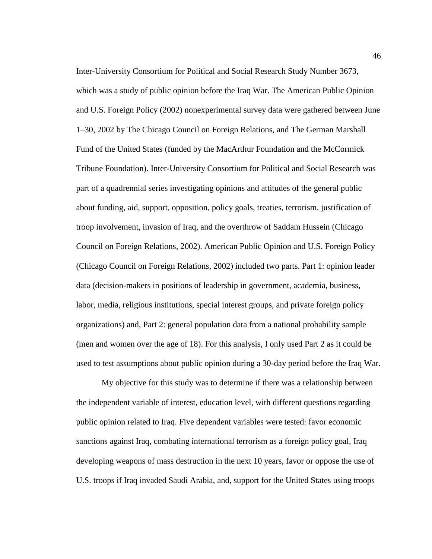Inter-University Consortium for Political and Social Research Study Number 3673, which was a study of public opinion before the Iraq War. The American Public Opinion and U.S. Foreign Policy (2002) nonexperimental survey data were gathered between June 1–30, 2002 by The Chicago Council on Foreign Relations, and The German Marshall Fund of the United States (funded by the MacArthur Foundation and the McCormick Tribune Foundation). Inter-University Consortium for Political and Social Research was part of a quadrennial series investigating opinions and attitudes of the general public about funding, aid, support, opposition, policy goals, treaties, terrorism, justification of troop involvement, invasion of Iraq, and the overthrow of Saddam Hussein (Chicago Council on Foreign Relations, 2002). American Public Opinion and U.S. Foreign Policy (Chicago Council on Foreign Relations, 2002) included two parts. Part 1: opinion leader data (decision-makers in positions of leadership in government, academia, business, labor, media, religious institutions, special interest groups, and private foreign policy organizations) and, Part 2: general population data from a national probability sample (men and women over the age of 18). For this analysis, I only used Part 2 as it could be used to test assumptions about public opinion during a 30-day period before the Iraq War.

My objective for this study was to determine if there was a relationship between the independent variable of interest, education level, with different questions regarding public opinion related to Iraq. Five dependent variables were tested: favor economic sanctions against Iraq, combating international terrorism as a foreign policy goal, Iraq developing weapons of mass destruction in the next 10 years, favor or oppose the use of U.S. troops if Iraq invaded Saudi Arabia, and, support for the United States using troops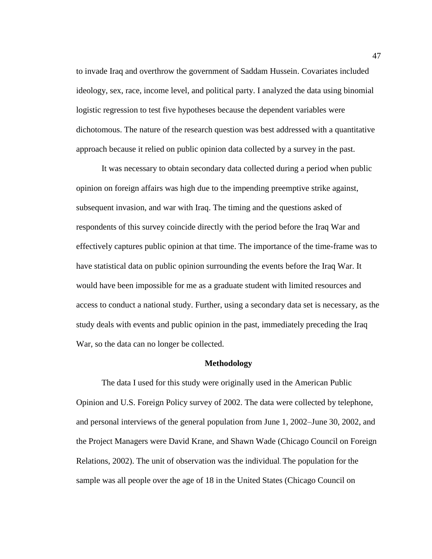to invade Iraq and overthrow the government of Saddam Hussein. Covariates included ideology, sex, race, income level, and political party. I analyzed the data using binomial logistic regression to test five hypotheses because the dependent variables were dichotomous. The nature of the research question was best addressed with a quantitative approach because it relied on public opinion data collected by a survey in the past.

It was necessary to obtain secondary data collected during a period when public opinion on foreign affairs was high due to the impending preemptive strike against, subsequent invasion, and war with Iraq. The timing and the questions asked of respondents of this survey coincide directly with the period before the Iraq War and effectively captures public opinion at that time. The importance of the time-frame was to have statistical data on public opinion surrounding the events before the Iraq War. It would have been impossible for me as a graduate student with limited resources and access to conduct a national study. Further, using a secondary data set is necessary, as the study deals with events and public opinion in the past, immediately preceding the Iraq War, so the data can no longer be collected.

### **Methodology**

The data I used for this study were originally used in the American Public Opinion and U.S. Foreign Policy survey of 2002. The data were collected by telephone, and personal interviews of the general population from June 1, 2002–June 30, 2002, and the Project Managers were David Krane, and Shawn Wade (Chicago Council on Foreign Relations, 2002). The unit of observation was the individual. The population for the sample was all people over the age of 18 in the United States (Chicago Council on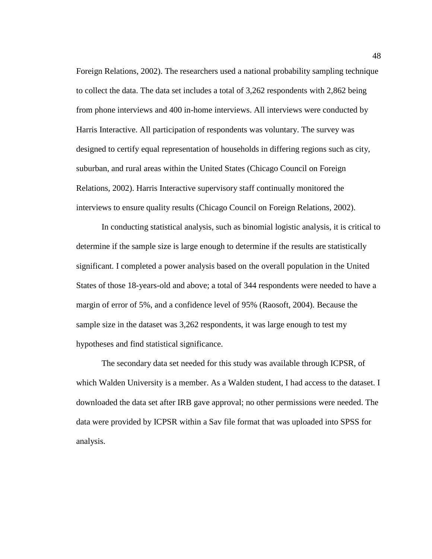Foreign Relations, 2002). The researchers used a national probability sampling technique to collect the data. The data set includes a total of 3,262 respondents with 2,862 being from phone interviews and 400 in-home interviews. All interviews were conducted by Harris Interactive. All participation of respondents was voluntary. The survey was designed to certify equal representation of households in differing regions such as city, suburban, and rural areas within the United States (Chicago Council on Foreign Relations, 2002). Harris Interactive supervisory staff continually monitored the interviews to ensure quality results (Chicago Council on Foreign Relations, 2002).

In conducting statistical analysis, such as binomial logistic analysis, it is critical to determine if the sample size is large enough to determine if the results are statistically significant. I completed a power analysis based on the overall population in the United States of those 18-years-old and above; a total of 344 respondents were needed to have a margin of error of 5%, and a confidence level of 95% (Raosoft, 2004). Because the sample size in the dataset was 3,262 respondents, it was large enough to test my hypotheses and find statistical significance.

The secondary data set needed for this study was available through ICPSR, of which Walden University is a member. As a Walden student, I had access to the dataset. I downloaded the data set after IRB gave approval; no other permissions were needed. The data were provided by ICPSR within a Sav file format that was uploaded into SPSS for analysis.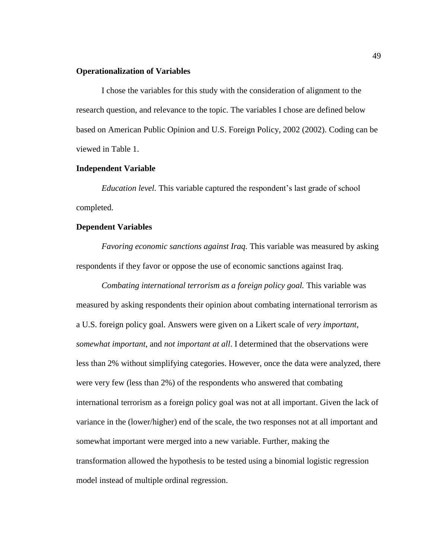### **Operationalization of Variables**

I chose the variables for this study with the consideration of alignment to the research question, and relevance to the topic. The variables I chose are defined below based on American Public Opinion and U.S. Foreign Policy, 2002 (2002). Coding can be viewed in Table 1.

# **Independent Variable**

*Education level.* This variable captured the respondent's last grade of school completed.

### **Dependent Variables**

*Favoring economic sanctions against Iraq.* This variable was measured by asking respondents if they favor or oppose the use of economic sanctions against Iraq.

*Combating international terrorism as a foreign policy goal.* This variable was measured by asking respondents their opinion about combating international terrorism as a U.S. foreign policy goal. Answers were given on a Likert scale of *very important*, *somewhat important*, and *not important at all*. I determined that the observations were less than 2% without simplifying categories. However, once the data were analyzed, there were very few (less than 2%) of the respondents who answered that combating international terrorism as a foreign policy goal was not at all important. Given the lack of variance in the (lower/higher) end of the scale, the two responses not at all important and somewhat important were merged into a new variable. Further, making the transformation allowed the hypothesis to be tested using a binomial logistic regression model instead of multiple ordinal regression.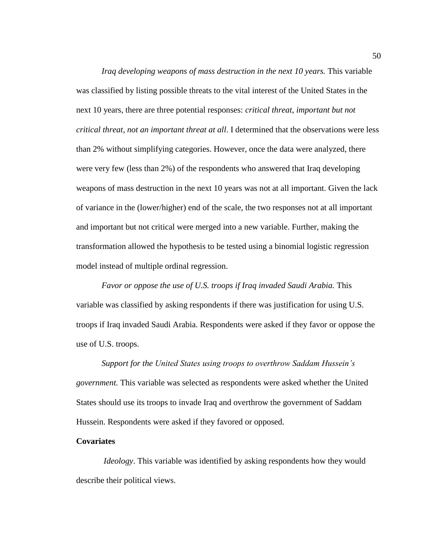*Iraq developing weapons of mass destruction in the next 10 years.* This variable was classified by listing possible threats to the vital interest of the United States in the next 10 years, there are three potential responses: *critical threat*, *important but not critical threat, not an important threat at all*. I determined that the observations were less than 2% without simplifying categories. However, once the data were analyzed, there were very few (less than 2%) of the respondents who answered that Iraq developing weapons of mass destruction in the next 10 years was not at all important. Given the lack of variance in the (lower/higher) end of the scale, the two responses not at all important and important but not critical were merged into a new variable. Further, making the transformation allowed the hypothesis to be tested using a binomial logistic regression model instead of multiple ordinal regression.

*Favor or oppose the use of U.S. troops if Iraq invaded Saudi Arabia.* This variable was classified by asking respondents if there was justification for using U.S. troops if Iraq invaded Saudi Arabia. Respondents were asked if they favor or oppose the use of U.S. troops.

*Support for the United States using troops to overthrow Saddam Hussein's government.* This variable was selected as respondents were asked whether the United States should use its troops to invade Iraq and overthrow the government of Saddam Hussein. Respondents were asked if they favored or opposed.

## **Covariates**

*Ideology*. This variable was identified by asking respondents how they would describe their political views.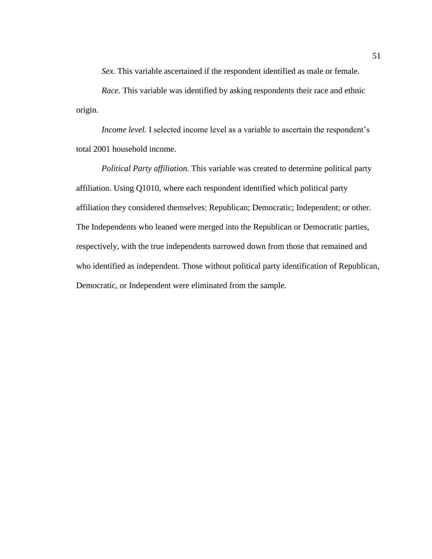*Sex.* This variable ascertained if the respondent identified as male or female.

*Race.* This variable was identified by asking respondents their race and ethnic origin.

*Income level.* I selected income level as a variable to ascertain the respondent's total 2001 household income.

*Political Party affiliation.* This variable was created to determine political party affiliation. Using Q1010, where each respondent identified which political party affiliation they considered themselves: Republican; Democratic; Independent; or other. The Independents who leaned were merged into the Republican or Democratic parties, respectively, with the true independents narrowed down from those that remained and who identified as independent. Those without political party identification of Republican, Democratic, or Independent were eliminated from the sample.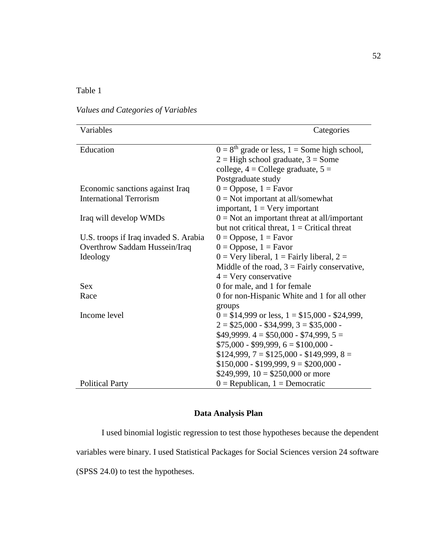# Table 1

# *Values and Categories of Variables*

| Variables                             | Categories                                                                                                                                               |
|---------------------------------------|----------------------------------------------------------------------------------------------------------------------------------------------------------|
| Education                             | $0 = 8th$ grade or less, 1 = Some high school,<br>$2 =$ High school graduate, $3 =$ Some<br>college, $4 =$ College graduate, $5 =$<br>Postgraduate study |
| Economic sanctions against Iraq       | $0 = Oppose, 1 = Favor$                                                                                                                                  |
| <b>International Terrorism</b>        | $0 = Not important at all/somewhat$                                                                                                                      |
| Iraq will develop WMDs                | important, $1 = \text{Very important}$<br>$0 = Not$ an important threat at all/important                                                                 |
|                                       | but not critical threat, $1 =$ Critical threat                                                                                                           |
| U.S. troops if Iraq invaded S. Arabia | $0 = Oppose, 1 = Favor$                                                                                                                                  |
| Overthrow Saddam Hussein/Iraq         | $0 = Oppose, 1 = Favor$                                                                                                                                  |
| Ideology                              | $0 = V$ ery liberal, $1 = F$ airly liberal, $2 =$                                                                                                        |
|                                       | Middle of the road, $3 =$ Fairly conservative,                                                                                                           |
|                                       | $4 = V$ ery conservative                                                                                                                                 |
| <b>Sex</b>                            | 0 for male, and 1 for female                                                                                                                             |
| Race                                  | 0 for non-Hispanic White and 1 for all other<br>groups                                                                                                   |
| Income level                          | $0 = $14,999$ or less, $1 = $15,000 - $24,999$ ,                                                                                                         |
|                                       | $2 = $25,000 - $34,999, 3 = $35,000 -$                                                                                                                   |
|                                       | $$49,9999.4 = $50,000 - $74,999, 5 =$                                                                                                                    |
|                                       | $$75,000 - $99,999, 6 = $100,000 -$                                                                                                                      |
|                                       | $$124,999, 7 = $125,000 - $149,999, 8 =$                                                                                                                 |
|                                       | $$150,000 - $199,999, 9 = $200,000 -$                                                                                                                    |
|                                       | \$249,999, $10 = $250,000$ or more                                                                                                                       |
| <b>Political Party</b>                | $0$ = Republican, 1 = Democratic                                                                                                                         |

# **Data Analysis Plan**

I used binomial logistic regression to test those hypotheses because the dependent variables were binary. I used Statistical Packages for Social Sciences version 24 software (SPSS 24.0) to test the hypotheses.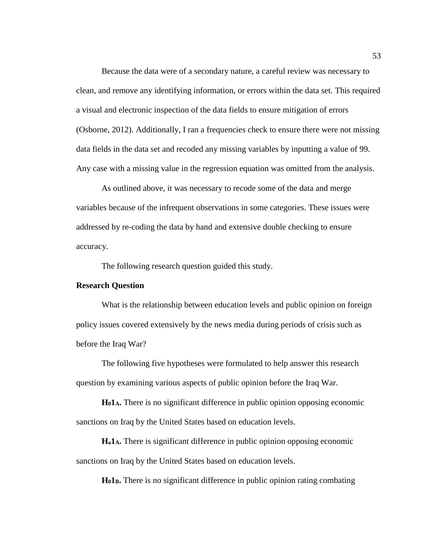Because the data were of a secondary nature, a careful review was necessary to clean, and remove any identifying information, or errors within the data set. This required a visual and electronic inspection of the data fields to ensure mitigation of errors (Osborne, 2012). Additionally, I ran a frequencies check to ensure there were not missing data fields in the data set and recoded any missing variables by inputting a value of 99. Any case with a missing value in the regression equation was omitted from the analysis.

As outlined above, it was necessary to recode some of the data and merge variables because of the infrequent observations in some categories. These issues were addressed by re-coding the data by hand and extensive double checking to ensure accuracy.

The following research question guided this study.

## **Research Question**

What is the relationship between education levels and public opinion on foreign policy issues covered extensively by the news media during periods of crisis such as before the Iraq War?

The following five hypotheses were formulated to help answer this research question by examining various aspects of public opinion before the Iraq War.

**H01A.** There is no significant difference in public opinion opposing economic sanctions on Iraq by the United States based on education levels.

**Ha1A.** There is significant difference in public opinion opposing economic sanctions on Iraq by the United States based on education levels.

**H01B.** There is no significant difference in public opinion rating combating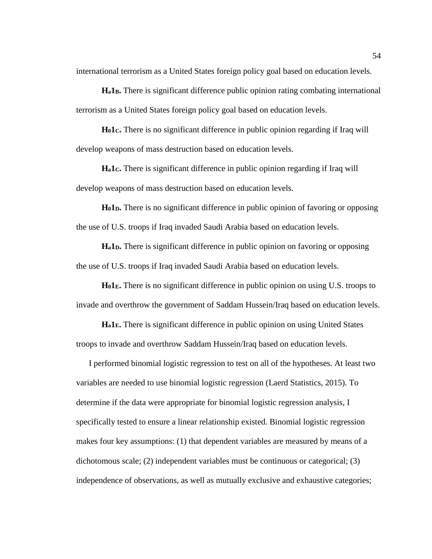international terrorism as a United States foreign policy goal based on education levels.

**Ha1B.** There is significant difference public opinion rating combating international terrorism as a United States foreign policy goal based on education levels.

**H01C.** There is no significant difference in public opinion regarding if Iraq will develop weapons of mass destruction based on education levels.

**Ha1C.** There is significant difference in public opinion regarding if Iraq will develop weapons of mass destruction based on education levels.

**H01D.** There is no significant difference in public opinion of favoring or opposing the use of U.S. troops if Iraq invaded Saudi Arabia based on education levels.

**Ha1D.** There is significant difference in public opinion on favoring or opposing the use of U.S. troops if Iraq invaded Saudi Arabia based on education levels.

**H01E.** There is no significant difference in public opinion on using U.S. troops to invade and overthrow the government of Saddam Hussein/Iraq based on education levels.

**Ha1E.** There is significant difference in public opinion on using United States troops to invade and overthrow Saddam Hussein/Iraq based on education levels.

I performed binomial logistic regression to test on all of the hypotheses. At least two variables are needed to use binomial logistic regression (Laerd Statistics, 2015). To determine if the data were appropriate for binomial logistic regression analysis, I specifically tested to ensure a linear relationship existed. Binomial logistic regression makes four key assumptions: (1) that dependent variables are measured by means of a dichotomous scale; (2) independent variables must be continuous or categorical; (3) independence of observations, as well as mutually exclusive and exhaustive categories;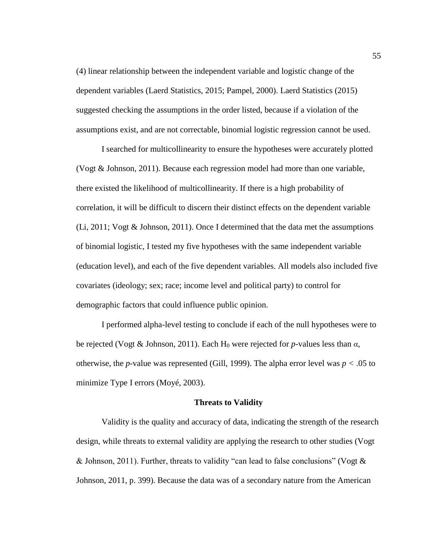(4) linear relationship between the independent variable and logistic change of the dependent variables (Laerd Statistics, 2015; Pampel, 2000). Laerd Statistics (2015) suggested checking the assumptions in the order listed, because if a violation of the assumptions exist, and are not correctable, binomial logistic regression cannot be used.

I searched for multicollinearity to ensure the hypotheses were accurately plotted (Vogt & Johnson, 2011). Because each regression model had more than one variable, there existed the likelihood of multicollinearity. If there is a high probability of correlation, it will be difficult to discern their distinct effects on the dependent variable (Li, 2011; Vogt & Johnson, 2011). Once I determined that the data met the assumptions of binomial logistic, I tested my five hypotheses with the same independent variable (education level), and each of the five dependent variables. All models also included five covariates (ideology; sex; race; income level and political party) to control for demographic factors that could influence public opinion.

I performed alpha-level testing to conclude if each of the null hypotheses were to be rejected (Vogt & Johnson, 2011). Each H<sup>0</sup> were rejected for *p*-values less than *α*, otherwise, the *p*-value was represented (Gill, 1999). The alpha error level was *p <* .05 to minimize Type I errors (Moyé, 2003).

#### **Threats to Validity**

Validity is the quality and accuracy of data, indicating the strength of the research design, while threats to external validity are applying the research to other studies (Vogt & Johnson, 2011). Further, threats to validity "can lead to false conclusions" (Vogt  $\&$ Johnson, 2011, p. 399). Because the data was of a secondary nature from the American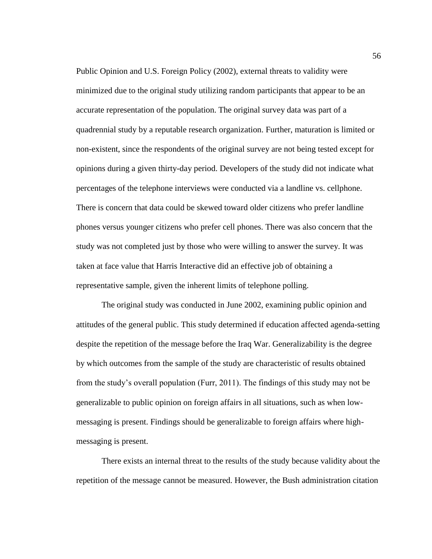Public Opinion and U.S. Foreign Policy (2002), external threats to validity were minimized due to the original study utilizing random participants that appear to be an accurate representation of the population. The original survey data was part of a quadrennial study by a reputable research organization. Further, maturation is limited or non-existent, since the respondents of the original survey are not being tested except for opinions during a given thirty-day period. Developers of the study did not indicate what percentages of the telephone interviews were conducted via a landline vs. cellphone. There is concern that data could be skewed toward older citizens who prefer landline phones versus younger citizens who prefer cell phones. There was also concern that the study was not completed just by those who were willing to answer the survey. It was taken at face value that Harris Interactive did an effective job of obtaining a representative sample, given the inherent limits of telephone polling.

The original study was conducted in June 2002, examining public opinion and attitudes of the general public. This study determined if education affected agenda-setting despite the repetition of the message before the Iraq War. Generalizability is the degree by which outcomes from the sample of the study are characteristic of results obtained from the study's overall population (Furr, 2011). The findings of this study may not be generalizable to public opinion on foreign affairs in all situations, such as when lowmessaging is present. Findings should be generalizable to foreign affairs where highmessaging is present.

There exists an internal threat to the results of the study because validity about the repetition of the message cannot be measured. However, the Bush administration citation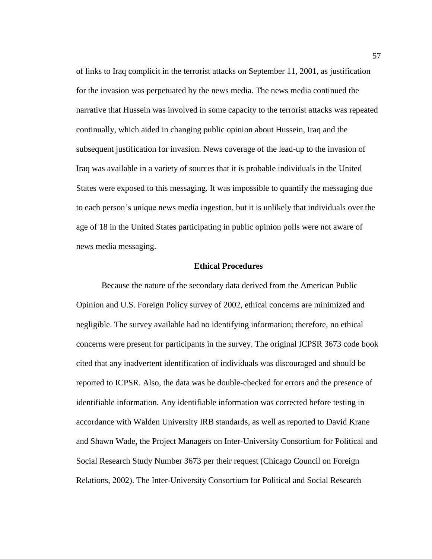of links to Iraq complicit in the terrorist attacks on September 11, 2001, as justification for the invasion was perpetuated by the news media. The news media continued the narrative that Hussein was involved in some capacity to the terrorist attacks was repeated continually, which aided in changing public opinion about Hussein, Iraq and the subsequent justification for invasion. News coverage of the lead-up to the invasion of Iraq was available in a variety of sources that it is probable individuals in the United States were exposed to this messaging. It was impossible to quantify the messaging due to each person's unique news media ingestion, but it is unlikely that individuals over the age of 18 in the United States participating in public opinion polls were not aware of news media messaging.

### **Ethical Procedures**

Because the nature of the secondary data derived from the American Public Opinion and U.S. Foreign Policy survey of 2002, ethical concerns are minimized and negligible. The survey available had no identifying information; therefore, no ethical concerns were present for participants in the survey. The original ICPSR 3673 code book cited that any inadvertent identification of individuals was discouraged and should be reported to ICPSR. Also, the data was be double-checked for errors and the presence of identifiable information. Any identifiable information was corrected before testing in accordance with Walden University IRB standards, as well as reported to David Krane and Shawn Wade, the Project Managers on Inter-University Consortium for Political and Social Research Study Number 3673 per their request (Chicago Council on Foreign Relations, 2002). The Inter-University Consortium for Political and Social Research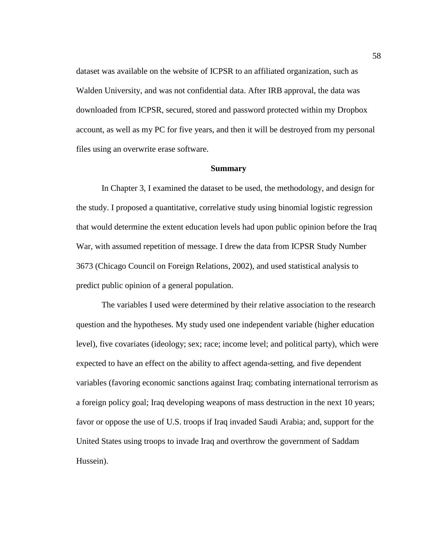dataset was available on the website of ICPSR to an affiliated organization, such as Walden University, and was not confidential data. After IRB approval, the data was downloaded from ICPSR, secured, stored and password protected within my Dropbox account, as well as my PC for five years, and then it will be destroyed from my personal files using an overwrite erase software.

# **Summary**

In Chapter 3, I examined the dataset to be used, the methodology, and design for the study. I proposed a quantitative, correlative study using binomial logistic regression that would determine the extent education levels had upon public opinion before the Iraq War, with assumed repetition of message. I drew the data from ICPSR Study Number 3673 (Chicago Council on Foreign Relations, 2002), and used statistical analysis to predict public opinion of a general population.

The variables I used were determined by their relative association to the research question and the hypotheses. My study used one independent variable (higher education level), five covariates (ideology; sex; race; income level; and political party), which were expected to have an effect on the ability to affect agenda-setting, and five dependent variables (favoring economic sanctions against Iraq; combating international terrorism as a foreign policy goal; Iraq developing weapons of mass destruction in the next 10 years; favor or oppose the use of U.S. troops if Iraq invaded Saudi Arabia; and, support for the United States using troops to invade Iraq and overthrow the government of Saddam Hussein).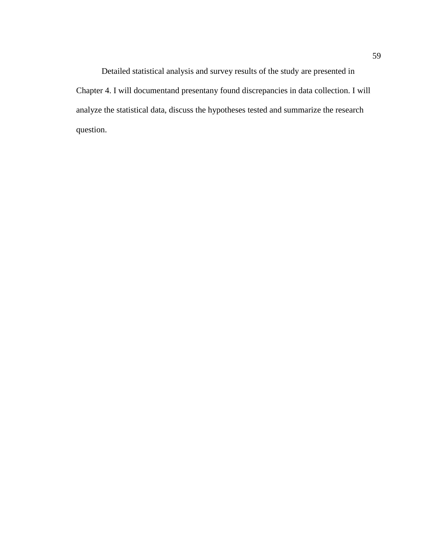Detailed statistical analysis and survey results of the study are presented in Chapter 4. I will documentand presentany found discrepancies in data collection. I will analyze the statistical data, discuss the hypotheses tested and summarize the research question.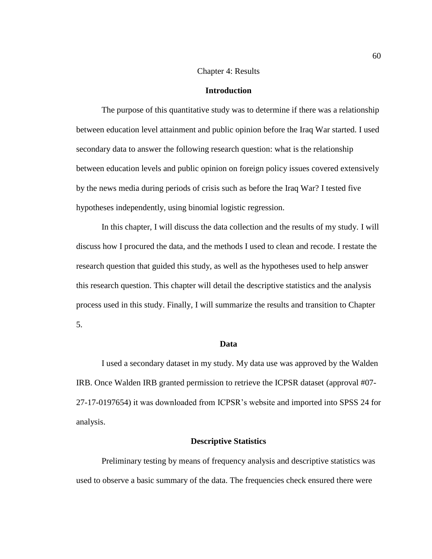# Chapter 4: Results

### **Introduction**

The purpose of this quantitative study was to determine if there was a relationship between education level attainment and public opinion before the Iraq War started. I used secondary data to answer the following research question: what is the relationship between education levels and public opinion on foreign policy issues covered extensively by the news media during periods of crisis such as before the Iraq War? I tested five hypotheses independently, using binomial logistic regression.

In this chapter, I will discuss the data collection and the results of my study. I will discuss how I procured the data, and the methods I used to clean and recode. I restate the research question that guided this study, as well as the hypotheses used to help answer this research question. This chapter will detail the descriptive statistics and the analysis process used in this study. Finally, I will summarize the results and transition to Chapter 5.

# **Data**

I used a secondary dataset in my study. My data use was approved by the Walden IRB. Once Walden IRB granted permission to retrieve the ICPSR dataset (approval #07- 27-17-0197654) it was downloaded from ICPSR's website and imported into SPSS 24 for analysis.

### **Descriptive Statistics**

Preliminary testing by means of frequency analysis and descriptive statistics was used to observe a basic summary of the data. The frequencies check ensured there were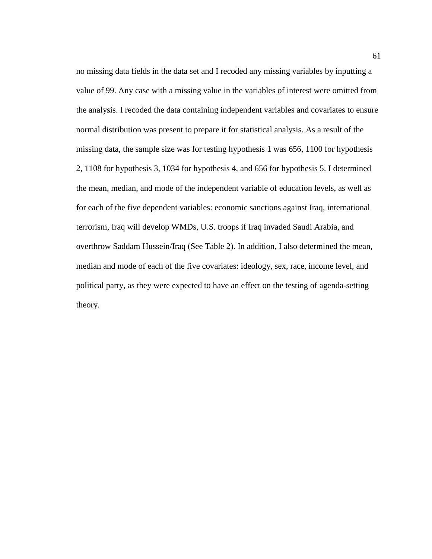no missing data fields in the data set and I recoded any missing variables by inputting a value of 99. Any case with a missing value in the variables of interest were omitted from the analysis. I recoded the data containing independent variables and covariates to ensure normal distribution was present to prepare it for statistical analysis. As a result of the missing data, the sample size was for testing hypothesis 1 was 656, 1100 for hypothesis 2, 1108 for hypothesis 3, 1034 for hypothesis 4, and 656 for hypothesis 5. I determined the mean, median, and mode of the independent variable of education levels, as well as for each of the five dependent variables: economic sanctions against Iraq, international terrorism, Iraq will develop WMDs, U.S. troops if Iraq invaded Saudi Arabia, and overthrow Saddam Hussein/Iraq (See Table 2). In addition, I also determined the mean, median and mode of each of the five covariates: ideology, sex, race, income level, and political party, as they were expected to have an effect on the testing of agenda-setting theory.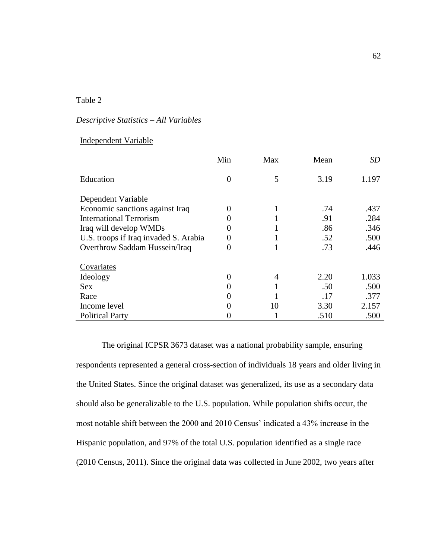# Table 2

## *Descriptive Statistics – All Variables*

| <b>Independent Variable</b>           |          |     |      |       |
|---------------------------------------|----------|-----|------|-------|
|                                       | Min      | Max | Mean | SD    |
| Education                             | $\Omega$ | 5   | 3.19 | 1.197 |
| Dependent Variable                    |          |     |      |       |
| Economic sanctions against Iraq       |          | 1   | .74  | .437  |
| <b>International Terrorism</b>        |          |     | .91  | .284  |
| Iraq will develop WMDs                |          |     | .86  | .346  |
| U.S. troops if Iraq invaded S. Arabia |          |     | .52  | .500  |
| Overthrow Saddam Hussein/Iraq         | 0        |     | .73  | .446  |
| Covariates                            |          |     |      |       |
| Ideology                              | $\theta$ | 4   | 2.20 | 1.033 |
| <b>Sex</b>                            |          |     | .50  | .500  |
| Race                                  |          |     | .17  | .377  |
| Income level                          |          | 10  | 3.30 | 2.157 |
| <b>Political Party</b>                |          |     | .510 | .500  |

The original ICPSR 3673 dataset was a national probability sample, ensuring respondents represented a general cross-section of individuals 18 years and older living in the United States. Since the original dataset was generalized, its use as a secondary data should also be generalizable to the U.S. population. While population shifts occur, the most notable shift between the 2000 and 2010 Census' indicated a 43% increase in the Hispanic population, and 97% of the total U.S. population identified as a single race (2010 Census, 2011). Since the original data was collected in June 2002, two years after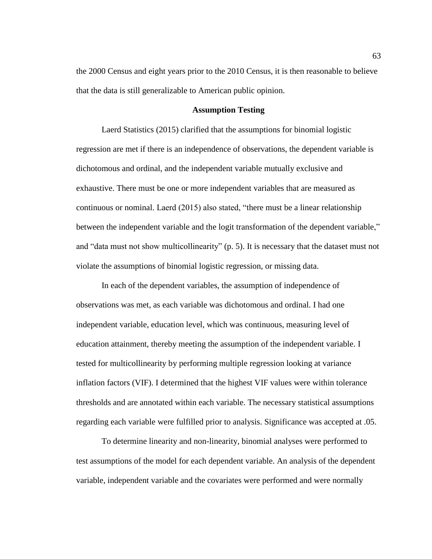the 2000 Census and eight years prior to the 2010 Census, it is then reasonable to believe that the data is still generalizable to American public opinion.

#### **Assumption Testing**

Laerd Statistics (2015) clarified that the assumptions for binomial logistic regression are met if there is an independence of observations, the dependent variable is dichotomous and ordinal, and the independent variable mutually exclusive and exhaustive. There must be one or more independent variables that are measured as continuous or nominal. Laerd (2015) also stated, "there must be a linear relationship between the independent variable and the logit transformation of the dependent variable," and "data must not show multicollinearity" (p. 5). It is necessary that the dataset must not violate the assumptions of binomial logistic regression, or missing data.

In each of the dependent variables, the assumption of independence of observations was met, as each variable was dichotomous and ordinal. I had one independent variable, education level, which was continuous, measuring level of education attainment, thereby meeting the assumption of the independent variable. I tested for multicollinearity by performing multiple regression looking at variance inflation factors (VIF). I determined that the highest VIF values were within tolerance thresholds and are annotated within each variable. The necessary statistical assumptions regarding each variable were fulfilled prior to analysis. Significance was accepted at .05.

To determine linearity and non-linearity, binomial analyses were performed to test assumptions of the model for each dependent variable. An analysis of the dependent variable, independent variable and the covariates were performed and were normally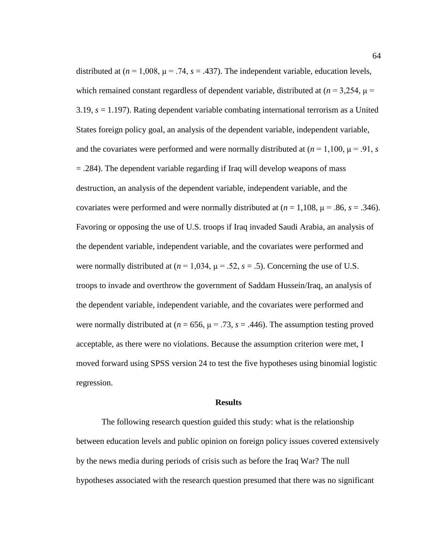distributed at  $(n = 1,008, \mu = .74, s = .437)$ . The independent variable, education levels, which remained constant regardless of dependent variable, distributed at  $(n = 3,254, \mu =$ 3.19, *s* = 1.197). Rating dependent variable combating international terrorism as a United States foreign policy goal, an analysis of the dependent variable, independent variable, and the covariates were performed and were normally distributed at  $(n = 1,100, \mu = .91, s)$ = .284). The dependent variable regarding if Iraq will develop weapons of mass destruction, an analysis of the dependent variable, independent variable, and the covariates were performed and were normally distributed at  $(n = 1,108, \mu = .86, s = .346)$ . Favoring or opposing the use of U.S. troops if Iraq invaded Saudi Arabia, an analysis of the dependent variable, independent variable, and the covariates were performed and were normally distributed at  $(n = 1.034, \mu = .52, s = .5)$ . Concerning the use of U.S. troops to invade and overthrow the government of Saddam Hussein/Iraq, an analysis of the dependent variable, independent variable, and the covariates were performed and were normally distributed at ( $n = 656$ ,  $\mu = .73$ ,  $s = .446$ ). The assumption testing proved acceptable, as there were no violations. Because the assumption criterion were met, I moved forward using SPSS version 24 to test the five hypotheses using binomial logistic regression.

#### **Results**

The following research question guided this study: what is the relationship between education levels and public opinion on foreign policy issues covered extensively by the news media during periods of crisis such as before the Iraq War? The null hypotheses associated with the research question presumed that there was no significant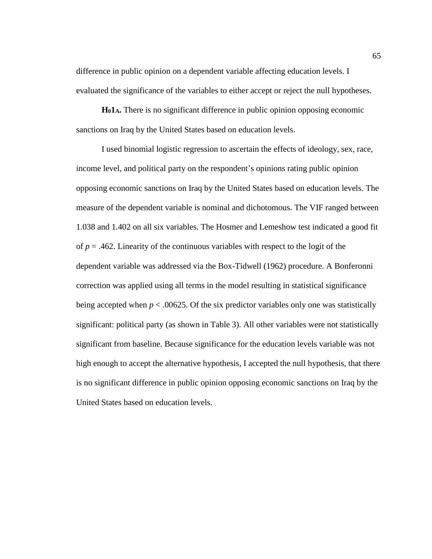difference in public opinion on a dependent variable affecting education levels. I evaluated the significance of the variables to either accept or reject the null hypotheses.

**H01A.** There is no significant difference in public opinion opposing economic sanctions on Iraq by the United States based on education levels.

I used binomial logistic regression to ascertain the effects of ideology, sex, race, income level, and political party on the respondent's opinions rating public opinion opposing economic sanctions on Iraq by the United States based on education levels. The measure of the dependent variable is nominal and dichotomous. The VIF ranged between 1.038 and 1.402 on all six variables. The Hosmer and Lemeshow test indicated a good fit of  $p = .462$ . Linearity of the continuous variables with respect to the logit of the dependent variable was addressed via the Box-Tidwell (1962) procedure. A Bonferonni correction was applied using all terms in the model resulting in statistical significance being accepted when  $p < .00625$ . Of the six predictor variables only one was statistically significant: political party (as shown in Table 3). All other variables were not statistically significant from baseline. Because significance for the education levels variable was not high enough to accept the alternative hypothesis, I accepted the null hypothesis, that there is no significant difference in public opinion opposing economic sanctions on Iraq by the United States based on education levels.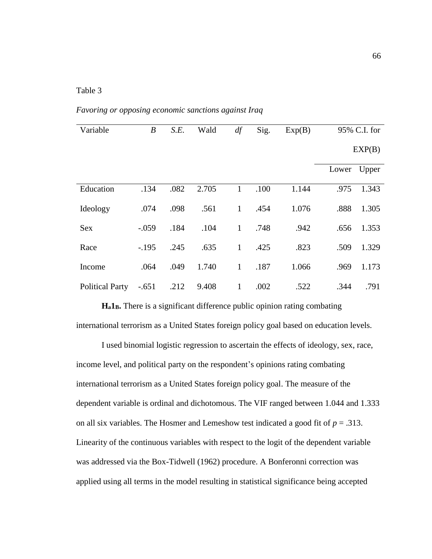## Table 3

*Favoring or opposing economic sanctions against Iraq*

| Variable               | $\boldsymbol{B}$ | S.E. | Wald  | df             | Sig. | Exp(B) |             | 95% C.I. for |
|------------------------|------------------|------|-------|----------------|------|--------|-------------|--------------|
|                        |                  |      |       |                |      |        |             |              |
|                        |                  |      |       |                |      |        |             | EXP(B)       |
|                        |                  |      |       |                |      |        |             |              |
|                        |                  |      |       |                |      |        | Lower Upper |              |
| Education              | .134             | .082 | 2.705 | $\mathbf{1}$   | .100 | 1.144  | .975        | 1.343        |
|                        |                  |      |       |                |      |        |             |              |
| Ideology               | .074             | .098 | .561  | $\mathbf{1}$   | .454 | 1.076  | .888        | 1.305        |
|                        | $-.059$          | .184 |       | $\mathbf{1}$   | .748 | .942   |             | 1.353        |
| <b>Sex</b>             |                  |      | .104  |                |      |        | .656        |              |
| Race                   | $-.195$          | .245 | .635  | $\mathbf{1}$   | .425 | .823   | .509        | 1.329        |
|                        |                  |      |       |                |      |        |             |              |
| Income                 | .064             | .049 | 1.740 | $\overline{1}$ | .187 | 1.066  | .969        | 1.173        |
|                        |                  |      |       |                |      |        |             |              |
| <b>Political Party</b> | $-.651$          | .212 | 9.408 | $\mathbf{1}$   | .002 | .522   | .344        | .791         |

**Ha1B.** There is a significant difference public opinion rating combating international terrorism as a United States foreign policy goal based on education levels.

I used binomial logistic regression to ascertain the effects of ideology, sex, race, income level, and political party on the respondent's opinions rating combating international terrorism as a United States foreign policy goal. The measure of the dependent variable is ordinal and dichotomous. The VIF ranged between 1.044 and 1.333 on all six variables. The Hosmer and Lemeshow test indicated a good fit of  $p = .313$ . Linearity of the continuous variables with respect to the logit of the dependent variable was addressed via the Box-Tidwell (1962) procedure. A Bonferonni correction was applied using all terms in the model resulting in statistical significance being accepted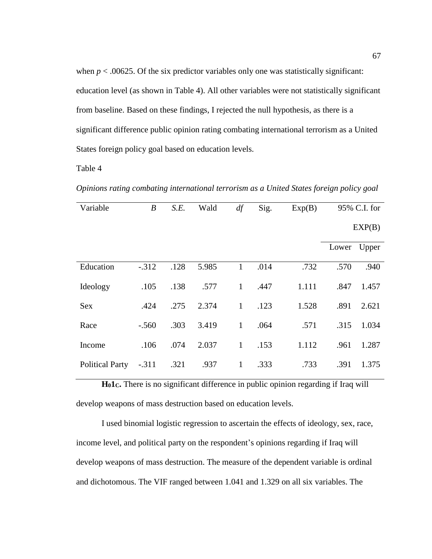when  $p < .00625$ . Of the six predictor variables only one was statistically significant: education level (as shown in Table 4). All other variables were not statistically significant from baseline. Based on these findings, I rejected the null hypothesis, as there is a significant difference public opinion rating combating international terrorism as a United States foreign policy goal based on education levels.

Table 4

*Opinions rating combating international terrorism as a United States foreign policy goal*

| Variable               | $\boldsymbol{B}$ | S.E. | Wald  | df           | Sig. | Exp(B) | 95% C.I. for |       |
|------------------------|------------------|------|-------|--------------|------|--------|--------------|-------|
|                        |                  |      |       |              |      |        | EXP(B)       |       |
|                        |                  |      |       |              |      |        | Lower Upper  |       |
| Education              | $-0.312$         | .128 | 5.985 | $\mathbf{1}$ | .014 | .732   | .570         | .940  |
| Ideology               | .105             | .138 | .577  | $\mathbf{1}$ | .447 | 1.111  | .847         | 1.457 |
| <b>Sex</b>             | .424             | .275 | 2.374 | $\mathbf{1}$ | .123 | 1.528  | .891         | 2.621 |
| Race                   | $-.560$          | .303 | 3.419 | $\mathbf{1}$ | .064 | .571   | .315         | 1.034 |
| Income                 | .106             | .074 | 2.037 | $\mathbf{1}$ | .153 | 1.112  | .961         | 1.287 |
| <b>Political Party</b> | $-.311$          | .321 | .937  | $\mathbf{1}$ | .333 | .733   | .391         | 1.375 |

**H01C.** There is no significant difference in public opinion regarding if Iraq will develop weapons of mass destruction based on education levels.

I used binomial logistic regression to ascertain the effects of ideology, sex, race, income level, and political party on the respondent's opinions regarding if Iraq will develop weapons of mass destruction. The measure of the dependent variable is ordinal and dichotomous. The VIF ranged between 1.041 and 1.329 on all six variables. The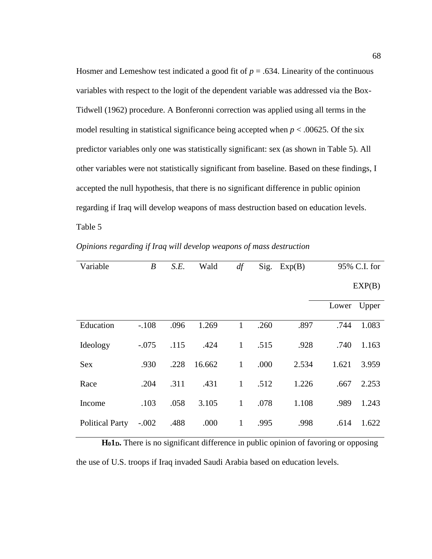Hosmer and Lemeshow test indicated a good fit of  $p = .634$ . Linearity of the continuous variables with respect to the logit of the dependent variable was addressed via the Box-Tidwell (1962) procedure. A Bonferonni correction was applied using all terms in the model resulting in statistical significance being accepted when  $p < .00625$ . Of the six predictor variables only one was statistically significant: sex (as shown in Table 5). All other variables were not statistically significant from baseline. Based on these findings, I accepted the null hypothesis, that there is no significant difference in public opinion regarding if Iraq will develop weapons of mass destruction based on education levels. Table 5

*Opinions regarding if Iraq will develop weapons of mass destruction*

| Variable               | $\boldsymbol{B}$ | S.E. | Wald   | df           | Sig. | Exp(B) |       | 95% C.I. for |
|------------------------|------------------|------|--------|--------------|------|--------|-------|--------------|
|                        |                  |      |        |              |      |        |       | EXP(B)       |
|                        |                  |      |        |              |      |        | Lower | Upper        |
| Education              | $-.108$          | .096 | 1.269  | 1            | .260 | .897   | .744  | 1.083        |
| Ideology               | $-.075$          | .115 | .424   | $\mathbf{1}$ | .515 | .928   | .740  | 1.163        |
| <b>Sex</b>             | .930             | .228 | 16.662 | $\mathbf{1}$ | .000 | 2.534  | 1.621 | 3.959        |
| Race                   | .204             | .311 | .431   | $\mathbf{1}$ | .512 | 1.226  | .667  | 2.253        |
| Income                 | .103             | .058 | 3.105  | $\mathbf{1}$ | .078 | 1.108  | .989  | 1.243        |
| <b>Political Party</b> | $-.002$          | .488 | .000   | $\mathbf{1}$ | .995 | .998   | .614  | 1.622        |

**H01D.** There is no significant difference in public opinion of favoring or opposing the use of U.S. troops if Iraq invaded Saudi Arabia based on education levels.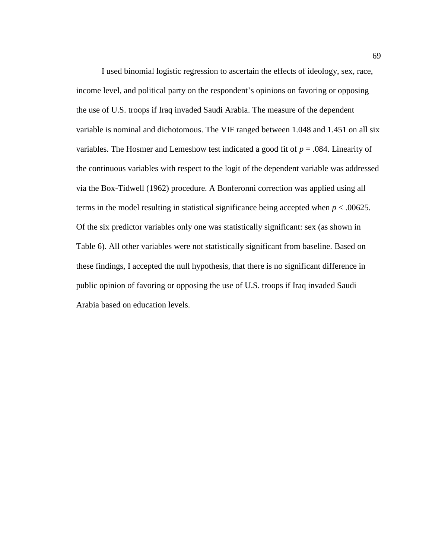I used binomial logistic regression to ascertain the effects of ideology, sex, race, income level, and political party on the respondent's opinions on favoring or opposing the use of U.S. troops if Iraq invaded Saudi Arabia. The measure of the dependent variable is nominal and dichotomous. The VIF ranged between 1.048 and 1.451 on all six variables. The Hosmer and Lemeshow test indicated a good fit of *p* = .084. Linearity of the continuous variables with respect to the logit of the dependent variable was addressed via the Box-Tidwell (1962) procedure. A Bonferonni correction was applied using all terms in the model resulting in statistical significance being accepted when  $p < .00625$ . Of the six predictor variables only one was statistically significant: sex (as shown in Table 6). All other variables were not statistically significant from baseline. Based on these findings, I accepted the null hypothesis, that there is no significant difference in public opinion of favoring or opposing the use of U.S. troops if Iraq invaded Saudi Arabia based on education levels.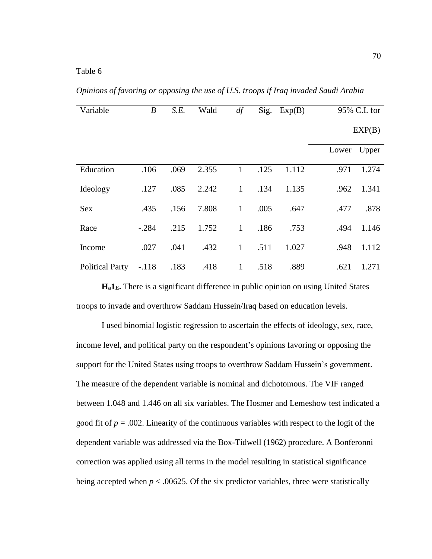*Opinions of favoring or opposing the use of U.S. troops if Iraq invaded Saudi Arabia*

| Variable               | $\boldsymbol{B}$ | S.E. | Wald  | df           |      | $Sig.$ Exp $(B)$ | 95% C.I. for |       |
|------------------------|------------------|------|-------|--------------|------|------------------|--------------|-------|
|                        |                  |      |       |              |      |                  | EXP(B)       |       |
|                        |                  |      |       |              |      |                  | Lower Upper  |       |
| Education              | .106             | .069 | 2.355 | $\mathbf{1}$ | .125 | 1.112            | .971         | 1.274 |
| Ideology               | .127             | .085 | 2.242 | $\mathbf{1}$ | .134 | 1.135            | .962         | 1.341 |
| Sex                    | .435             | .156 | 7.808 | $\mathbf{1}$ | .005 | .647             | .477         | .878  |
| Race                   | $-.284$          | .215 | 1.752 | $\mathbf{1}$ | .186 | .753             | .494         | 1.146 |
| Income                 | .027             | .041 | .432  | $\mathbf{1}$ | .511 | 1.027            | .948         | 1.112 |
| <b>Political Party</b> | $-.118$          | .183 | .418  | $\mathbf{1}$ | .518 | .889             | .621         | 1.271 |

**Ha1E.** There is a significant difference in public opinion on using United States troops to invade and overthrow Saddam Hussein/Iraq based on education levels.

I used binomial logistic regression to ascertain the effects of ideology, sex, race, income level, and political party on the respondent's opinions favoring or opposing the support for the United States using troops to overthrow Saddam Hussein's government. The measure of the dependent variable is nominal and dichotomous. The VIF ranged between 1.048 and 1.446 on all six variables. The Hosmer and Lemeshow test indicated a good fit of  $p = .002$ . Linearity of the continuous variables with respect to the logit of the dependent variable was addressed via the Box-Tidwell (1962) procedure. A Bonferonni correction was applied using all terms in the model resulting in statistical significance being accepted when  $p < .00625$ . Of the six predictor variables, three were statistically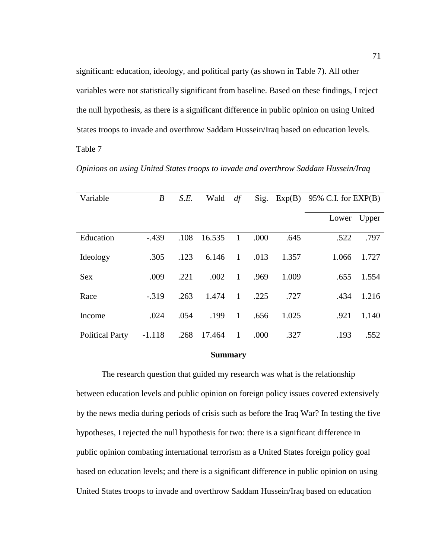significant: education, ideology, and political party (as shown in Table 7). All other variables were not statistically significant from baseline. Based on these findings, I reject the null hypothesis, as there is a significant difference in public opinion on using United States troops to invade and overthrow Saddam Hussein/Iraq based on education levels. Table 7

| Variable               | $\boldsymbol{B}$ | S.E. | Wald   | df           | Sig. | Exp(B) | 95% C.I. for $EXP(B)$ |       |
|------------------------|------------------|------|--------|--------------|------|--------|-----------------------|-------|
|                        |                  |      |        |              |      |        | Lower Upper           |       |
| Education              | $-439$           | .108 | 16.535 | 1            | .000 | .645   | .522                  | .797  |
| Ideology               | .305             | .123 | 6.146  | $\mathbf{1}$ | .013 | 1.357  | 1.066                 | 1.727 |
| <b>Sex</b>             | .009             | .221 | .002   | 1            | .969 | 1.009  | .655                  | 1.554 |
| Race                   | $-0.319$         | .263 | 1.474  | $\mathbf{1}$ | .225 | .727   | .434                  | 1.216 |
| Income                 | .024             | .054 | .199   | 1            | .656 | 1.025  | .921                  | 1.140 |
| <b>Political Party</b> | $-1.118$         | .268 | 17.464 | 1            | .000 | .327   | .193                  | .552  |

*Opinions on using United States troops to invade and overthrow Saddam Hussein/Iraq*

#### **Summary**

The research question that guided my research was what is the relationship between education levels and public opinion on foreign policy issues covered extensively by the news media during periods of crisis such as before the Iraq War? In testing the five hypotheses, I rejected the null hypothesis for two: there is a significant difference in public opinion combating international terrorism as a United States foreign policy goal based on education levels; and there is a significant difference in public opinion on using United States troops to invade and overthrow Saddam Hussein/Iraq based on education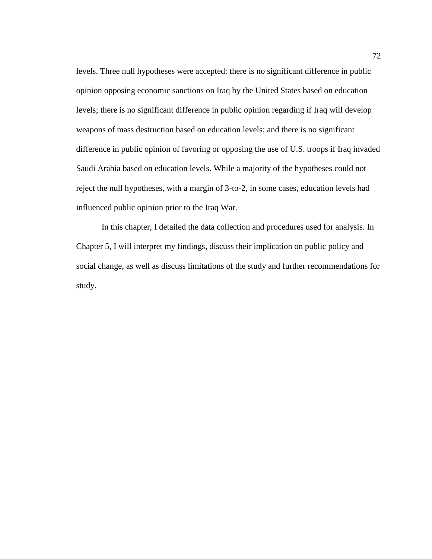levels. Three null hypotheses were accepted: there is no significant difference in public opinion opposing economic sanctions on Iraq by the United States based on education levels; there is no significant difference in public opinion regarding if Iraq will develop weapons of mass destruction based on education levels; and there is no significant difference in public opinion of favoring or opposing the use of U.S. troops if Iraq invaded Saudi Arabia based on education levels. While a majority of the hypotheses could not reject the null hypotheses, with a margin of 3-to-2, in some cases, education levels had influenced public opinion prior to the Iraq War.

In this chapter, I detailed the data collection and procedures used for analysis. In Chapter 5, I will interpret my findings, discuss their implication on public policy and social change, as well as discuss limitations of the study and further recommendations for study.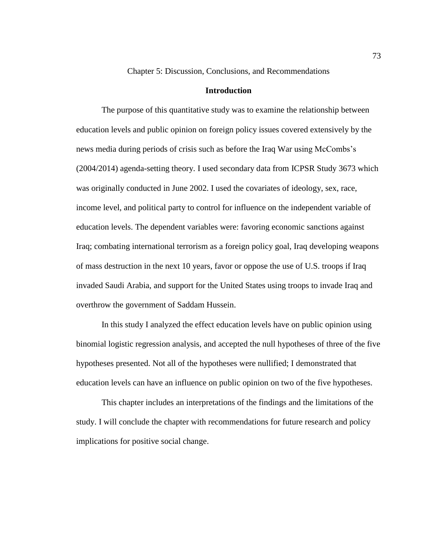Chapter 5: Discussion, Conclusions, and Recommendations

#### **Introduction**

The purpose of this quantitative study was to examine the relationship between education levels and public opinion on foreign policy issues covered extensively by the news media during periods of crisis such as before the Iraq War using McCombs's (2004/2014) agenda-setting theory. I used secondary data from ICPSR Study 3673 which was originally conducted in June 2002. I used the covariates of ideology, sex, race, income level, and political party to control for influence on the independent variable of education levels. The dependent variables were: favoring economic sanctions against Iraq; combating international terrorism as a foreign policy goal, Iraq developing weapons of mass destruction in the next 10 years, favor or oppose the use of U.S. troops if Iraq invaded Saudi Arabia, and support for the United States using troops to invade Iraq and overthrow the government of Saddam Hussein.

In this study I analyzed the effect education levels have on public opinion using binomial logistic regression analysis, and accepted the null hypotheses of three of the five hypotheses presented. Not all of the hypotheses were nullified; I demonstrated that education levels can have an influence on public opinion on two of the five hypotheses.

This chapter includes an interpretations of the findings and the limitations of the study. I will conclude the chapter with recommendations for future research and policy implications for positive social change.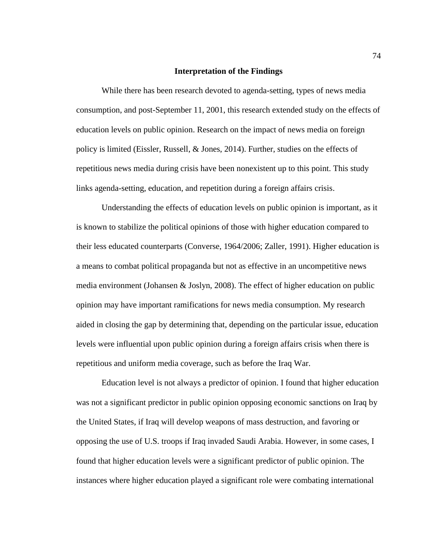### **Interpretation of the Findings**

While there has been research devoted to agenda-setting, types of news media consumption, and post-September 11, 2001, this research extended study on the effects of education levels on public opinion. Research on the impact of news media on foreign policy is limited (Eissler, Russell, & Jones, 2014). Further, studies on the effects of repetitious news media during crisis have been nonexistent up to this point. This study links agenda-setting, education, and repetition during a foreign affairs crisis.

Understanding the effects of education levels on public opinion is important, as it is known to stabilize the political opinions of those with higher education compared to their less educated counterparts (Converse, 1964/2006; Zaller, 1991). Higher education is a means to combat political propaganda but not as effective in an uncompetitive news media environment (Johansen & Joslyn, 2008). The effect of higher education on public opinion may have important ramifications for news media consumption. My research aided in closing the gap by determining that, depending on the particular issue, education levels were influential upon public opinion during a foreign affairs crisis when there is repetitious and uniform media coverage, such as before the Iraq War.

Education level is not always a predictor of opinion. I found that higher education was not a significant predictor in public opinion opposing economic sanctions on Iraq by the United States, if Iraq will develop weapons of mass destruction, and favoring or opposing the use of U.S. troops if Iraq invaded Saudi Arabia. However, in some cases, I found that higher education levels were a significant predictor of public opinion. The instances where higher education played a significant role were combating international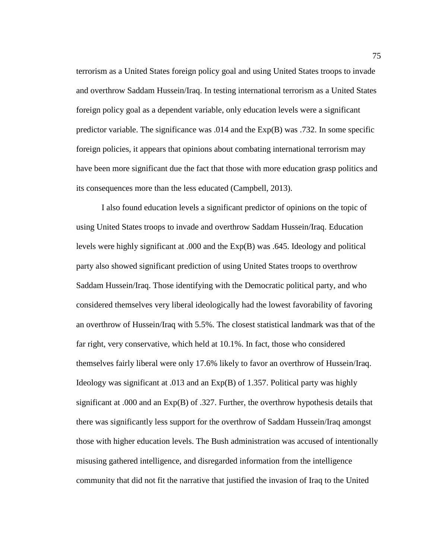terrorism as a United States foreign policy goal and using United States troops to invade and overthrow Saddam Hussein/Iraq. In testing international terrorism as a United States foreign policy goal as a dependent variable, only education levels were a significant predictor variable. The significance was .014 and the Exp(B) was .732. In some specific foreign policies, it appears that opinions about combating international terrorism may have been more significant due the fact that those with more education grasp politics and its consequences more than the less educated (Campbell, 2013).

I also found education levels a significant predictor of opinions on the topic of using United States troops to invade and overthrow Saddam Hussein/Iraq. Education levels were highly significant at .000 and the Exp(B) was .645. Ideology and political party also showed significant prediction of using United States troops to overthrow Saddam Hussein/Iraq. Those identifying with the Democratic political party, and who considered themselves very liberal ideologically had the lowest favorability of favoring an overthrow of Hussein/Iraq with 5.5%. The closest statistical landmark was that of the far right, very conservative, which held at 10.1%. In fact, those who considered themselves fairly liberal were only 17.6% likely to favor an overthrow of Hussein/Iraq. Ideology was significant at .013 and an Exp(B) of 1.357. Political party was highly significant at .000 and an Exp(B) of .327. Further, the overthrow hypothesis details that there was significantly less support for the overthrow of Saddam Hussein/Iraq amongst those with higher education levels. The Bush administration was accused of intentionally misusing gathered intelligence, and disregarded information from the intelligence community that did not fit the narrative that justified the invasion of Iraq to the United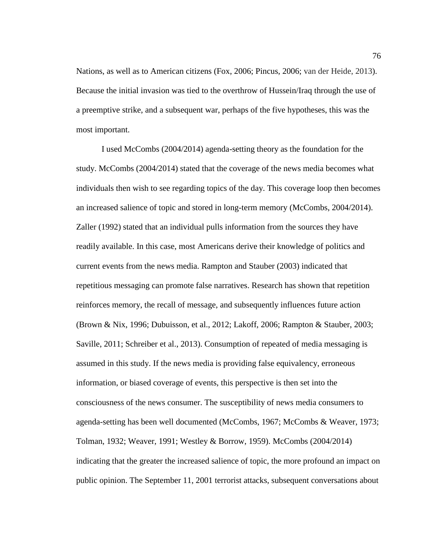Nations, as well as to American citizens (Fox, 2006; Pincus, 2006; van der Heide, 2013). Because the initial invasion was tied to the overthrow of Hussein/Iraq through the use of a preemptive strike, and a subsequent war, perhaps of the five hypotheses, this was the most important.

I used McCombs (2004/2014) agenda-setting theory as the foundation for the study. McCombs (2004/2014) stated that the coverage of the news media becomes what individuals then wish to see regarding topics of the day. This coverage loop then becomes an increased salience of topic and stored in long-term memory (McCombs, 2004/2014). Zaller (1992) stated that an individual pulls information from the sources they have readily available. In this case, most Americans derive their knowledge of politics and current events from the news media. Rampton and Stauber (2003) indicated that repetitious messaging can promote false narratives. Research has shown that repetition reinforces memory, the recall of message, and subsequently influences future action (Brown & Nix, 1996; Dubuisson, et al., 2012; Lakoff, 2006; Rampton & Stauber, 2003; Saville, 2011; Schreiber et al., 2013). Consumption of repeated of media messaging is assumed in this study. If the news media is providing false equivalency, erroneous information, or biased coverage of events, this perspective is then set into the consciousness of the news consumer. The susceptibility of news media consumers to agenda-setting has been well documented (McCombs, 1967; McCombs & Weaver, 1973; Tolman, 1932; Weaver, 1991; Westley & Borrow, 1959). McCombs (2004/2014) indicating that the greater the increased salience of topic, the more profound an impact on public opinion. The September 11, 2001 terrorist attacks, subsequent conversations about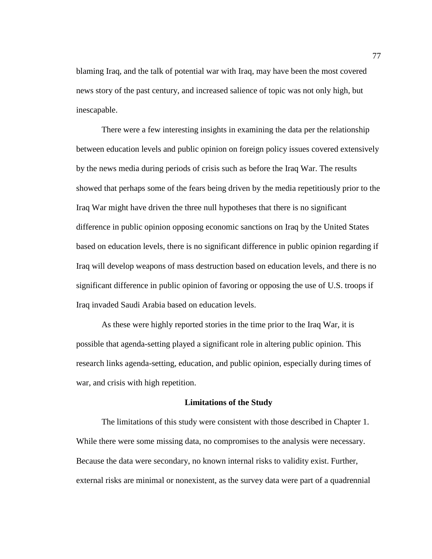blaming Iraq, and the talk of potential war with Iraq, may have been the most covered news story of the past century, and increased salience of topic was not only high, but inescapable.

There were a few interesting insights in examining the data per the relationship between education levels and public opinion on foreign policy issues covered extensively by the news media during periods of crisis such as before the Iraq War. The results showed that perhaps some of the fears being driven by the media repetitiously prior to the Iraq War might have driven the three null hypotheses that there is no significant difference in public opinion opposing economic sanctions on Iraq by the United States based on education levels, there is no significant difference in public opinion regarding if Iraq will develop weapons of mass destruction based on education levels, and there is no significant difference in public opinion of favoring or opposing the use of U.S. troops if Iraq invaded Saudi Arabia based on education levels.

As these were highly reported stories in the time prior to the Iraq War, it is possible that agenda-setting played a significant role in altering public opinion. This research links agenda-setting, education, and public opinion, especially during times of war, and crisis with high repetition.

#### **Limitations of the Study**

The limitations of this study were consistent with those described in Chapter 1. While there were some missing data, no compromises to the analysis were necessary. Because the data were secondary, no known internal risks to validity exist. Further, external risks are minimal or nonexistent, as the survey data were part of a quadrennial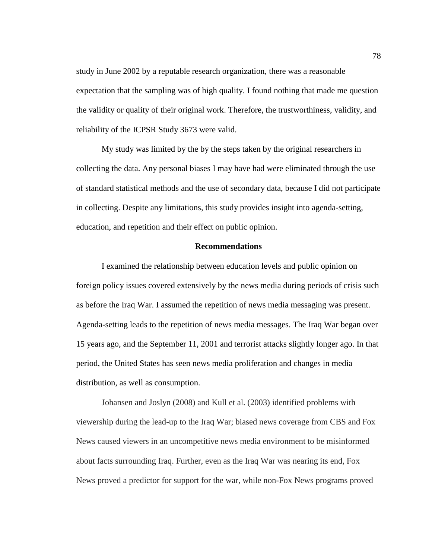study in June 2002 by a reputable research organization, there was a reasonable expectation that the sampling was of high quality. I found nothing that made me question the validity or quality of their original work. Therefore, the trustworthiness, validity, and reliability of the ICPSR Study 3673 were valid.

My study was limited by the by the steps taken by the original researchers in collecting the data. Any personal biases I may have had were eliminated through the use of standard statistical methods and the use of secondary data, because I did not participate in collecting. Despite any limitations, this study provides insight into agenda-setting, education, and repetition and their effect on public opinion.

## **Recommendations**

I examined the relationship between education levels and public opinion on foreign policy issues covered extensively by the news media during periods of crisis such as before the Iraq War. I assumed the repetition of news media messaging was present. Agenda-setting leads to the repetition of news media messages. The Iraq War began over 15 years ago, and the September 11, 2001 and terrorist attacks slightly longer ago. In that period, the United States has seen news media proliferation and changes in media distribution, as well as consumption.

Johansen and Joslyn (2008) and Kull et al. (2003) identified problems with viewership during the lead-up to the Iraq War; biased news coverage from CBS and Fox News caused viewers in an uncompetitive news media environment to be misinformed about facts surrounding Iraq. Further, even as the Iraq War was nearing its end, Fox News proved a predictor for support for the war, while non-Fox News programs proved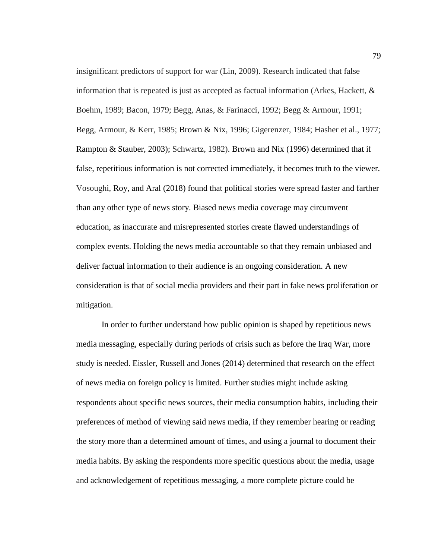insignificant predictors of support for war (Lin, 2009). Research indicated that false information that is repeated is just as accepted as factual information (Arkes, Hackett,  $\&$ Boehm, 1989; Bacon, 1979; Begg, Anas, & Farinacci, 1992; Begg & Armour, 1991; Begg, Armour, & Kerr, 1985; Brown & Nix, 1996; Gigerenzer, 1984; Hasher et al., 1977; Rampton & Stauber, 2003); Schwartz, 1982). Brown and Nix (1996) determined that if false, repetitious information is not corrected immediately, it becomes truth to the viewer. Vosoughi, Roy, and Aral (2018) found that political stories were spread faster and farther than any other type of news story. Biased news media coverage may circumvent education, as inaccurate and misrepresented stories create flawed understandings of complex events. Holding the news media accountable so that they remain unbiased and deliver factual information to their audience is an ongoing consideration. A new consideration is that of social media providers and their part in fake news proliferation or mitigation.

In order to further understand how public opinion is shaped by repetitious news media messaging, especially during periods of crisis such as before the Iraq War, more study is needed. Eissler, Russell and Jones (2014) determined that research on the effect of news media on foreign policy is limited. Further studies might include asking respondents about specific news sources, their media consumption habits, including their preferences of method of viewing said news media, if they remember hearing or reading the story more than a determined amount of times, and using a journal to document their media habits. By asking the respondents more specific questions about the media, usage and acknowledgement of repetitious messaging, a more complete picture could be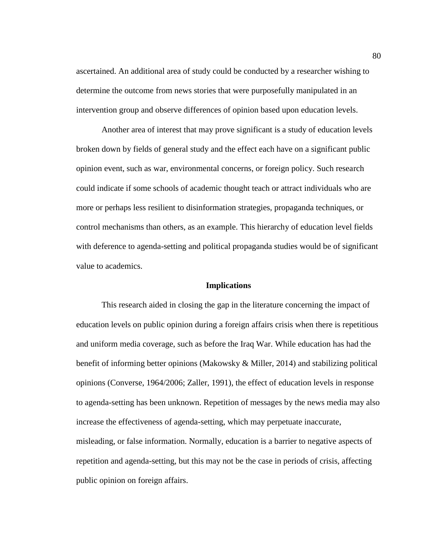ascertained. An additional area of study could be conducted by a researcher wishing to determine the outcome from news stories that were purposefully manipulated in an intervention group and observe differences of opinion based upon education levels.

Another area of interest that may prove significant is a study of education levels broken down by fields of general study and the effect each have on a significant public opinion event, such as war, environmental concerns, or foreign policy. Such research could indicate if some schools of academic thought teach or attract individuals who are more or perhaps less resilient to disinformation strategies, propaganda techniques, or control mechanisms than others, as an example. This hierarchy of education level fields with deference to agenda-setting and political propaganda studies would be of significant value to academics.

## **Implications**

This research aided in closing the gap in the literature concerning the impact of education levels on public opinion during a foreign affairs crisis when there is repetitious and uniform media coverage, such as before the Iraq War. While education has had the benefit of informing better opinions (Makowsky & Miller, 2014) and stabilizing political opinions (Converse, 1964/2006; Zaller, 1991), the effect of education levels in response to agenda-setting has been unknown. Repetition of messages by the news media may also increase the effectiveness of agenda-setting, which may perpetuate inaccurate, misleading, or false information. Normally, education is a barrier to negative aspects of repetition and agenda-setting, but this may not be the case in periods of crisis, affecting public opinion on foreign affairs.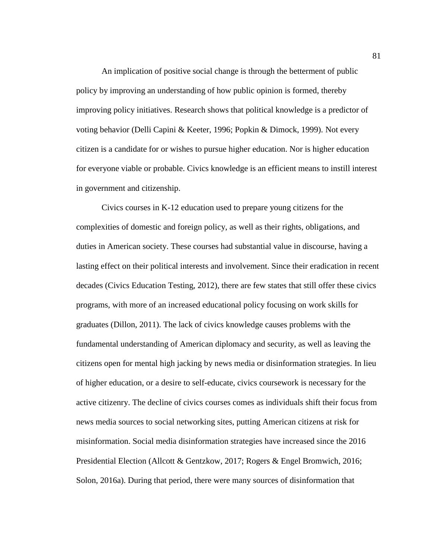An implication of positive social change is through the betterment of public policy by improving an understanding of how public opinion is formed, thereby improving policy initiatives. Research shows that political knowledge is a predictor of voting behavior (Delli Capini & Keeter, 1996; Popkin & Dimock, 1999). Not every citizen is a candidate for or wishes to pursue higher education. Nor is higher education for everyone viable or probable. Civics knowledge is an efficient means to instill interest in government and citizenship.

Civics courses in K-12 education used to prepare young citizens for the complexities of domestic and foreign policy, as well as their rights, obligations, and duties in American society. These courses had substantial value in discourse, having a lasting effect on their political interests and involvement. Since their eradication in recent decades (Civics Education Testing, 2012), there are few states that still offer these civics programs, with more of an increased educational policy focusing on work skills for graduates (Dillon, 2011). The lack of civics knowledge causes problems with the fundamental understanding of American diplomacy and security, as well as leaving the citizens open for mental high jacking by news media or disinformation strategies. In lieu of higher education, or a desire to self-educate, civics coursework is necessary for the active citizenry. The decline of civics courses comes as individuals shift their focus from news media sources to social networking sites, putting American citizens at risk for misinformation. Social media disinformation strategies have increased since the 2016 Presidential Election (Allcott & Gentzkow, 2017; Rogers & Engel Bromwich, 2016; Solon, 2016a). During that period, there were many sources of disinformation that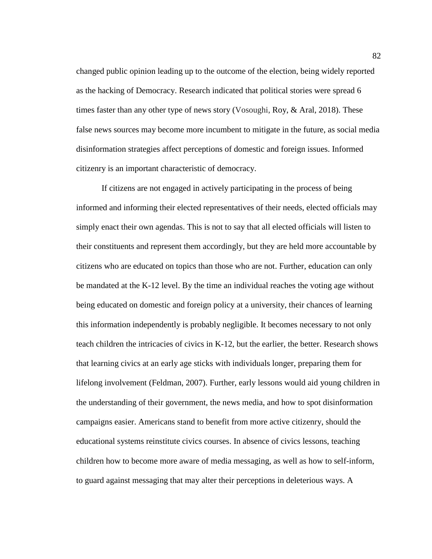changed public opinion leading up to the outcome of the election, being widely reported as the hacking of Democracy. Research indicated that political stories were spread 6 times faster than any other type of news story (Vosoughi, Roy, & Aral, 2018). These false news sources may become more incumbent to mitigate in the future, as social media disinformation strategies affect perceptions of domestic and foreign issues. Informed citizenry is an important characteristic of democracy.

If citizens are not engaged in actively participating in the process of being informed and informing their elected representatives of their needs, elected officials may simply enact their own agendas. This is not to say that all elected officials will listen to their constituents and represent them accordingly, but they are held more accountable by citizens who are educated on topics than those who are not. Further, education can only be mandated at the K-12 level. By the time an individual reaches the voting age without being educated on domestic and foreign policy at a university, their chances of learning this information independently is probably negligible. It becomes necessary to not only teach children the intricacies of civics in K-12, but the earlier, the better. Research shows that learning civics at an early age sticks with individuals longer, preparing them for lifelong involvement (Feldman, 2007). Further, early lessons would aid young children in the understanding of their government, the news media, and how to spot disinformation campaigns easier. Americans stand to benefit from more active citizenry, should the educational systems reinstitute civics courses. In absence of civics lessons, teaching children how to become more aware of media messaging, as well as how to self-inform, to guard against messaging that may alter their perceptions in deleterious ways. A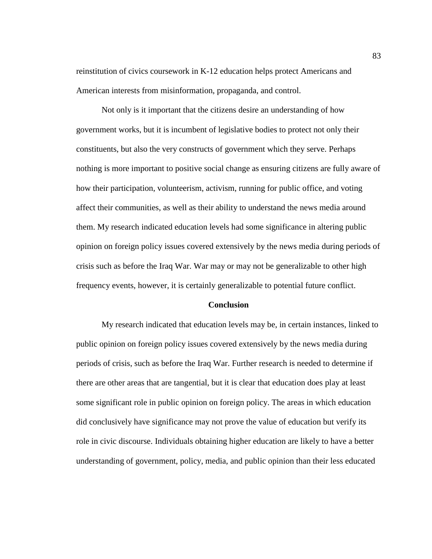reinstitution of civics coursework in K-12 education helps protect Americans and American interests from misinformation, propaganda, and control.

Not only is it important that the citizens desire an understanding of how government works, but it is incumbent of legislative bodies to protect not only their constituents, but also the very constructs of government which they serve. Perhaps nothing is more important to positive social change as ensuring citizens are fully aware of how their participation, volunteerism, activism, running for public office, and voting affect their communities, as well as their ability to understand the news media around them. My research indicated education levels had some significance in altering public opinion on foreign policy issues covered extensively by the news media during periods of crisis such as before the Iraq War. War may or may not be generalizable to other high frequency events, however, it is certainly generalizable to potential future conflict.

### **Conclusion**

My research indicated that education levels may be, in certain instances, linked to public opinion on foreign policy issues covered extensively by the news media during periods of crisis, such as before the Iraq War. Further research is needed to determine if there are other areas that are tangential, but it is clear that education does play at least some significant role in public opinion on foreign policy. The areas in which education did conclusively have significance may not prove the value of education but verify its role in civic discourse. Individuals obtaining higher education are likely to have a better understanding of government, policy, media, and public opinion than their less educated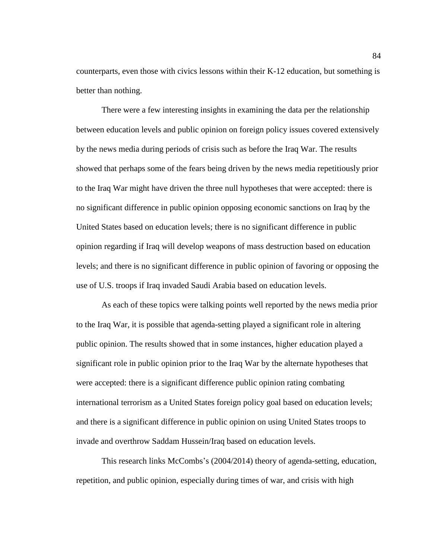counterparts, even those with civics lessons within their K-12 education, but something is better than nothing.

There were a few interesting insights in examining the data per the relationship between education levels and public opinion on foreign policy issues covered extensively by the news media during periods of crisis such as before the Iraq War. The results showed that perhaps some of the fears being driven by the news media repetitiously prior to the Iraq War might have driven the three null hypotheses that were accepted: there is no significant difference in public opinion opposing economic sanctions on Iraq by the United States based on education levels; there is no significant difference in public opinion regarding if Iraq will develop weapons of mass destruction based on education levels; and there is no significant difference in public opinion of favoring or opposing the use of U.S. troops if Iraq invaded Saudi Arabia based on education levels.

As each of these topics were talking points well reported by the news media prior to the Iraq War, it is possible that agenda-setting played a significant role in altering public opinion. The results showed that in some instances, higher education played a significant role in public opinion prior to the Iraq War by the alternate hypotheses that were accepted: there is a significant difference public opinion rating combating international terrorism as a United States foreign policy goal based on education levels; and there is a significant difference in public opinion on using United States troops to invade and overthrow Saddam Hussein/Iraq based on education levels.

This research links McCombs's (2004/2014) theory of agenda-setting, education, repetition, and public opinion, especially during times of war, and crisis with high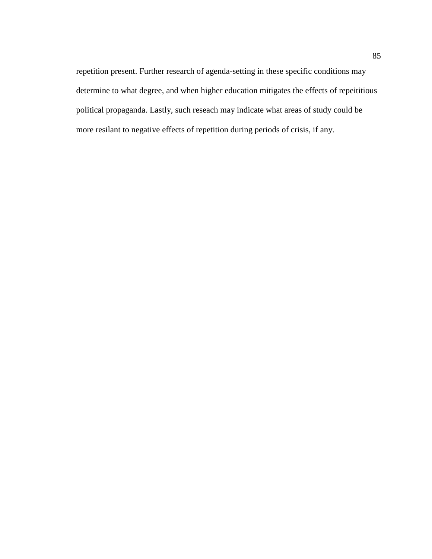repetition present. Further research of agenda-setting in these specific conditions may determine to what degree, and when higher education mitigates the effects of repeititious political propaganda. Lastly, such reseach may indicate what areas of study could be more resilant to negative effects of repetition during periods of crisis, if any.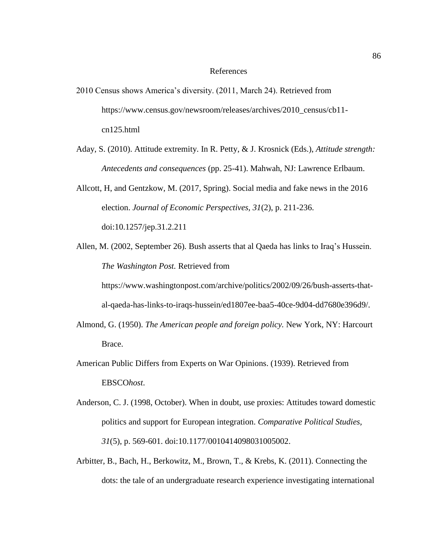#### References

- 2010 Census shows America's diversity. (2011, March 24). Retrieved from https://www.census.gov/newsroom/releases/archives/2010\_census/cb11cn125.html
- Aday, S. (2010). Attitude extremity. In R. Petty, & J. Krosnick (Eds.), *Attitude strength: Antecedents and consequences* (pp. 25-41). Mahwah, NJ: Lawrence Erlbaum.

Allcott, H, and Gentzkow, M. (2017, Spring). Social media and fake news in the 2016 election. *Journal of Economic Perspectives, 31*(2), p. 211-236. doi:10.1257/jep.31.2.211

Allen, M. (2002, September 26). Bush asserts that al Qaeda has links to Iraq's Hussein. *The Washington Post.* Retrieved from

https://www.washingtonpost.com/archive/politics/2002/09/26/bush-asserts-thatal-qaeda-has-links-to-iraqs-hussein/ed1807ee-baa5-40ce-9d04-dd7680e396d9/.

- Almond, G. (1950). *The American people and foreign policy.* New York, NY: Harcourt Brace.
- American Public Differs from Experts on War Opinions. (1939). Retrieved from EBSCO*host*.
- Anderson, C. J. (1998, October). When in doubt, use proxies: Attitudes toward domestic politics and support for European integration. *Comparative Political Studies, 31*(5), p. 569-601. doi:10.1177/0010414098031005002.
- Arbitter, B., Bach, H., Berkowitz, M., Brown, T., & Krebs, K. (2011). Connecting the dots: the tale of an undergraduate research experience investigating international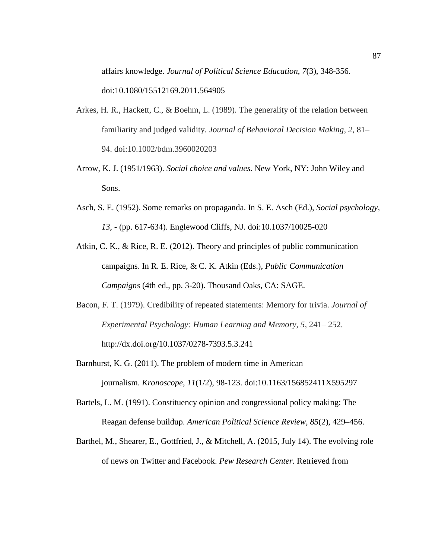affairs knowledge. *Journal of Political Science Education*, *7*(3), 348-356. doi:10.1080/15512169.2011.564905

- Arkes, H. R., Hackett, C., & Boehm, L. (1989). The generality of the relation between familiarity and judged validity. *Journal of Behavioral Decision Making*, *2*, 81– 94. doi:10.1002/bdm.3960020203
- Arrow, K. J. (1951/1963). *Social choice and values.* New York, NY: John Wiley and Sons.
- Asch, S. E. (1952). Some remarks on propaganda. In S. E. Asch (Ed.), *Social psychology, 13, -* (pp. 617-634). Englewood Cliffs, NJ. doi:10.1037/10025-020
- Atkin, C. K., & Rice, R. E. (2012). Theory and principles of public communication campaigns. In R. E. Rice, & C. K. Atkin (Eds.), *Public Communication Campaigns* (4th ed., pp. 3-20). Thousand Oaks, CA: SAGE.
- Bacon, F. T. (1979). Credibility of repeated statements: Memory for trivia. *Journal of Experimental Psychology: Human Learning and Memory*, *5*, 241– 252. [http://dx.doi.org/10.1037/0278-7393.5.3.241](http://psycnet.apa.org/doi/10.1037/0278-7393.5.3.241)
- Barnhurst, K. G. (2011). The problem of modern time in American journalism. *Kronoscope*, *11*(1/2), 98-123. doi:10.1163/156852411X595297
- Bartels, L. M. (1991). Constituency opinion and congressional policy making: The Reagan defense buildup. *American Political Science Review, 85*(2), 429–456.
- Barthel, M., Shearer, E., Gottfried, J., & Mitchell, A. (2015, July 14). The evolving role of news on Twitter and Facebook. *Pew Research Center.* Retrieved from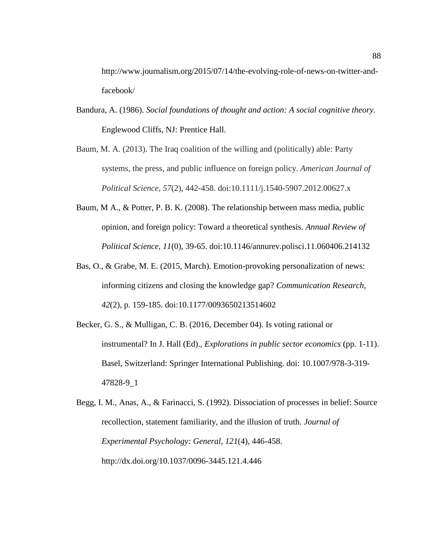http://www.journalism.org/2015/07/14/the-evolving-role-of-news-on-twitter-andfacebook/

- Bandura, A. (1986). *Social foundations of thought and action: A social cognitive theory.*  Englewood Cliffs, NJ: Prentice Hall.
- Baum, M. A. (2013). The Iraq coalition of the willing and (politically) able: Party systems, the press, and public influence on foreign policy. *American Journal of Political Science*, *57*(2), 442-458. doi:10.1111/j.1540-5907.2012.00627.x
- Baum, M A., & Potter, P. B. K. (2008). The relationship between mass media, public opinion, and foreign policy: Toward a theoretical synthesis. *Annual Review of Political Science, 11*(0), 39-65. doi:10.1146/annurev.polisci.11.060406.214132
- Bas, O., & Grabe, M. E. (2015, March). Emotion-provoking personalization of news: informing citizens and closing the knowledge gap? *Communication Research, 42*(2), p. 159-185. doi:10.1177/0093650213514602
- Becker, G. S., & Mulligan, C. B. (2016, December 04). Is voting rational or instrumental? In J. Hall (Ed)., *Explorations in public sector economics* (pp. 1-11). Basel, Switzerland: Springer International Publishing. doi: 10.1007/978-3-319- 47828-9\_1

Begg, I. M., Anas, A., & Farinacci, S. (1992). Dissociation of processes in belief: Source recollection, statement familiarity, and the illusion of truth. *Journal of Experimental Psychology: General, 121*(4), 446-458. http://dx.doi.org/10.1037/0096-3445.121.4.446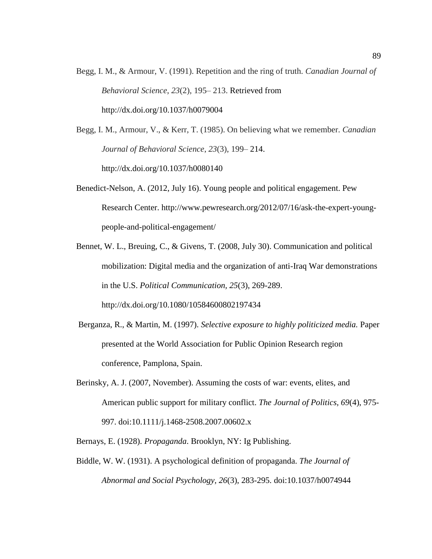Begg, I. M., & Armour, V. (1991). Repetition and the ring of truth. *Canadian Journal of Behavioral Science*, *23*(2)*,* 195– 213. Retrieved from http://dx.doi.org/10.1037/h0079004

Begg, I. M., Armour, V., & Kerr, T. (1985). On believing what we remember. *Canadian Journal of Behavioral Science*, *23*(3), 199– 214. http://dx.doi.org/10.1037/h0080140

- Benedict-Nelson, A. (2012, July 16). Young people and political engagement. Pew Research Center. http://www.pewresearch.org/2012/07/16/ask-the-expert-youngpeople-and-political-engagement/
- Bennet, W. L., Breuing, C., & Givens, T. (2008, July 30). Communication and political mobilization: Digital media and the organization of anti-Iraq War demonstrations in the U.S. *Political Communication, 25*(3), 269-289. <http://dx.doi.org/10.1080/10584600802197434>
- Berganza, R., & Martin, M. (1997). *Selective exposure to highly politicized media.* Paper presented at the World Association for Public Opinion Research region conference, Pamplona, Spain.
- Berinsky, A. J. (2007, November). Assuming the costs of war: events, elites, and American public support for military conflict. *The Journal of Politics, 69*(4), 975- 997. doi:10.1111/j.1468-2508.2007.00602.x

Bernays, E. (1928). *Propaganda*. Brooklyn, NY: Ig Publishing.

Biddle, W. W. (1931). A psychological definition of propaganda. *The Journal of Abnormal and Social Psychology, 26*(3), 283-295. doi:10.1037/h0074944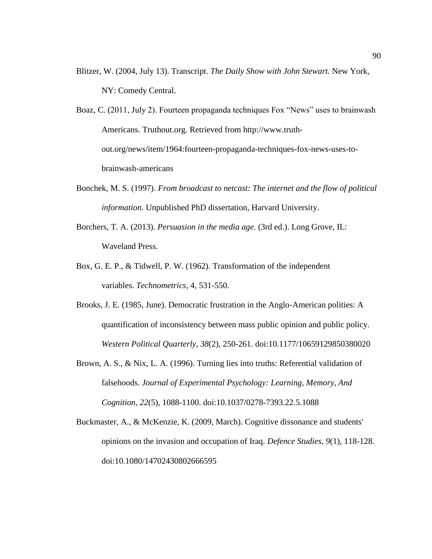Blitzer, W. (2004, July 13). Transcript. *The Daily Show with John Stewart.* New York, NY: Comedy Central.

Boaz, C. (2011, July 2). Fourteen propaganda techniques Fox "News" uses to brainwash Americans. Truthout.org. Retrieved from http://www.truthout.org/news/item/1964:fourteen-propaganda-techniques-fox-news-uses-tobrainwash-americans

- Bonchek, M. S. (1997). *From broadcast to netcast: The internet and the flow of political information.* Unpublished PhD dissertation, Harvard University.
- Borchers, T. A. (2013). *Persuasion in the media age.* (3rd ed.). Long Grove, IL: Waveland Press.
- Box, G. E. P., & Tidwell, P. W. (1962). Transformation of the independent variables. *Technometrics*, 4, 531-550.
- Brooks, J. E. (1985, June). Democratic frustration in the Anglo-American polities: A quantification of inconsistency between mass public opinion and public policy. *Western Political Quarterly, 38*(2), 250-261. doi:10.1177/10659129850380020
- Brown, A. S., & Nix, L. A. (1996). Turning lies into truths: Referential validation of falsehoods. *Journal of Experimental Psychology: Learning, Memory, And Cognition*, *22*(5), 1088-1100. doi:10.1037/0278-7393.22.5.1088
- Buckmaster, A., & McKenzie, K. (2009, March). Cognitive dissonance and students' opinions on the invasion and occupation of Iraq. *Defence Studies*, *9*(1), 118-128. doi:10.1080/14702430802666595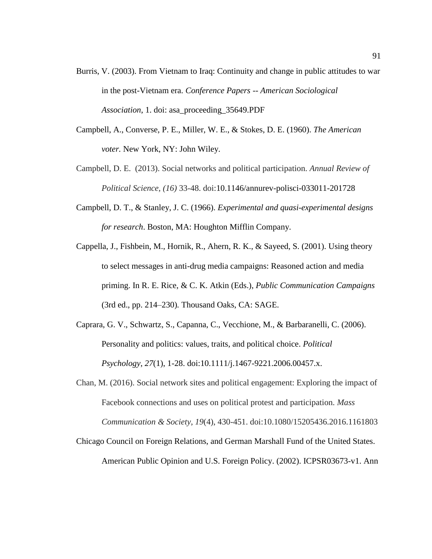- Burris, V. (2003). From Vietnam to Iraq: Continuity and change in public attitudes to war in the post-Vietnam era. *Conference Papers -- American Sociological Association*, 1. doi: asa\_proceeding\_35649.PDF
- Campbell, A., Converse, P. E., Miller, W. E., & Stokes, D. E. (1960). *The American voter.* New York, NY: John Wiley.
- Campbell, D. E. (2013). Social networks and political participation. *Annual Review of Political Science, (16)* 33-48. doi:10.1146/annurev-polisci-033011-201728
- Campbell, D. T., & Stanley, J. C. (1966). *Experimental and quasi-experimental designs for research*. Boston, MA: Houghton Mifflin Company.
- Cappella, J., Fishbein, M., Hornik, R., Ahern, R. K., & Sayeed, S. (2001). Using theory to select messages in anti-drug media campaigns: Reasoned action and media priming. In R. E. Rice, & C. K. Atkin (Eds.), *Public Communication Campaigns*  (3rd ed., pp. 214–230)*.* Thousand Oaks, CA: SAGE.
- Caprara, G. V., Schwartz, S., Capanna, C., Vecchione, M., & Barbaranelli, C. (2006). Personality and politics: values, traits, and political choice. *Political Psychology*, *27*(1), 1-28. doi:10.1111/j.1467-9221.2006.00457.x.
- Chan, M. (2016). Social network sites and political engagement: Exploring the impact of Facebook connections and uses on political protest and participation. *Mass Communication & Society*, *19*(4), 430-451. doi:10.1080/15205436.2016.1161803
- Chicago Council on Foreign Relations, and German Marshall Fund of the United States. American Public Opinion and U.S. Foreign Policy. (2002). ICPSR03673-v1. Ann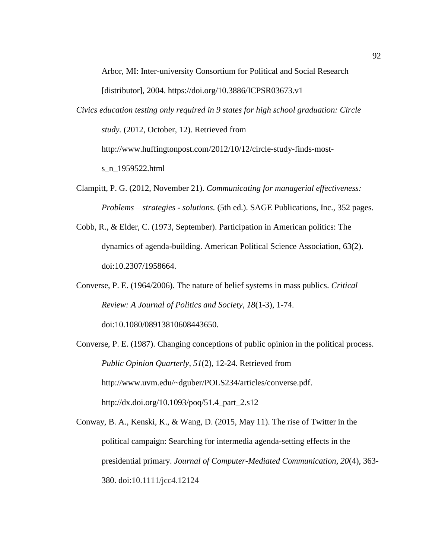Arbor, MI: Inter-university Consortium for Political and Social Research

[distributor], 2004. https://doi.org/10.3886/ICPSR03673.v1

- *Civics education testing only required in 9 states for high school graduation: Circle study.* (2012, October, 12). Retrieved from http://www.huffingtonpost.com/2012/10/12/circle-study-finds-mosts\_n\_1959522.html
- Clampitt, P. G. (2012, November 21). *Communicating for managerial effectiveness: Problems – strategies - solutions.* (5th ed.). SAGE Publications, Inc., 352 pages.
- Cobb, R., & Elder, C. (1973, September). Participation in American politics: The dynamics of agenda-building. American Political Science Association, 63(2). doi:10.2307/1958664.
- Converse, P. E. (1964/2006). The nature of belief systems in mass publics. *Critical Review: A Journal of Politics and Society, 18*(1-3), 1-74.

doi:10.1080/08913810608443650.

- Converse, P. E. (1987). Changing conceptions of public opinion in the political process. *Public Opinion Quarterly, 51*(2), 12-24. Retrieved from [http://www.uvm.edu/~dguber/POLS234/articles/converse.pdf.](http://www.uvm.edu/~dguber/POLS234/articles/converse.pdf) http://dx.doi.org/10.1093/poq/51.4\_part\_2.s12
- Conway, B. A., Kenski, K., & Wang, D. (2015, May 11). The rise of Twitter in the political campaign: Searching for intermedia agenda-setting effects in the presidential primary. *Journal of Computer-Mediated Communication, 20*(4), 363- 380. doi:10.1111/jcc4.12124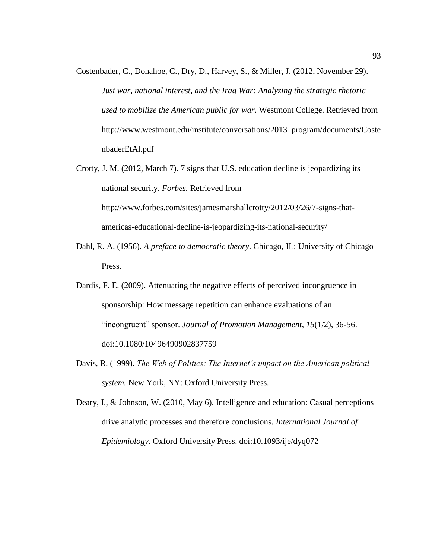- Costenbader, C., Donahoe, C., Dry, D., Harvey, S., & Miller, J. (2012, November 29). *Just war, national interest, and the Iraq War: Analyzing the strategic rhetoric used to mobilize the American public for war.* Westmont College. Retrieved from http://www.westmont.edu/institute/conversations/2013\_program/documents/Coste nbaderEtAl.pdf
- Crotty, J. M. (2012, March 7). 7 signs that U.S. education decline is jeopardizing its national security. *Forbes.* Retrieved from http://www.forbes.com/sites/jamesmarshallcrotty/2012/03/26/7-signs-thatamericas-educational-decline-is-jeopardizing-its-national-security/
- Dahl, R. A. (1956). *A preface to democratic theory*. Chicago, IL: University of Chicago Press.
- Dardis, F. E. (2009). Attenuating the negative effects of perceived incongruence in sponsorship: How message repetition can enhance evaluations of an "incongruent" sponsor. *Journal of Promotion Management, 15*(1/2), 36-56. doi:10.1080/10496490902837759
- Davis, R. (1999). *The Web of Politics: The Internet's impact on the American political system.* New York, NY: Oxford University Press.
- Deary, I., & Johnson, W. (2010, May 6). Intelligence and education: Casual perceptions drive analytic processes and therefore conclusions. *International Journal of Epidemiology.* Oxford University Press. doi:10.1093/ije/dyq072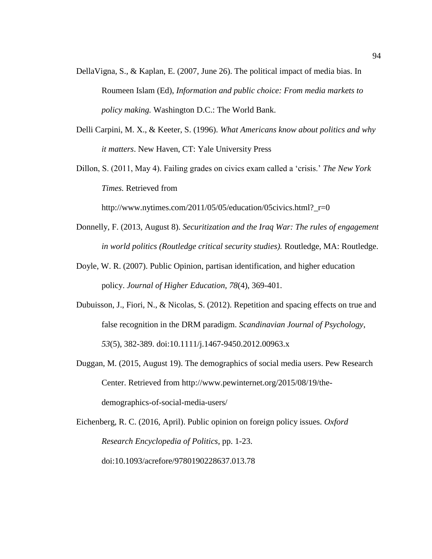- DellaVigna, S., & Kaplan, E. (2007, June 26). The political impact of media bias. In Roumeen Islam (Ed), *Information and public choice: From media markets to policy making.* Washington D.C.: The World Bank.
- Delli Carpini, M. X., & Keeter, S. (1996). *What Americans know about politics and why it matters*. New Haven, CT: Yale University Press
- Dillon, S. (2011, May 4). Failing grades on civics exam called a 'crisis.' *The New York Times.* Retrieved from

http://www.nytimes.com/2011/05/05/education/05civics.html?\_r=0

- Donnelly, F. (2013, August 8). *Securitization and the Iraq War: The rules of engagement in world politics (Routledge critical security studies).* Routledge, MA: Routledge.
- Doyle, W. R. (2007). Public Opinion, partisan identification, and higher education policy. *Journal of Higher Education*, *78*(4), 369-401.
- Dubuisson, J., Fiori, N., & Nicolas, S. (2012). Repetition and spacing effects on true and false recognition in the DRM paradigm. *Scandinavian Journal of Psychology*, *53*(5), 382-389. doi:10.1111/j.1467-9450.2012.00963.x
- Duggan, M. (2015, August 19). The demographics of social media users. Pew Research Center. Retrieved from http://www.pewinternet.org/2015/08/19/thedemographics-of-social-media-users/

Eichenberg, R. C. (2016, April). Public opinion on foreign policy issues. *Oxford Research Encyclopedia of Politics*, pp. 1-23. doi:10.1093/acrefore/9780190228637.013.78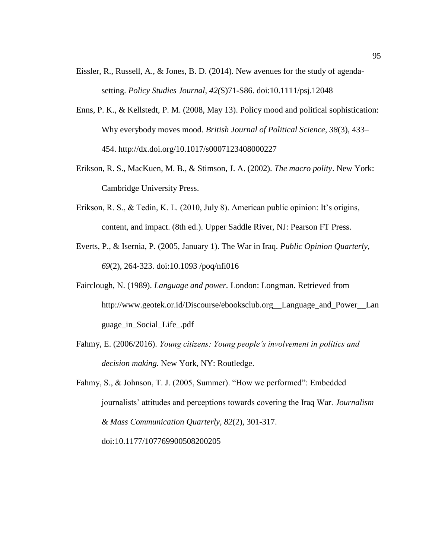- Eissler, R., Russell, A., & Jones, B. D. (2014). New avenues for the study of agendasetting. *Policy Studies Journal*, *42(*S)71-S86. doi:10.1111/psj.12048
- Enns, P. K., & Kellstedt, P. M. (2008, May 13). Policy mood and political sophistication: Why everybody moves mood. *British Journal of Political Science, 38*(3), 433– 454.<http://dx.doi.org/10.1017/s0007123408000227>
- Erikson, R. S., MacKuen, M. B., & Stimson, J. A. (2002). *The macro polity*. New York: Cambridge University Press.
- Erikson, R. S., & Tedin, K. L. (2010, July 8). American public opinion: It's origins, content, and impact. (8th ed.). Upper Saddle River, NJ: Pearson FT Press.
- Everts, P., & Isernia, P. (2005, January 1). The War in Iraq. *Public Opinion Quarterly*, *69*(2), 264-323. doi:10.1093 /poq/nfi016
- Fairclough, N. (1989). *Language and power.* London: Longman. Retrieved from http://www.geotek.or.id/Discourse/ebooksclub.org\_\_Language\_and\_Power\_\_Lan guage\_in\_Social\_Life\_.pdf
- Fahmy, E. (2006/2016). *Young citizens: Young people's involvement in politics and decision making.* New York, NY: Routledge.
- Fahmy, S., & Johnson, T. J. (2005, Summer). "How we performed": Embedded journalists' attitudes and perceptions towards covering the Iraq War. *Journalism & Mass Communication Quarterly, 82*(2), 301-317. doi:10.1177/107769900508200205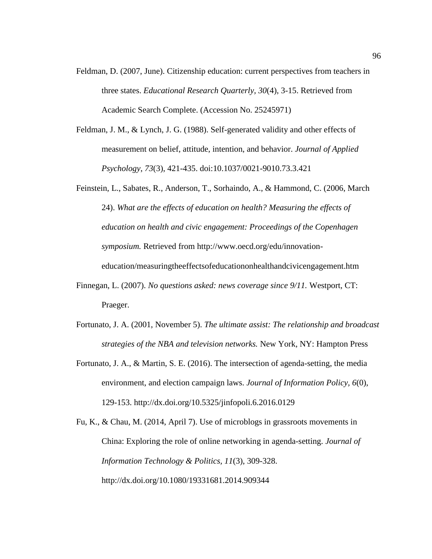- Feldman, D. (2007, June). Citizenship education: current perspectives from teachers in three states. *Educational Research Quarterly, 30*(4), 3-15. Retrieved from Academic Search Complete. (Accession No. 25245971)
- Feldman, J. M., & Lynch, J. G. (1988). Self-generated validity and other effects of measurement on belief, attitude, intention, and behavior. *Journal of Applied Psychology*, *73*(3), 421-435. doi:10.1037/0021-9010.73.3.421
- Feinstein, L., Sabates, R., Anderson, T., Sorhaindo, A., & Hammond, C. (2006, March 24). *What are the effects of education on health? Measuring the effects of education on health and civic engagement: Proceedings of the Copenhagen symposium.* Retrieved from http://www.oecd.org/edu/innovationeducation/measuringtheeffectsofeducationonhealthandcivicengagement.htm
- Finnegan, L. (2007). *No questions asked: news coverage since 9/11.* Westport, CT: Praeger.
- Fortunato, J. A. (2001, November 5). *The ultimate assist: The relationship and broadcast strategies of the NBA and television networks.* New York, NY: Hampton Press
- Fortunato, J. A., & Martin, S. E. (2016). The intersection of agenda-setting, the media environment, and election campaign laws. *Journal of Information Policy, 6*(0), 129-153.<http://dx.doi.org/10.5325/jinfopoli.6.2016.0129>

Fu, K., & Chau, M. (2014, April 7). Use of microblogs in grassroots movements in China: Exploring the role of online networking in agenda-setting. *Journal of Information Technology & Politics, 11*(3), 309-328. <http://dx.doi.org/10.1080/19331681.2014.909344>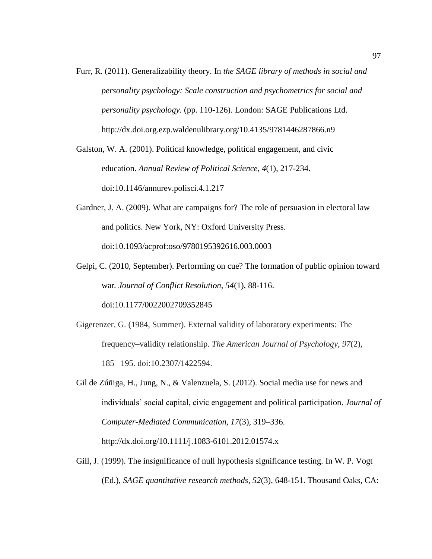Furr, R. (2011). Generalizability theory. In *the SAGE library of methods in social and personality psychology: Scale construction and psychometrics for social and personality psychology.* (pp. 110-126). London: SAGE Publications Ltd. http://dx.doi.org.ezp.waldenulibrary.org/10.4135/9781446287866.n9

Galston, W. A. (2001). Political knowledge, political engagement, and civic education. *Annual Review of Political Science*, *4*(1), 217-234. doi:10.1146/annurev.polisci.4.1.217

- Gardner, J. A. (2009). What are campaigns for? The role of persuasion in electoral law and politics. New York, NY: Oxford University Press. doi:10.1093/acprof:oso/9780195392616.003.0003
- Gelpi, C. (2010, September). Performing on cue? The formation of public opinion toward war*. Journal of Conflict Resolution, 54*(1), 88-116. doi:10.1177/0022002709352845
- Gigerenzer, G. (1984, Summer). External validity of laboratory experiments: The frequency–validity relationship. *The American Journal of Psychology*, *97*(2), 185– 195. doi:10.2307/1422594.
- Gil de Zúñiga, H., Jung, N., & Valenzuela, S. (2012). Social media use for news and individuals' social capital, civic engagement and political participation. *Journal of Computer-Mediated Communication, 17*(3), 319–336. <http://dx.doi.org/10.1111/j.1083-6101.2012.01574.x>
- Gill, J. (1999). The insignificance of null hypothesis significance testing. In W. P. Vogt (Ed.), *SAGE quantitative research methods, 52*(3), 648-151. Thousand Oaks, CA: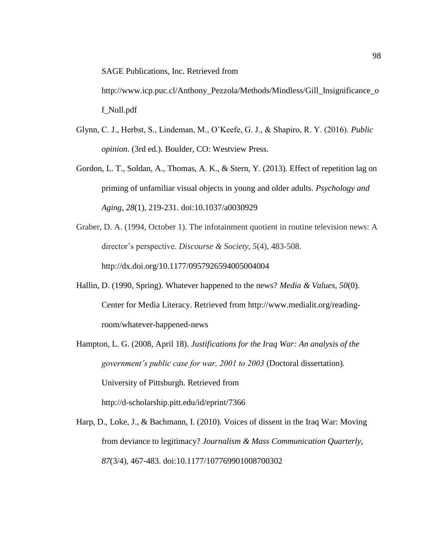SAGE Publications, Inc. Retrieved from

http://www.icp.puc.cl/Anthony\_Pezzola/Methods/Mindless/Gill\_Insignificance\_o f\_Null.pdf

- Glynn, C. J., Herbst, S., Lindeman, M., O'Keefe, G. J., & Shapiro, R. Y. (2016). *Public opinion*. (3rd ed.). Boulder, CO: Westview Press.
- Gordon, L. T., Soldan, A., Thomas, A. K., & Stern, Y. (2013). Effect of repetition lag on priming of unfamiliar visual objects in young and older adults. *Psychology and Aging*, *28*(1), 219-231. doi:10.1037/a0030929
- Graber, D. A. (1994, October 1). The infotainment quotient in routine television news: A director's perspective. *Discourse & Society, 5*(4), 483-508. <http://dx.doi.org/10.1177/0957926594005004004>
- Hallin, D. (1990, Spring). Whatever happened to the news? *Media & Values, 50*(0). Center for Media Literacy. Retrieved from [http://www.medialit.org/reading](http://www.medialit.org/reading-room/whatever-happened-news)[room/whatever-happened-news](http://www.medialit.org/reading-room/whatever-happened-news)
- Hampton, L. G. (2008, April 18). *Justifications for the Iraq War: An analysis of the government's public case for war, 2001 to 2003* (Doctoral dissertation)*.* University of Pittsburgh. Retrieved from <http://d-scholarship.pitt.edu/id/eprint/7366>
- Harp, D., Loke, J., & Bachmann, I. (2010). Voices of dissent in the Iraq War: Moving from deviance to legitimacy? *Journalism & Mass Communication Quarterly*, *87*(3/4), 467-483. doi:10.1177/107769901008700302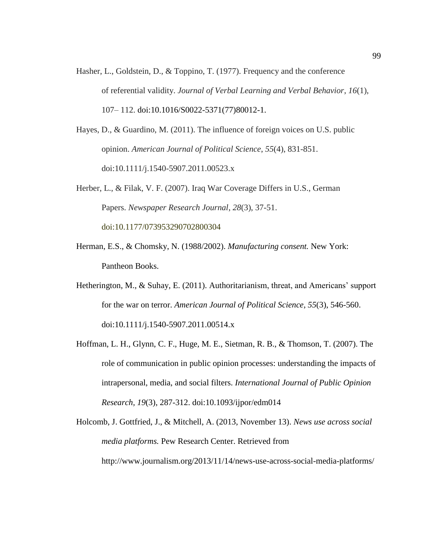Hasher, L., Goldstein, D., & Toppino, T. (1977). Frequency and the conference of referential validity. *Journal of Verbal Learning and Verbal Behavior*, *16*(1), 107– 112. [doi:10.1016/S0022-5371\(77\)80012-1.](http://dx.doi.org/10.1016/S0022-5371(77)80012-1)

Hayes, D., & Guardino, M. (2011). The influence of foreign voices on U.S. public opinion. *American Journal of Political Science*, *55*(4), 831-851. doi:10.1111/j.1540-5907.2011.00523.x

- Herber, L., & Filak, V. F. (2007). Iraq War Coverage Differs in U.S., German Papers. *Newspaper Research Journal*, *28*(3), 37-51. doi:10.1177/073953290702800304
- Herman, E.S., & Chomsky, N. (1988/2002). *Manufacturing consent.* New York: Pantheon Books.
- Hetherington, M., & Suhay, E. (2011). Authoritarianism, threat, and Americans' support for the war on terror. *American Journal of Political Science*, *55*(3), 546-560. doi:10.1111/j.1540-5907.2011.00514.x
- Hoffman, L. H., Glynn, C. F., Huge, M. E., Sietman, R. B., & Thomson, T. (2007). The role of communication in public opinion processes: understanding the impacts of intrapersonal, media, and social filters. *International Journal of Public Opinion Research, 19*(3), 287-312. doi:10.1093/ijpor/edm014

Holcomb, J. Gottfried, J., & Mitchell, A. (2013, November 13). *News use across social media platforms.* Pew Research Center. Retrieved from http://www.journalism.org/2013/11/14/news-use-across-social-media-platforms/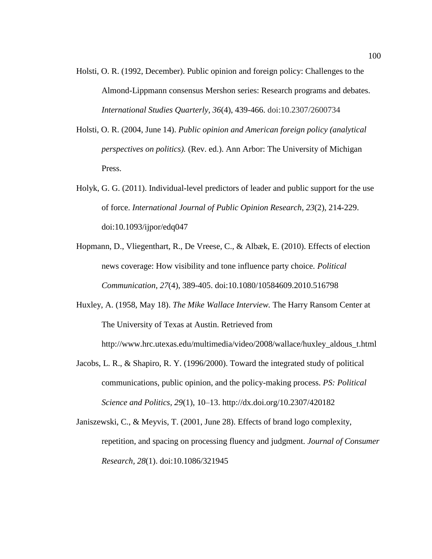- Holsti, O. R. (1992, December). Public opinion and foreign policy: Challenges to the Almond-Lippmann consensus Mershon series: Research programs and debates. *International Studies Quarterly, 36*(4), 439-466. doi:10.2307/2600734
- Holsti, O. R. (2004, June 14). *Public opinion and American foreign policy (analytical perspectives on politics).* (Rev. ed.). Ann Arbor: The University of Michigan Press.
- Holyk, G. G. (2011). Individual-level predictors of leader and public support for the use of force. *International Journal of Public Opinion Research*, *23*(2), 214-229. doi:10.1093/ijpor/edq047
- Hopmann, D., Vliegenthart, R., De Vreese, C., & Albæk, E. (2010). Effects of election news coverage: How visibility and tone influence party choice. *Political Communication*, *27*(4), 389-405. doi:10.1080/10584609.2010.516798
- Huxley, A. (1958, May 18). *The Mike Wallace Interview.* The Harry Ransom Center at The University of Texas at Austin. Retrieved from http://www.hrc.utexas.edu/multimedia/video/2008/wallace/huxley\_aldous\_t.html
- Jacobs, L. R., & Shapiro, R. Y. (1996/2000). Toward the integrated study of political communications, public opinion, and the policy-making process. *PS: Political Science and Politics, 29*(1), 10–13.<http://dx.doi.org/10.2307/420182>
- Janiszewski, C., & Meyvis, T. (2001, June 28). Effects of brand logo complexity, repetition, and spacing on processing fluency and judgment. *Journal of Consumer Research, 28*(1). doi:10.1086/321945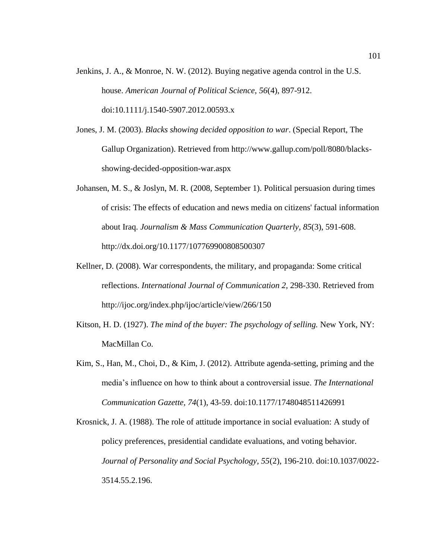- Jenkins, J. A., & Monroe, N. W. (2012). Buying negative agenda control in the U.S. house. *American Journal of Political Science*, *56*(4), 897-912. doi:10.1111/j.1540-5907.2012.00593.x
- Jones, J. M. (2003). *Blacks showing decided opposition to war*. (Special Report, The Gallup Organization). Retrieved from http://www.gallup.com/poll/8080/blacksshowing-decided-opposition-war.aspx
- Johansen, M. S., & Joslyn, M. R. (2008, September 1). Political persuasion during times of crisis: The effects of education and news media on citizens' factual information about Iraq. *Journalism & Mass Communication Quarterly, 85*(3), 591-608. http://dx.doi.org/10.1177/107769900808500307
- Kellner, D. (2008). War correspondents, the military, and propaganda: Some critical reflections. *International Journal of Communication 2,* 298-330. Retrieved from http://ijoc.org/index.php/ijoc/article/view/266/150
- Kitson, H. D. (1927). *The mind of the buyer: The psychology of selling.* New York, NY: MacMillan Co.
- Kim, S., Han, M., Choi, D., & Kim, J. (2012). Attribute agenda-setting, priming and the media's influence on how to think about a controversial issue. *The International Communication Gazette, 74*(1), 43-59. doi:10.1177/1748048511426991
- Krosnick, J. A. (1988). The role of attitude importance in social evaluation: A study of policy preferences, presidential candidate evaluations, and voting behavior. *Journal of Personality and Social Psychology, 55*(2), 196-210. doi:10.1037/0022- 3514.55.2.196.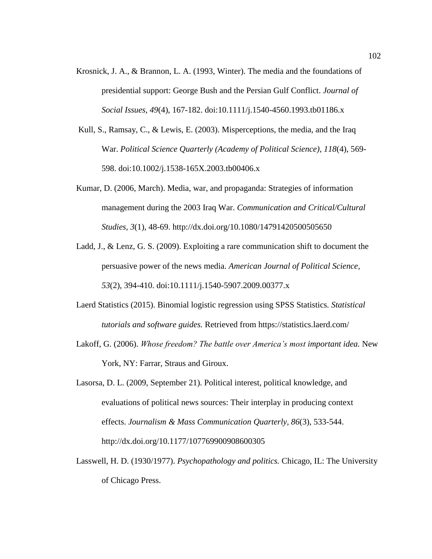- Krosnick, J. A., & Brannon, L. A. (1993, Winter). The media and the foundations of presidential support: George Bush and the Persian Gulf Conflict. *Journal of Social Issues, 49*(4), 167-182. doi[:10.1111/j.1540-4560.1993.tb01186.x](https://doi.org/10.1111/j.1540-4560.1993.tb01186.x)
- Kull, S., Ramsay, C., & Lewis, E. (2003). Misperceptions, the media, and the Iraq War. *Political Science Quarterly (Academy of Political Science)*, *118*(4), 569- 598. doi:10.1002/j.1538-165X.2003.tb00406.x
- Kumar, D. (2006, March). Media, war, and propaganda: Strategies of information management during the 2003 Iraq War. *Communication and Critical/Cultural Studies, 3*(1), 48-69.<http://dx.doi.org/10.1080/14791420500505650>
- Ladd, J., & Lenz, G. S. (2009). Exploiting a rare communication shift to document the persuasive power of the news media. *American Journal of Political Science, 53*(2), 394-410. doi:10.1111/j.1540-5907.2009.00377.x
- Laerd Statistics (2015). Binomial logistic regression using SPSS Statistics. *Statistical tutorials and software guides.* Retrieved from<https://statistics.laerd.com/>
- Lakoff, G. (2006). *Whose freedom? The battle over America's most important idea.* New York, NY: Farrar, Straus and Giroux.
- Lasorsa, D. L. (2009, September 21). Political interest, political knowledge, and evaluations of political news sources: Their interplay in producing context effects. *Journalism & Mass Communication Quarterly, 86*(3), 533-544. http://dx.doi.org/10.1177/107769900908600305
- Lasswell, H. D. (1930/1977). *Psychopathology and politics.* Chicago, IL: The University of Chicago Press.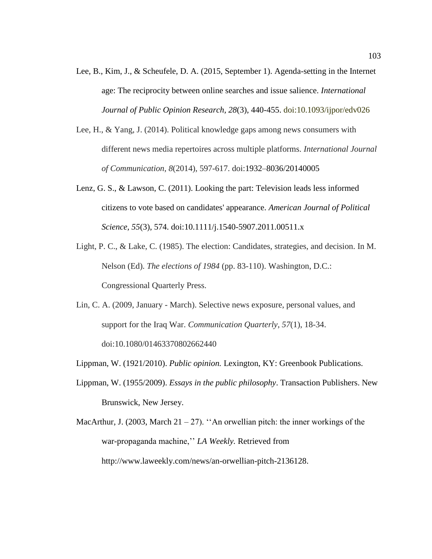- Lee, B., Kim, J., & Scheufele, D. A. (2015, September 1). Agenda-setting in the Internet age: The reciprocity between online searches and issue salience. *International Journal of Public Opinion Research, 28*(3), 440-455. doi:10.1093/ijpor/edv026
- Lee, H., & Yang, J. (2014). Political knowledge gaps among news consumers with different news media repertoires across multiple platforms. *International Journal of Communication*, *8*(2014), 597-617. doi:1932–8036/20140005
- Lenz, G. S., & Lawson, C. (2011). Looking the part: Television leads less informed citizens to vote based on candidates' appearance. *American Journal of Political Science, 55*(3), 574. doi:10.1111/j.1540-5907.2011.00511.x
- Light, P. C., & Lake, C. (1985). The election: Candidates, strategies, and decision. In M. Nelson (Ed). *The elections of 1984* (pp. 83-110). Washington, D.C.: Congressional Quarterly Press.
- Lin, C. A. (2009, January March). Selective news exposure, personal values, and support for the Iraq War. *Communication Quarterly*, *57*(1), 18-34. doi:10.1080/01463370802662440
- Lippman, W. (1921/2010). *Public opinion.* Lexington, KY: Greenbook Publications.
- Lippman, W. (1955/2009). *Essays in the public philosophy*. Transaction Publishers. New Brunswick, New Jersey.
- MacArthur, J. (2003, March 21 27). "An orwellian pitch: the inner workings of the war-propaganda machine,'' *LA Weekly.* Retrieved from http://www.laweekly.com/news/an-orwellian-pitch-2136128.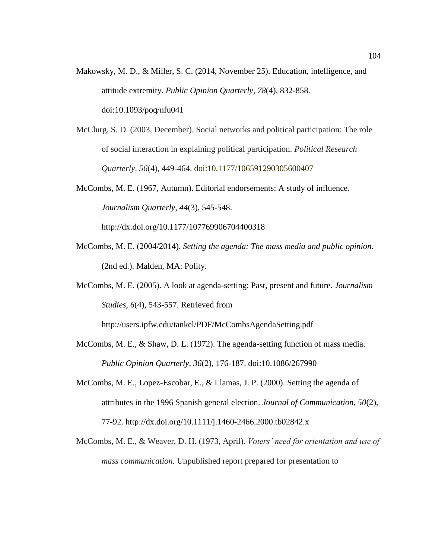- Makowsky, M. D., & Miller, S. C. (2014, November 25). Education, intelligence, and attitude extremity. *Public Opinion Quarterly, 78*(4), 832-858. doi:10.1093/poq/nfu041
- McClurg, S. D. (2003, December). Social networks and political participation: The role of social interaction in explaining political participation. *Political Research Quarterly, 56*(4), 449-464. doi:10.1177/106591290305600407
- McCombs, M. E. (1967, Autumn). Editorial endorsements: A study of influence. *Journalism Quarterly, 44*(3), 545-548. <http://dx.doi.org/10.1177/107769906704400318>
- McCombs, M. E. (2004/2014). *Setting the agenda: The mass media and public opinion.*  (2nd ed.). Malden, MA: Polity.
- McCombs, M. E. (2005). A look at agenda-setting: Past, present and future. *Journalism Studies, 6*(4), 543-557. Retrieved from

http://users.ipfw.edu/tankel/PDF/McCombsAgendaSetting.pdf

- McCombs, M. E., & Shaw, D. L. (1972). The agenda-setting function of mass media. *Public Opinion Quarterly*, *36*(2), 176-187. doi:10.1086/267990
- McCombs, M. E., Lopez-Escobar, E., & Llamas, J. P. (2000). Setting the agenda of attributes in the 1996 Spanish general election. *Journal of Communication, 50*(2), 77-92.<http://dx.doi.org/10.1111/j.1460-2466.2000.tb02842.x>
- McCombs, M. E., & Weaver, D. H. (1973, April). *Voters' need for orientation and use of mass communication.* Unpublished report prepared for presentation to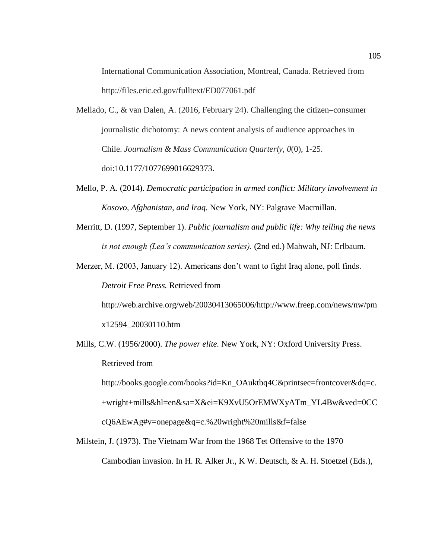International Communication Association, Montreal, Canada. Retrieved from http://files.eric.ed.gov/fulltext/ED077061.pdf

- Mellado, C., & van Dalen, A. (2016, February 24). Challenging the citizen–consumer journalistic dichotomy: A news content analysis of audience approaches in Chile. *Journalism & Mass Communication Quarterly, 0*(0), 1-25. doi:10.1177/1077699016629373.
- Mello, P. A. (2014). *Democratic participation in armed conflict: Military involvement in Kosovo, Afghanistan, and Iraq.* New York, NY: Palgrave Macmillan.
- Merritt, D. (1997, September 1). *Public journalism and public life: Why telling the news is not enough (Lea's communication series).* (2nd ed.) Mahwah, NJ: Erlbaum.
- Merzer, M. (2003, January 12). Americans don't want to fight Iraq alone, poll finds. *Detroit Free Press.* Retrieved from http://web.archive.org/web/20030413065006/http://www.freep.com/news/nw/pm

x12594\_20030110.htm

Mills, C.W. (1956/2000). *The power elite.* New York, NY: Oxford University Press. Retrieved from http://books.google.com/books?id=Kn\_OAuktbq4C&printsec=frontcover&dq=c.

+wright+mills&hl=en&sa=X&ei=K9XvU5OrEMWXyATm\_YL4Bw&ved=0CC cQ6AEwAg#v=onepage&q=c.%20wright%20mills&f=false

Milstein, J. (1973). The Vietnam War from the 1968 Tet Offensive to the 1970 Cambodian invasion. In H. R. Alker Jr., K W. Deutsch, & A. H. Stoetzel (Eds.),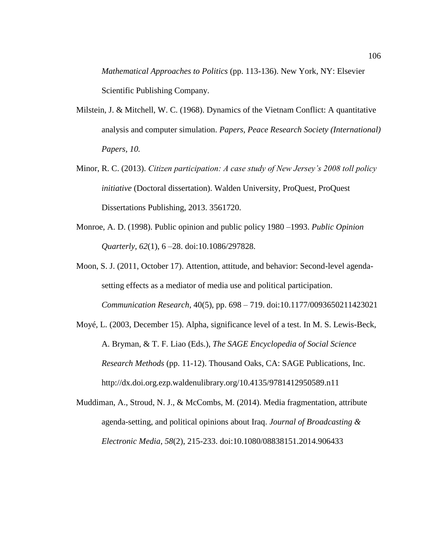*Mathematical Approaches to Politics* (pp. 113-136). New York, NY: Elsevier Scientific Publishing Company.

- Milstein, J. & Mitchell, W. C. (1968). Dynamics of the Vietnam Conflict: A quantitative analysis and computer simulation. *Papers, Peace Research Society (International) Papers, 10.*
- Minor, R. C. (2013). *Citizen participation: A case study of New Jersey's 2008 toll policy initiative* (Doctoral dissertation). Walden University, ProQuest, ProQuest Dissertations Publishing, 2013. 3561720.
- Monroe, A. D. (1998). Public opinion and public policy 1980 –1993. *Public Opinion Quarterly, 62*(1), 6 –28. doi:10.1086/297828.
- Moon, S. J. (2011, October 17). Attention, attitude, and behavior: Second-level agendasetting effects as a mediator of media use and political participation. *Communication Research*, 40(5), pp. 698 – 719. doi[:10.1177/0093650211423021](http://dx.doi.org/10.1177%2F0093650211423021)
- Moyé, L. (2003, December 15). Alpha, significance level of a test. In M. S. Lewis-Beck, A. Bryman, & T. F. Liao (Eds.), *The SAGE Encyclopedia of Social Science Research Methods* (pp. 11-12). Thousand Oaks, CA: SAGE Publications, Inc. http://dx.doi.org.ezp.waldenulibrary.org/10.4135/9781412950589.n11
- Muddiman, A., Stroud, N. J., & McCombs, M. (2014). Media fragmentation, attribute agenda-setting, and political opinions about Iraq. *Journal of Broadcasting & Electronic Media*, *58*(2), 215-233. doi:10.1080/08838151.2014.906433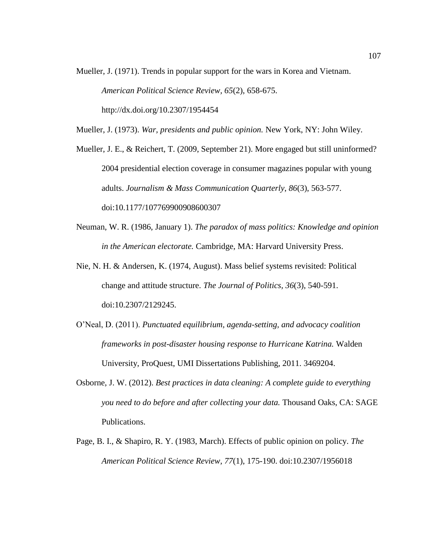- Mueller, J. (1971). Trends in popular support for the wars in Korea and Vietnam. *American Political Science Review, 65*(2), 658-675. <http://dx.doi.org/10.2307/1954454>
- Mueller, J. (1973). *War, presidents and public opinion.* New York, NY: John Wiley.
- Mueller, J. E., & Reichert, T. (2009, September 21). More engaged but still uninformed? 2004 presidential election coverage in consumer magazines popular with young adults. *Journalism & Mass Communication Quarterly*, *86*(3), 563-577. doi:10.1177/107769900908600307
- Neuman, W. R. (1986, January 1). *The paradox of mass politics: Knowledge and opinion in the American electorate.* Cambridge, MA: Harvard University Press.
- Nie, N. H. & Andersen, K. (1974, August). Mass belief systems revisited: Political change and attitude structure. *The Journal of Politics, 36*(3), 540-591. doi:10.2307/2129245.
- O'Neal, D. (2011). *Punctuated equilibrium, agenda-setting, and advocacy coalition frameworks in post-disaster housing response to Hurricane Katrina.* Walden University, ProQuest, UMI Dissertations Publishing, 2011. 3469204.
- Osborne, J. W. (2012). *Best practices in data cleaning: A complete guide to everything you need to do before and after collecting your data.* Thousand Oaks, CA: SAGE Publications.
- Page, B. I., & Shapiro, R. Y. (1983, March). Effects of public opinion on policy. *The American Political Science Review, 77*(1), 175-190. doi:10.2307/1956018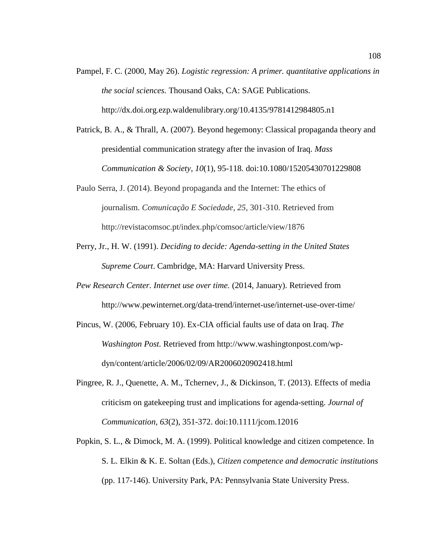- Pampel, F. C. (2000, May 26). *Logistic regression: A primer. quantitative applications in the social sciences.* Thousand Oaks, CA: SAGE Publications. <http://dx.doi.org.ezp.waldenulibrary.org/10.4135/9781412984805.n1>
- Patrick, B. A., & Thrall, A. (2007). Beyond hegemony: Classical propaganda theory and presidential communication strategy after the invasion of Iraq. *Mass Communication & Society, 10*(1), 95-118. doi:10.1080/15205430701229808
- Paulo Serra, J. (2014). Beyond propaganda and the Internet: The ethics of journalism. *Comunicação E Sociedade*, *25,* 301-310. Retrieved from http://revistacomsoc.pt/index.php/comsoc/article/view/1876
- Perry, Jr., H. W. (1991). *Deciding to decide: Agenda-setting in the United States Supreme Court*. Cambridge, MA: Harvard University Press.
- *Pew Research Center. Internet use over time.* (2014, January). Retrieved from http://www.pewinternet.org/data-trend/internet-use/internet-use-over-time/
- Pincus, W. (2006, February 10). Ex-CIA official faults use of data on Iraq. *The Washington Post.* Retrieved from http://www.washingtonpost.com/wpdyn/content/article/2006/02/09/AR2006020902418.html
- Pingree, R. J., Quenette, A. M., Tchernev, J., & Dickinson, T. (2013). Effects of media criticism on gatekeeping trust and implications for agenda-setting. *Journal of Communication, 63*(2), 351-372. doi:10.1111/jcom.12016
- Popkin, S. L., & Dimock, M. A. (1999). Political knowledge and citizen competence. In S. L. Elkin & K. E. Soltan (Eds.), *Citizen competence and democratic institutions* (pp. 117-146). University Park, PA: Pennsylvania State University Press.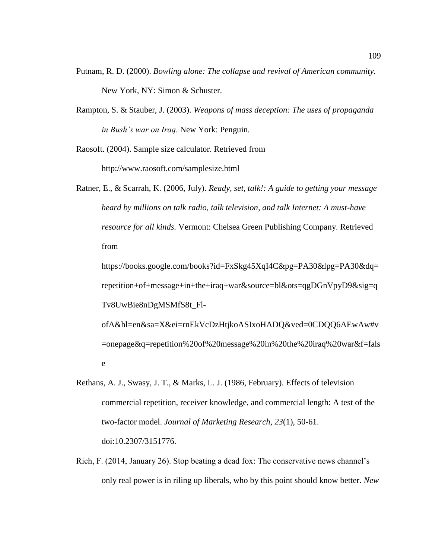- Putnam, R. D. (2000). *Bowling alone: The collapse and revival of American community.* New York, NY: Simon & Schuster.
- Rampton, S. & Stauber, J. (2003). *Weapons of mass deception: The uses of propaganda in Bush's war on Iraq.* New York: Penguin.

Raosoft. (2004). Sample size calculator. Retrieved from http://www.raosoft.com/samplesize.html

Ratner, E., & Scarrah, K. (2006, July). *Ready, set, talk!: A guide to getting your message heard by millions on talk radio, talk television, and talk Internet: A must-have resource for all kinds.* Vermont: Chelsea Green Publishing Company. Retrieved from

https://books.google.com/books?id=FxSkg45XqI4C&pg=PA30&lpg=PA30&dq= repetition+of+message+in+the+iraq+war&source=bl&ots=qgDGnVpyD9&sig=q Tv8UwBie8nDgMSMfS8t\_Fl-

ofA&hl=en&sa=X&ei=rnEkVcDzHtjkoASIxoHADQ&ved=0CDQQ6AEwAw#v =onepage&q=repetition%20of%20message%20in%20the%20iraq%20war&f=fals e

- Rethans, A. J., Swasy, J. T., & Marks, L. J. (1986, February). Effects of television commercial repetition, receiver knowledge, and commercial length: A test of the two-factor model. *Journal of Marketing Research, 23*(1), 50-61. doi:10.2307/3151776.
- Rich, F. (2014, January 26). Stop beating a dead fox: The conservative news channel's only real power is in riling up liberals, who by this point should know better. *New*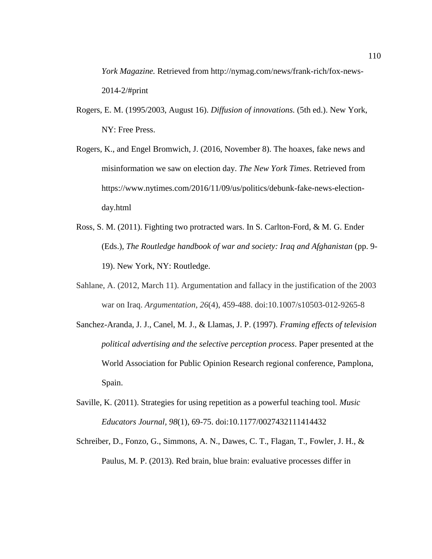*York Magazine.* Retrieved from http://nymag.com/news/frank-rich/fox-news-2014-2/#print

- Rogers, E. M. (1995/2003, August 16). *Diffusion of innovations.* (5th ed.). New York, NY: Free Press.
- Rogers, K., and Engel Bromwich, J. (2016, November 8). The hoaxes, fake news and misinformation we saw on election day. *The New York Times*. Retrieved from https://www.nytimes.com/2016/11/09/us/politics/debunk-fake-news-electionday.html
- Ross, S. M. (2011). Fighting two protracted wars. In S. Carlton-Ford, & M. G. Ender (Eds.), *The Routledge handbook of war and society: Iraq and Afghanistan* (pp. 9- 19). New York, NY: Routledge.
- Sahlane, A. (2012, March 11). Argumentation and fallacy in the justification of the 2003 war on Iraq. *Argumentation*, *26*(4), 459-488. doi:10.1007/s10503-012-9265-8
- Sanchez-Aranda, J. J., Canel, M. J., & Llamas, J. P. (1997). *Framing effects of television political advertising and the selective perception process*. Paper presented at the World Association for Public Opinion Research regional conference, Pamplona, Spain.
- Saville, K. (2011). Strategies for using repetition as a powerful teaching tool. *Music Educators Journal, 98*(1), 69-75. doi:10.1177/0027432111414432
- Schreiber, D., Fonzo, G., Simmons, A. N., Dawes, C. T., Flagan, T., Fowler, J. H., & Paulus, M. P. (2013). Red brain, blue brain: evaluative processes differ in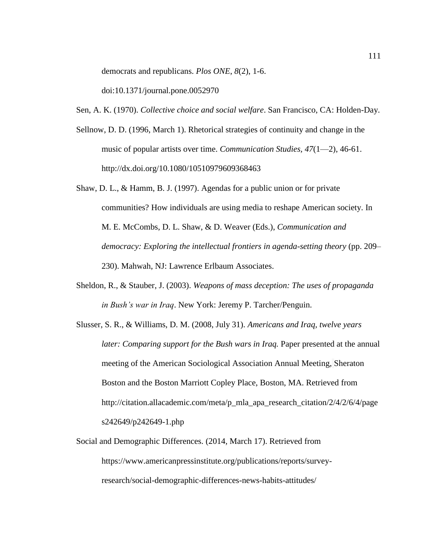democrats and republicans. *Plos ONE*, *8*(2), 1-6.

doi:10.1371/journal.pone.0052970

Sen, A. K. (1970). *Collective choice and social welfare*. San Francisco, CA: Holden-Day.

- Sellnow, D. D. (1996, March 1). Rhetorical strategies of continuity and change in the music of popular artists over time. *Communication Studies, 47*(1—2), 46-61. <http://dx.doi.org/10.1080/10510979609368463>
- Shaw, D. L., & Hamm, B. J. (1997). Agendas for a public union or for private communities? How individuals are using media to reshape American society. In M. E. McCombs, D. L. Shaw, & D. Weaver (Eds.), *Communication and democracy: Exploring the intellectual frontiers in agenda-setting theory* (pp. 209– 230). Mahwah, NJ: Lawrence Erlbaum Associates.
- Sheldon, R., & Stauber, J. (2003). *Weapons of mass deception: The uses of propaganda in Bush's war in Iraq*. New York: Jeremy P. Tarcher/Penguin.
- Slusser, S. R., & Williams, D. M. (2008, July 31). *Americans and Iraq, twelve years later: Comparing support for the Bush wars in Iraq.* Paper presented at the annual meeting of the American Sociological Association Annual Meeting, Sheraton Boston and the Boston Marriott Copley Place, Boston, MA. Retrieved from http://citation.allacademic.com/meta/p\_mla\_apa\_research\_citation/2/4/2/6/4/page s242649/p242649-1.php
- Social and Demographic Differences. (2014, March 17). Retrieved from https://www.americanpressinstitute.org/publications/reports/surveyresearch/social-demographic-differences-news-habits-attitudes/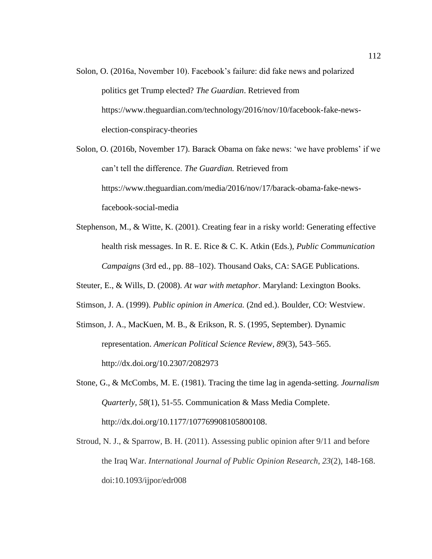Solon, O. (2016a, November 10). Facebook's failure: did fake news and polarized politics get Trump elected? *The Guardian*. Retrieved from https://www.theguardian.com/technology/2016/nov/10/facebook-fake-newselection-conspiracy-theories

Solon, O. (2016b, November 17). Barack Obama on fake news: 'we have problems' if we can't tell the difference. *The Guardian.* Retrieved from [https://www.theguardian.com/media/2016/nov/17/barack-obama-fake-news](https://www.theguardian.com/media/2016/nov/17/barack-obama-fake-news-facebook-social-media)[facebook-social-media](https://www.theguardian.com/media/2016/nov/17/barack-obama-fake-news-facebook-social-media)

Stephenson, M., & Witte, K. (2001). Creating fear in a risky world: Generating effective health risk messages. In R. E. Rice & C. K. Atkin (Eds.), *Public Communication Campaigns* (3rd ed., pp. 88–102). Thousand Oaks, CA: SAGE Publications.

Steuter, E., & Wills, D. (2008). *At war with metaphor*. Maryland: Lexington Books.

- Stimson, J. A. (1999). *Public opinion in America.* (2nd ed.). Boulder, CO: Westview.
- Stimson, J. A., MacKuen, M. B., & Erikson, R. S. (1995, September). Dynamic representation. *American Political Science Review, 89*(3), 543–565. <http://dx.doi.org/10.2307/2082973>
- Stone, G., & McCombs, M. E. (1981). Tracing the time lag in agenda-setting. *Journalism Quarterly, 58*(1), 51-55. Communication & Mass Media Complete. [http://dx.doi.org/10.1177/107769908105800108.](http://dx.doi.org/10.1177/107769908105800108)
- Stroud, N. J., & Sparrow, B. H. (2011). Assessing public opinion after 9/11 and before the Iraq War. *International Journal of Public Opinion Research*, *23*(2), 148-168. doi:10.1093/ijpor/edr008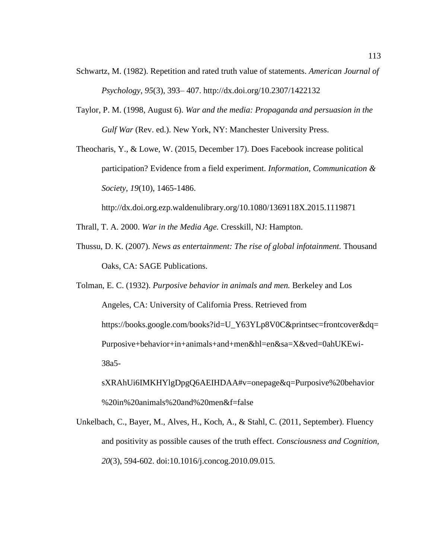- Schwartz, M. (1982). Repetition and rated truth value of statements. *American Journal of Psychology*, *95*(3), 393– 407. <http://dx.doi.org/10.2307/1422132>
- Taylor, P. M. (1998, August 6). *War and the media: Propaganda and persuasion in the Gulf War* (Rev. ed.). New York, NY: Manchester University Press.
- Theocharis, Y., & Lowe, W. (2015, December 17). Does Facebook increase political participation? Evidence from a field experiment. *Information, Communication & Society, 19*(10), 1465-1486.

<http://dx.doi.org.ezp.waldenulibrary.org/10.1080/1369118X.2015.1119871>

- Thrall, T. A. 2000. *War in the Media Age.* Cresskill, NJ: Hampton.
- Thussu, D. K. (2007). *News as entertainment: The rise of global infotainment.* Thousand Oaks, CA: SAGE Publications.
- Tolman, E. C. (1932). *Purposive behavior in animals and men.* Berkeley and Los Angeles, CA: University of California Press. Retrieved from https://books.google.com/books?id=U\_Y63YLp8V0C&printsec=frontcover&dq= Purposive+behavior+in+animals+and+men&hl=en&sa=X&ved=0ahUKEwi-38a5
	- sXRAhUi6IMKHYlgDpgQ6AEIHDAA#v=onepage&q=Purposive%20behavior %20in%20animals%20and%20men&f=false
- Unkelbach, C., Bayer, M., Alves, H., Koch, A., & Stahl, C. (2011, September). Fluency and positivity as possible causes of the truth effect. *Consciousness and Cognition, 20*(3), 594-602. doi:10.1016/j.concog.2010.09.015.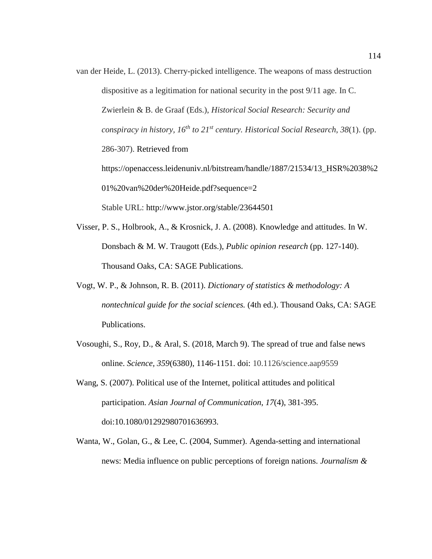- van der Heide, L. (2013). Cherry-picked intelligence. The weapons of mass destruction dispositive as a legitimation for national security in the post 9/11 age. In C. Zwierlein & B. de Graaf (Eds.), *Historical Social Research: Security and conspiracy in history, 16th to 21st century. Historical Social Research*, *38*(1). (pp. 286-307). Retrieved from [https://openaccess.leidenuniv.nl/bitstream/handle/1887/21534/13\\_HSR%2038%2](https://openaccess.leidenuniv.nl/bitstream/handle/1887/21534/13_HSR%2038%201%20van%20der%20Heide.pdf?sequence=2) [01%20van%20der%20Heide.pdf?sequence=2](https://openaccess.leidenuniv.nl/bitstream/handle/1887/21534/13_HSR%2038%201%20van%20der%20Heide.pdf?sequence=2) Stable URL:<http://www.jstor.org/stable/23644501>
- Visser, P. S., Holbrook, A., & Krosnick, J. A. (2008). Knowledge and attitudes. In W. Donsbach & M. W. Traugott (Eds.), *Public opinion research* (pp. 127-140). Thousand Oaks, CA: SAGE Publications.
- Vogt, W. P., & Johnson, R. B. (2011). *Dictionary of statistics & methodology: A nontechnical guide for the social sciences.* (4th ed.). Thousand Oaks, CA: SAGE Publications.
- Vosoughi, S., Roy, D., & Aral, S. (2018, March 9). The spread of true and false news online. *Science, 359*(6380), 1146-1151. doi: 10.1126/science.aap9559
- Wang, S. (2007). Political use of the Internet, political attitudes and political participation. *Asian Journal of Communication*, *17*(4), 381-395. doi:10.1080/01292980701636993.
- Wanta, W., Golan, G., & Lee, C. (2004, Summer). Agenda-setting and international news: Media influence on public perceptions of foreign nations. *Journalism &*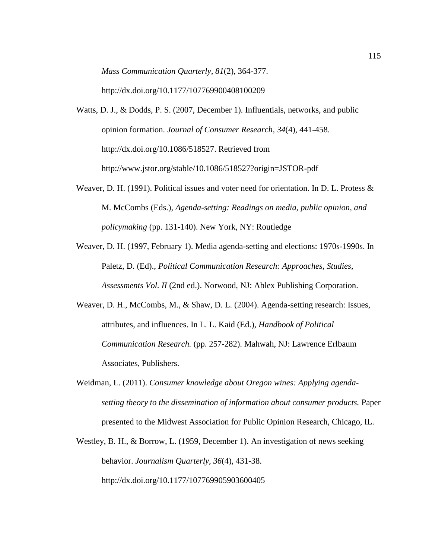*Mass Communication Quarterly, 81*(2), 364-377.

<http://dx.doi.org/10.1177/107769900408100209>

- Watts, D. J., & Dodds, P. S. (2007, December 1). Influentials, networks, and public opinion formation. *Journal of Consumer Research, 34*(4), 441-458. [http://dx.doi.org/10.1086/518527.](http://dx.doi.org/10.1086/518527) Retrieved from http://www.jstor.org/stable/10.1086/518527?origin=JSTOR-pdf
- Weaver, D. H. (1991). Political issues and voter need for orientation. In D. L. Protess  $\&$ M. McCombs (Eds.), *Agenda-setting: Readings on media, public opinion, and policymaking* (pp. 131-140). New York, NY: Routledge
- Weaver, D. H. (1997, February 1). Media agenda-setting and elections: 1970s-1990s. In Paletz, D. (Ed)., *Political Communication Research: Approaches, Studies, Assessments Vol. II* (2nd ed.). Norwood, NJ: Ablex Publishing Corporation.
- Weaver, D. H., McCombs, M., & Shaw, D. L. (2004). Agenda-setting research: Issues, attributes, and influences. In L. L. Kaid (Ed.), *Handbook of Political Communication Research.* (pp. 257-282). Mahwah, NJ: Lawrence Erlbaum Associates, Publishers.
- Weidman, L. (2011). *Consumer knowledge about Oregon wines: Applying agendasetting theory to the dissemination of information about consumer products.* Paper presented to the Midwest Association for Public Opinion Research, Chicago, IL.
- Westley, B. H., & Borrow, L. (1959, December 1). An investigation of news seeking behavior. *Journalism Quarterly, 36*(4), 431-38. <http://dx.doi.org/10.1177/107769905903600405>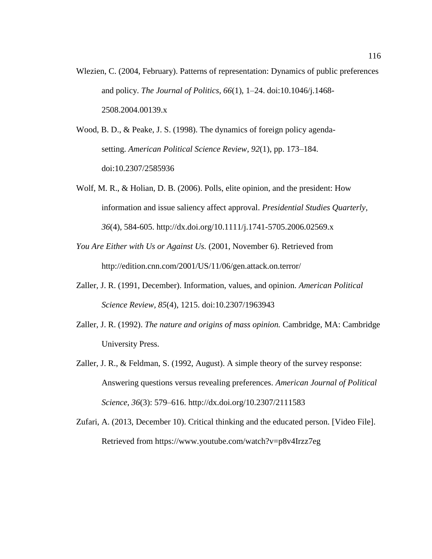- Wlezien, C. (2004, February). Patterns of representation: Dynamics of public preferences and policy. *The Journal of Politics, 66*(1), 1–24. doi:10.1046/j.1468- 2508.2004.00139.x
- Wood, B. D., & Peake, J. S. (1998). The dynamics of foreign policy agendasetting. *American Political Science Review, 92*(1), pp. 173–184. doi:10.2307/2585936
- Wolf, M. R., & Holian, D. B. (2006). Polls, elite opinion, and the president: How information and issue saliency affect approval. *Presidential Studies Quarterly, 36*(4), 584-605.<http://dx.doi.org/10.1111/j.1741-5705.2006.02569.x>
- *You Are Either with Us or Against Us.* (2001, November 6). Retrieved from http://edition.cnn.com/2001/US/11/06/gen.attack.on.terror/
- Zaller, J. R. (1991, December). Information, values, and opinion. *American Political Science Review, 85*(4), 1215. doi:10.2307/1963943
- Zaller, J. R. (1992). *The nature and origins of mass opinion.* Cambridge, MA: Cambridge University Press.
- Zaller, J. R., & Feldman, S. (1992, August). A simple theory of the survey response: Answering questions versus revealing preferences. *American Journal of Political Science*, *36*(3): 579–616.<http://dx.doi.org/10.2307/2111583>
- Zufari, A. (2013, December 10). Critical thinking and the educated person. [Video File]. Retrieved from<https://www.youtube.com/watch?v=p8v4Irzz7eg>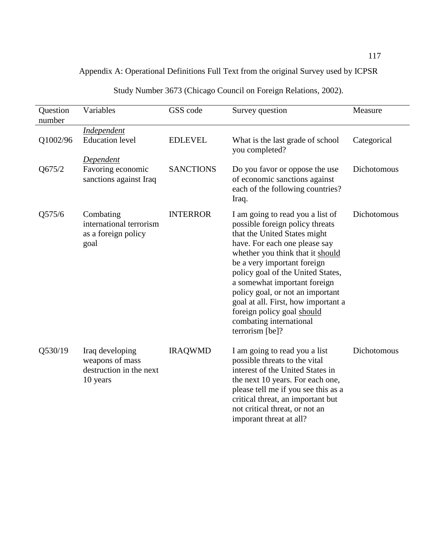## Appendix A: Operational Definitions Full Text from the original Survey used by ICPSR

| Question<br>number | Variables                                                                 | GSS code         | Survey question                                                                                                                                                                                                                                                                                                                                                                                                                     | Measure     |
|--------------------|---------------------------------------------------------------------------|------------------|-------------------------------------------------------------------------------------------------------------------------------------------------------------------------------------------------------------------------------------------------------------------------------------------------------------------------------------------------------------------------------------------------------------------------------------|-------------|
|                    | <b>Independent</b>                                                        |                  |                                                                                                                                                                                                                                                                                                                                                                                                                                     |             |
| Q1002/96           | <b>Education</b> level                                                    | <b>EDLEVEL</b>   | What is the last grade of school<br>you completed?                                                                                                                                                                                                                                                                                                                                                                                  | Categorical |
|                    | Dependent                                                                 |                  |                                                                                                                                                                                                                                                                                                                                                                                                                                     |             |
| Q675/2             | Favoring economic<br>sanctions against Iraq                               | <b>SANCTIONS</b> | Do you favor or oppose the use<br>of economic sanctions against<br>each of the following countries?<br>Iraq.                                                                                                                                                                                                                                                                                                                        | Dichotomous |
| Q575/6             | Combating<br>international terrorism<br>as a foreign policy<br>goal       | <b>INTERROR</b>  | I am going to read you a list of<br>possible foreign policy threats<br>that the United States might<br>have. For each one please say<br>whether you think that it should<br>be a very important foreign<br>policy goal of the United States,<br>a somewhat important foreign<br>policy goal, or not an important<br>goal at all. First, how important a<br>foreign policy goal should<br>combating international<br>terrorism [be]? | Dichotomous |
| Q530/19            | Iraq developing<br>weapons of mass<br>destruction in the next<br>10 years | <b>IRAQWMD</b>   | I am going to read you a list<br>possible threats to the vital<br>interest of the United States in<br>the next 10 years. For each one,<br>please tell me if you see this as a<br>critical threat, an important but<br>not critical threat, or not an<br>imporant threat at all?                                                                                                                                                     | Dichotomous |

## Study Number 3673 (Chicago Council on Foreign Relations, 2002).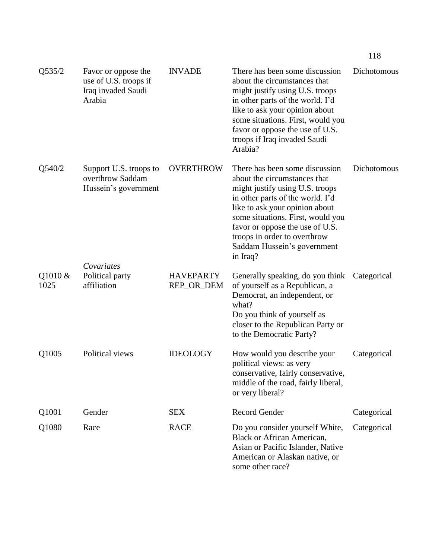| Q535/2          | Favor or oppose the<br>use of U.S. troops if<br>Iraq invaded Saudi<br>Arabia | <b>INVADE</b>                  | There has been some discussion<br>about the circumstances that<br>might justify using U.S. troops<br>in other parts of the world. I'd<br>like to ask your opinion about<br>some situations. First, would you<br>favor or oppose the use of U.S.<br>troops if Iraq invaded Saudi<br>Arabia?                                 | Dichotomous |
|-----------------|------------------------------------------------------------------------------|--------------------------------|----------------------------------------------------------------------------------------------------------------------------------------------------------------------------------------------------------------------------------------------------------------------------------------------------------------------------|-------------|
| Q540/2          | Support U.S. troops to<br>overthrow Saddam<br>Hussein's government           | <b>OVERTHROW</b>               | There has been some discussion<br>about the circumstances that<br>might justify using U.S. troops<br>in other parts of the world. I'd<br>like to ask your opinion about<br>some situations. First, would you<br>favor or oppose the use of U.S.<br>troops in order to overthrow<br>Saddam Hussein's government<br>in Iraq? | Dichotomous |
| Q1010 &<br>1025 | Covariates<br>Political party<br>affiliation                                 | <b>HAVEPARTY</b><br>REP_OR_DEM | Generally speaking, do you think Categorical<br>of yourself as a Republican, a<br>Democrat, an independent, or<br>what?<br>Do you think of yourself as<br>closer to the Republican Party or<br>to the Democratic Party?                                                                                                    |             |
| Q1005           | Political views                                                              | <b>IDEOLOGY</b>                | How would you describe your<br>political views: as very<br>conservative, fairly conservative,<br>middle of the road, fairly liberal,<br>or very liberal?                                                                                                                                                                   | Categorical |
| Q1001           | Gender                                                                       | <b>SEX</b>                     | <b>Record Gender</b>                                                                                                                                                                                                                                                                                                       | Categorical |
| Q1080           | Race                                                                         | <b>RACE</b>                    | Do you consider yourself White,<br><b>Black or African American,</b><br>Asian or Pacific Islander, Native<br>American or Alaskan native, or<br>some other race?                                                                                                                                                            | Categorical |